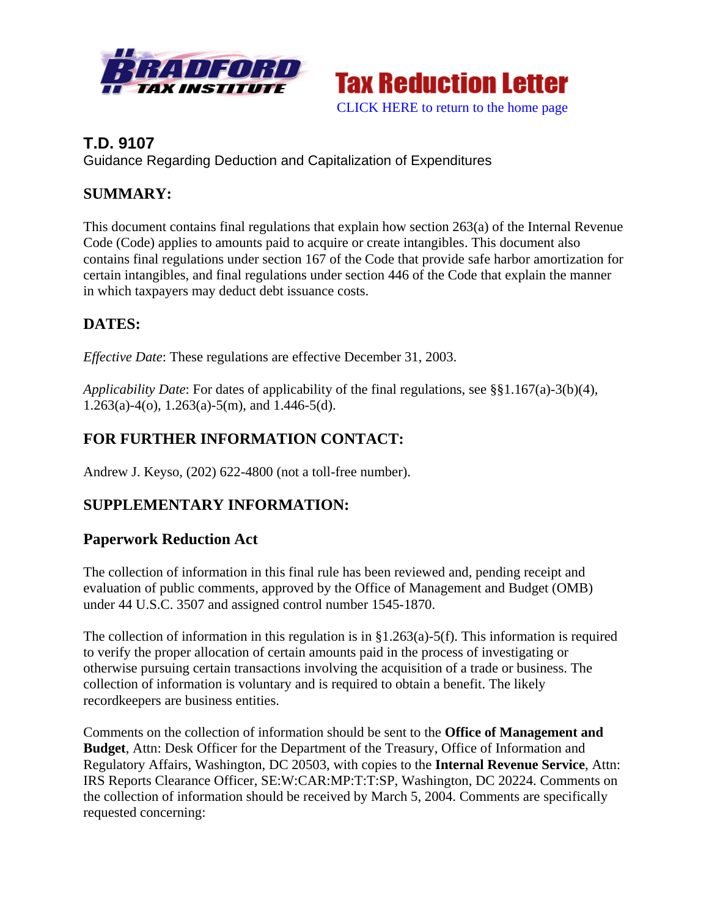



## **T.D. 9107**

Guidance Regarding Deduction and Capitalization of Expenditures

## **SUMMARY:**

This document contains final regulations that explain how section 263(a) of the Internal Revenue Code (Code) applies to amounts paid to acquire or create intangibles. This document also contains final regulations under section 167 of the Code that provide safe harbor amortization for certain intangibles, and final regulations under section 446 of the Code that explain the manner in which taxpayers may deduct debt issuance costs.

# **DATES:**

*Effective Date*: These regulations are effective December 31, 2003.

*Applicability Date*: For dates of applicability of the final regulations, see §§1.167(a)-3(b)(4),  $1.263(a) - 4(0), 1.263(a) - 5(m),$  and  $1.446 - 5(d)$ .

# **FOR FURTHER INFORMATION CONTACT:**

Andrew J. Keyso, (202) 622-4800 (not a toll-free number).

# **SUPPLEMENTARY INFORMATION:**

## **Paperwork Reduction Act**

The collection of information in this final rule has been reviewed and, pending receipt and evaluation of public comments, approved by the Office of Management and Budget (OMB) under 44 U.S.C. 3507 and assigned control number 1545-1870.

The collection of information in this regulation is in  $\S1.263(a)$ -5(f). This information is required to verify the proper allocation of certain amounts paid in the process of investigating or otherwise pursuing certain transactions involving the acquisition of a trade or business. The collection of information is voluntary and is required to obtain a benefit. The likely recordkeepers are business entities.

Comments on the collection of information should be sent to the **Office of Management and Budget**, Attn: Desk Officer for the Department of the Treasury, Office of Information and Regulatory Affairs, Washington, DC 20503, with copies to the **Internal Revenue Service**, Attn: IRS Reports Clearance Officer, SE:W:CAR:MP:T:T:SP, Washington, DC 20224. Comments on the collection of information should be received by March 5, 2004. Comments are specifically requested concerning: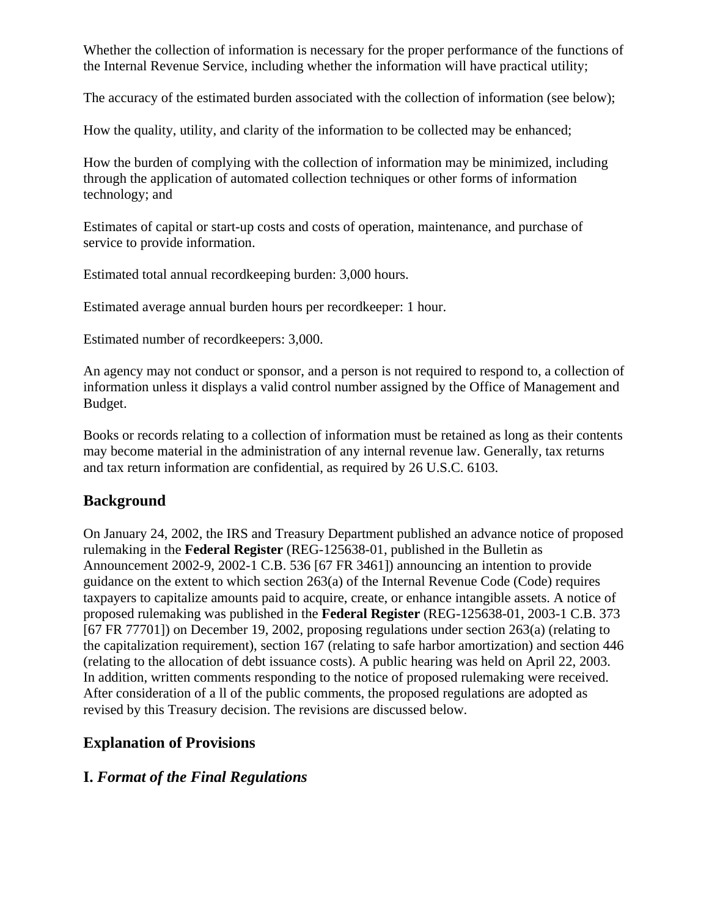Whether the collection of information is necessary for the proper performance of the functions of the Internal Revenue Service, including whether the information will have practical utility;

The accuracy of the estimated burden associated with the collection of information (see below);

How the quality, utility, and clarity of the information to be collected may be enhanced;

How the burden of complying with the collection of information may be minimized, including through the application of automated collection techniques or other forms of information technology; and

Estimates of capital or start-up costs and costs of operation, maintenance, and purchase of service to provide information.

Estimated total annual recordkeeping burden: 3,000 hours.

Estimated average annual burden hours per recordkeeper: 1 hour.

Estimated number of recordkeepers: 3,000.

An agency may not conduct or sponsor, and a person is not required to respond to, a collection of information unless it displays a valid control number assigned by the Office of Management and Budget.

Books or records relating to a collection of information must be retained as long as their contents may become material in the administration of any internal revenue law. Generally, tax returns and tax return information are confidential, as required by 26 U.S.C. 6103.

#### **Background**

On January 24, 2002, the IRS and Treasury Department published an advance notice of proposed rulemaking in the **Federal Register** (REG-125638-01, published in the Bulletin as Announcement 2002-9, 2002-1 C.B. 536 [67 FR 3461]) announcing an intention to provide guidance on the extent to which section  $263(a)$  of the Internal Revenue Code (Code) requires taxpayers to capitalize amounts paid to acquire, create, or enhance intangible assets. A notice of proposed rulemaking was published in the **Federal Register** (REG-125638-01, 2003-1 C.B. 373 [67 FR 77701]) on December 19, 2002, proposing regulations under section 263(a) (relating to the capitalization requirement), section 167 (relating to safe harbor amortization) and section 446 (relating to the allocation of debt issuance costs). A public hearing was held on April 22, 2003. In addition, written comments responding to the notice of proposed rulemaking were received. After consideration of a ll of the public comments, the proposed regulations are adopted as revised by this Treasury decision. The revisions are discussed below.

#### **Explanation of Provisions**

#### **I.** *Format of the Final Regulations*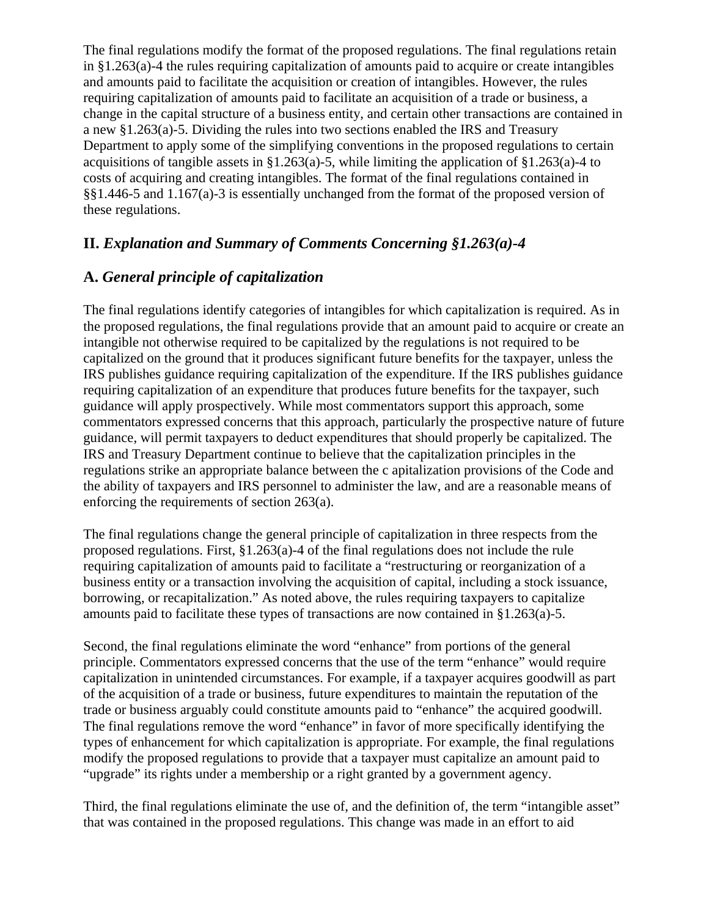The final regulations modify the format of the proposed regulations. The final regulations retain in §1.263(a)-4 the rules requiring capitalization of amounts paid to acquire or create intangibles and amounts paid to facilitate the acquisition or creation of intangibles. However, the rules requiring capitalization of amounts paid to facilitate an acquisition of a trade or business, a change in the capital structure of a business entity, and certain other transactions are contained in a new §1.263(a)-5. Dividing the rules into two sections enabled the IRS and Treasury Department to apply some of the simplifying conventions in the proposed regulations to certain acquisitions of tangible assets in §1.263(a)-5, while limiting the application of §1.263(a)-4 to costs of acquiring and creating intangibles. The format of the final regulations contained in §§1.446-5 and 1.167(a)-3 is essentially unchanged from the format of the proposed version of these regulations.

## **II.** *Explanation and Summary of Comments Concerning §1.263(a)-4*

## **A.** *General principle of capitalization*

The final regulations identify categories of intangibles for which capitalization is required. As in the proposed regulations, the final regulations provide that an amount paid to acquire or create an intangible not otherwise required to be capitalized by the regulations is not required to be capitalized on the ground that it produces significant future benefits for the taxpayer, unless the IRS publishes guidance requiring capitalization of the expenditure. If the IRS publishes guidance requiring capitalization of an expenditure that produces future benefits for the taxpayer, such guidance will apply prospectively. While most commentators support this approach, some commentators expressed concerns that this approach, particularly the prospective nature of future guidance, will permit taxpayers to deduct expenditures that should properly be capitalized. The IRS and Treasury Department continue to believe that the capitalization principles in the regulations strike an appropriate balance between the c apitalization provisions of the Code and the ability of taxpayers and IRS personnel to administer the law, and are a reasonable means of enforcing the requirements of section 263(a).

The final regulations change the general principle of capitalization in three respects from the proposed regulations. First, §1.263(a)-4 of the final regulations does not include the rule requiring capitalization of amounts paid to facilitate a "restructuring or reorganization of a business entity or a transaction involving the acquisition of capital, including a stock issuance, borrowing, or recapitalization." As noted above, the rules requiring taxpayers to capitalize amounts paid to facilitate these types of transactions are now contained in §1.263(a)-5.

Second, the final regulations eliminate the word "enhance" from portions of the general principle. Commentators expressed concerns that the use of the term "enhance" would require capitalization in unintended circumstances. For example, if a taxpayer acquires goodwill as part of the acquisition of a trade or business, future expenditures to maintain the reputation of the trade or business arguably could constitute amounts paid to "enhance" the acquired goodwill. The final regulations remove the word "enhance" in favor of more specifically identifying the types of enhancement for which capitalization is appropriate. For example, the final regulations modify the proposed regulations to provide that a taxpayer must capitalize an amount paid to "upgrade" its rights under a membership or a right granted by a government agency.

Third, the final regulations eliminate the use of, and the definition of, the term "intangible asset" that was contained in the proposed regulations. This change was made in an effort to aid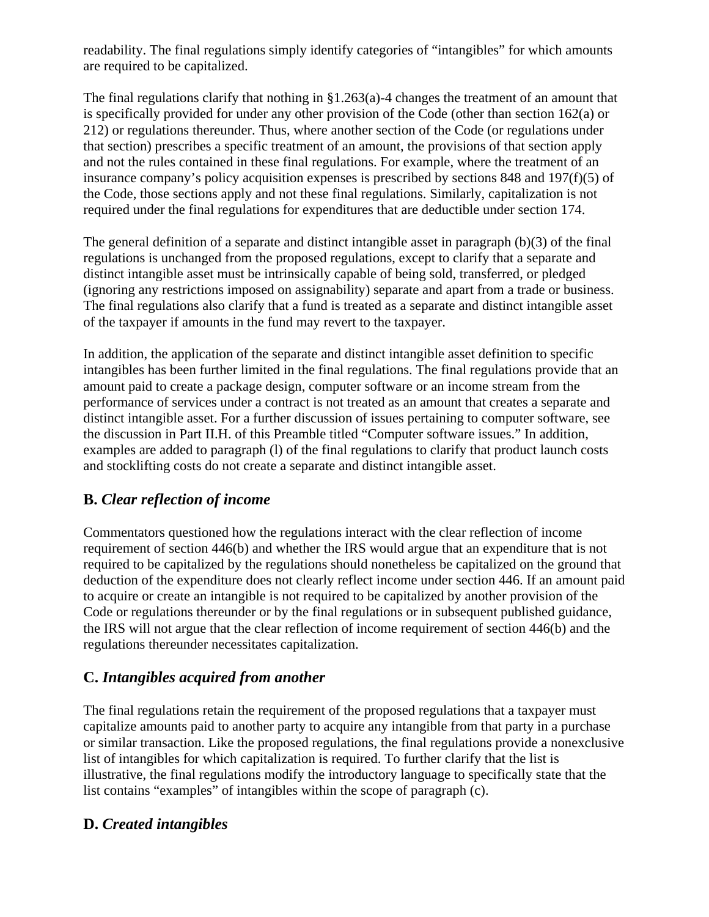readability. The final regulations simply identify categories of "intangibles" for which amounts are required to be capitalized.

The final regulations clarify that nothing in  $\S1.263(a)$ -4 changes the treatment of an amount that is specifically provided for under any other provision of the Code (other than section 162(a) or 212) or regulations thereunder. Thus, where another section of the Code (or regulations under that section) prescribes a specific treatment of an amount, the provisions of that section apply and not the rules contained in these final regulations. For example, where the treatment of an insurance company's policy acquisition expenses is prescribed by sections 848 and 197(f)(5) of the Code, those sections apply and not these final regulations. Similarly, capitalization is not required under the final regulations for expenditures that are deductible under section 174.

The general definition of a separate and distinct intangible asset in paragraph (b)(3) of the final regulations is unchanged from the proposed regulations, except to clarify that a separate and distinct intangible asset must be intrinsically capable of being sold, transferred, or pledged (ignoring any restrictions imposed on assignability) separate and apart from a trade or business. The final regulations also clarify that a fund is treated as a separate and distinct intangible asset of the taxpayer if amounts in the fund may revert to the taxpayer.

In addition, the application of the separate and distinct intangible asset definition to specific intangibles has been further limited in the final regulations. The final regulations provide that an amount paid to create a package design, computer software or an income stream from the performance of services under a contract is not treated as an amount that creates a separate and distinct intangible asset. For a further discussion of issues pertaining to computer software, see the discussion in Part II.H. of this Preamble titled "Computer software issues." In addition, examples are added to paragraph (l) of the final regulations to clarify that product launch costs and stocklifting costs do not create a separate and distinct intangible asset.

# **B.** *Clear reflection of income*

Commentators questioned how the regulations interact with the clear reflection of income requirement of section 446(b) and whether the IRS would argue that an expenditure that is not required to be capitalized by the regulations should nonetheless be capitalized on the ground that deduction of the expenditure does not clearly reflect income under section 446. If an amount paid to acquire or create an intangible is not required to be capitalized by another provision of the Code or regulations thereunder or by the final regulations or in subsequent published guidance, the IRS will not argue that the clear reflection of income requirement of section 446(b) and the regulations thereunder necessitates capitalization.

## **C.** *Intangibles acquired from another*

The final regulations retain the requirement of the proposed regulations that a taxpayer must capitalize amounts paid to another party to acquire any intangible from that party in a purchase or similar transaction. Like the proposed regulations, the final regulations provide a nonexclusive list of intangibles for which capitalization is required. To further clarify that the list is illustrative, the final regulations modify the introductory language to specifically state that the list contains "examples" of intangibles within the scope of paragraph (c).

## **D.** *Created intangibles*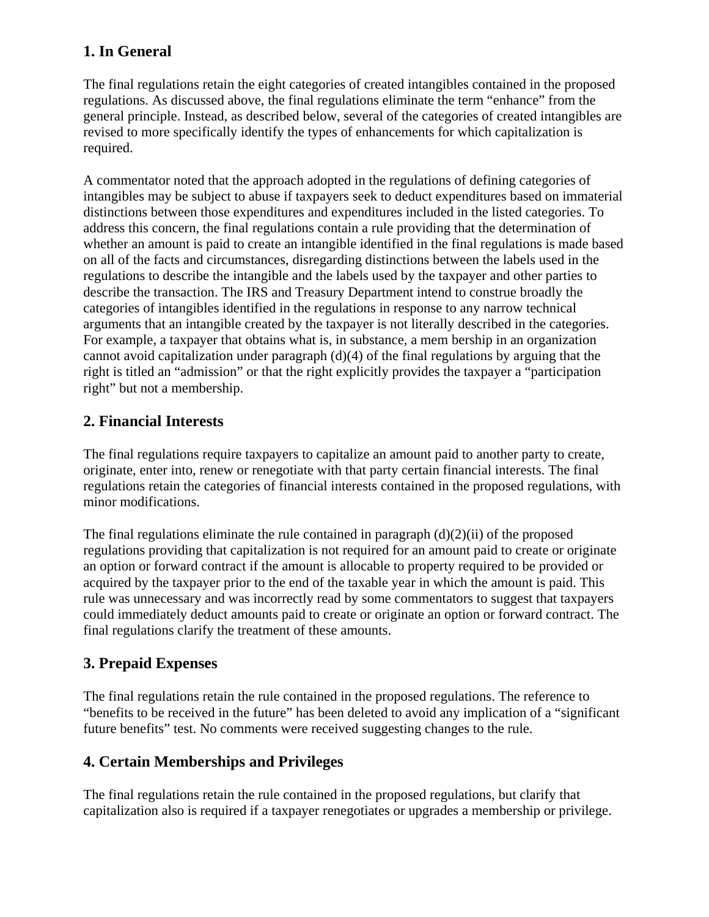## **1. In General**

The final regulations retain the eight categories of created intangibles contained in the proposed regulations. As discussed above, the final regulations eliminate the term "enhance" from the general principle. Instead, as described below, several of the categories of created intangibles are revised to more specifically identify the types of enhancements for which capitalization is required.

A commentator noted that the approach adopted in the regulations of defining categories of intangibles may be subject to abuse if taxpayers seek to deduct expenditures based on immaterial distinctions between those expenditures and expenditures included in the listed categories. To address this concern, the final regulations contain a rule providing that the determination of whether an amount is paid to create an intangible identified in the final regulations is made based on all of the facts and circumstances, disregarding distinctions between the labels used in the regulations to describe the intangible and the labels used by the taxpayer and other parties to describe the transaction. The IRS and Treasury Department intend to construe broadly the categories of intangibles identified in the regulations in response to any narrow technical arguments that an intangible created by the taxpayer is not literally described in the categories. For example, a taxpayer that obtains what is, in substance, a mem bership in an organization cannot avoid capitalization under paragraph (d)(4) of the final regulations by arguing that the right is titled an "admission" or that the right explicitly provides the taxpayer a "participation right" but not a membership.

## **2. Financial Interests**

The final regulations require taxpayers to capitalize an amount paid to another party to create, originate, enter into, renew or renegotiate with that party certain financial interests. The final regulations retain the categories of financial interests contained in the proposed regulations, with minor modifications.

The final regulations eliminate the rule contained in paragraph  $(d)(2)(ii)$  of the proposed regulations providing that capitalization is not required for an amount paid to create or originate an option or forward contract if the amount is allocable to property required to be provided or acquired by the taxpayer prior to the end of the taxable year in which the amount is paid. This rule was unnecessary and was incorrectly read by some commentators to suggest that taxpayers could immediately deduct amounts paid to create or originate an option or forward contract. The final regulations clarify the treatment of these amounts.

# **3. Prepaid Expenses**

The final regulations retain the rule contained in the proposed regulations. The reference to "benefits to be received in the future" has been deleted to avoid any implication of a "significant future benefits" test. No comments were received suggesting changes to the rule.

## **4. Certain Memberships and Privileges**

The final regulations retain the rule contained in the proposed regulations, but clarify that capitalization also is required if a taxpayer renegotiates or upgrades a membership or privilege.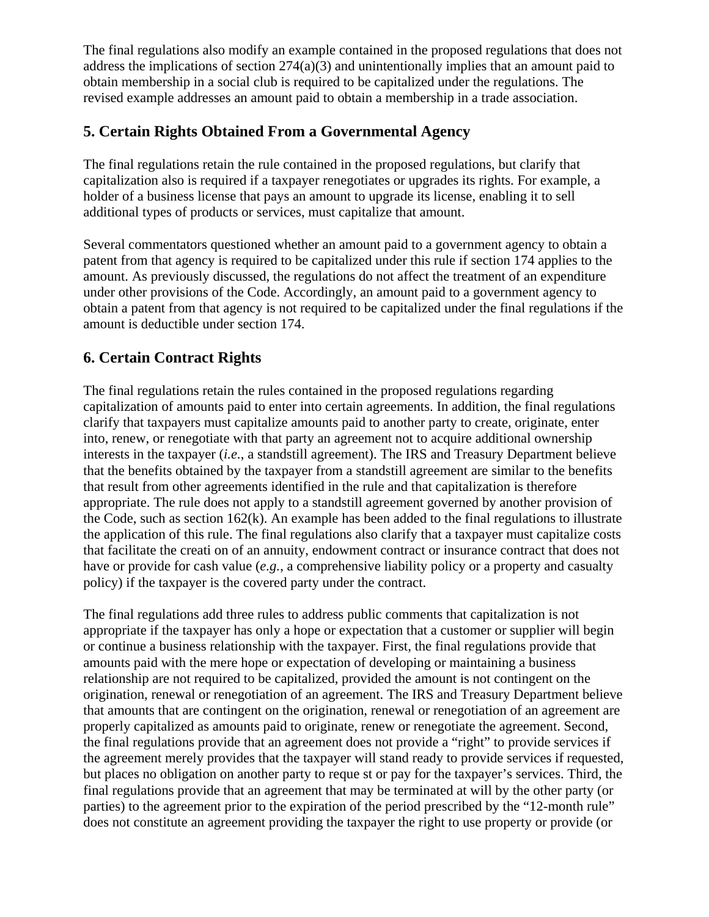The final regulations also modify an example contained in the proposed regulations that does not address the implications of section 274(a)(3) and unintentionally implies that an amount paid to obtain membership in a social club is required to be capitalized under the regulations. The revised example addresses an amount paid to obtain a membership in a trade association.

## **5. Certain Rights Obtained From a Governmental Agency**

The final regulations retain the rule contained in the proposed regulations, but clarify that capitalization also is required if a taxpayer renegotiates or upgrades its rights. For example, a holder of a business license that pays an amount to upgrade its license, enabling it to sell additional types of products or services, must capitalize that amount.

Several commentators questioned whether an amount paid to a government agency to obtain a patent from that agency is required to be capitalized under this rule if section 174 applies to the amount. As previously discussed, the regulations do not affect the treatment of an expenditure under other provisions of the Code. Accordingly, an amount paid to a government agency to obtain a patent from that agency is not required to be capitalized under the final regulations if the amount is deductible under section 174.

## **6. Certain Contract Rights**

The final regulations retain the rules contained in the proposed regulations regarding capitalization of amounts paid to enter into certain agreements. In addition, the final regulations clarify that taxpayers must capitalize amounts paid to another party to create, originate, enter into, renew, or renegotiate with that party an agreement not to acquire additional ownership interests in the taxpayer (*i.e.*, a standstill agreement). The IRS and Treasury Department believe that the benefits obtained by the taxpayer from a standstill agreement are similar to the benefits that result from other agreements identified in the rule and that capitalization is therefore appropriate. The rule does not apply to a standstill agreement governed by another provision of the Code, such as section 162(k). An example has been added to the final regulations to illustrate the application of this rule. The final regulations also clarify that a taxpayer must capitalize costs that facilitate the creati on of an annuity, endowment contract or insurance contract that does not have or provide for cash value (*e.g.*, a comprehensive liability policy or a property and casualty policy) if the taxpayer is the covered party under the contract.

The final regulations add three rules to address public comments that capitalization is not appropriate if the taxpayer has only a hope or expectation that a customer or supplier will begin or continue a business relationship with the taxpayer. First, the final regulations provide that amounts paid with the mere hope or expectation of developing or maintaining a business relationship are not required to be capitalized, provided the amount is not contingent on the origination, renewal or renegotiation of an agreement. The IRS and Treasury Department believe that amounts that are contingent on the origination, renewal or renegotiation of an agreement are properly capitalized as amounts paid to originate, renew or renegotiate the agreement. Second, the final regulations provide that an agreement does not provide a "right" to provide services if the agreement merely provides that the taxpayer will stand ready to provide services if requested, but places no obligation on another party to reque st or pay for the taxpayer's services. Third, the final regulations provide that an agreement that may be terminated at will by the other party (or parties) to the agreement prior to the expiration of the period prescribed by the "12-month rule" does not constitute an agreement providing the taxpayer the right to use property or provide (or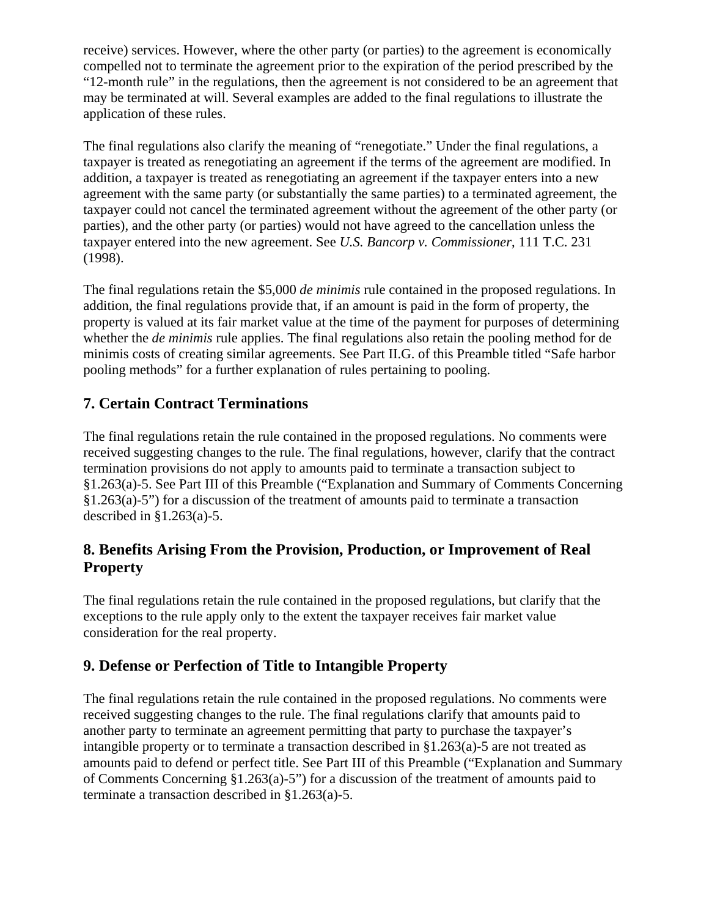receive) services. However, where the other party (or parties) to the agreement is economically compelled not to terminate the agreement prior to the expiration of the period prescribed by the "12-month rule" in the regulations, then the agreement is not considered to be an agreement that may be terminated at will. Several examples are added to the final regulations to illustrate the application of these rules.

The final regulations also clarify the meaning of "renegotiate." Under the final regulations, a taxpayer is treated as renegotiating an agreement if the terms of the agreement are modified. In addition, a taxpayer is treated as renegotiating an agreement if the taxpayer enters into a new agreement with the same party (or substantially the same parties) to a terminated agreement, the taxpayer could not cancel the terminated agreement without the agreement of the other party (or parties), and the other party (or parties) would not have agreed to the cancellation unless the taxpayer entered into the new agreement. See *U.S. Bancorp v. Commissioner*, 111 T.C. 231 (1998).

The final regulations retain the \$5,000 *de minimis* rule contained in the proposed regulations. In addition, the final regulations provide that, if an amount is paid in the form of property, the property is valued at its fair market value at the time of the payment for purposes of determining whether the *de minimis* rule applies. The final regulations also retain the pooling method for de minimis costs of creating similar agreements. See Part II.G. of this Preamble titled "Safe harbor pooling methods" for a further explanation of rules pertaining to pooling.

## **7. Certain Contract Terminations**

The final regulations retain the rule contained in the proposed regulations. No comments were received suggesting changes to the rule. The final regulations, however, clarify that the contract termination provisions do not apply to amounts paid to terminate a transaction subject to §1.263(a)-5. See Part III of this Preamble ("Explanation and Summary of Comments Concerning §1.263(a)-5") for a discussion of the treatment of amounts paid to terminate a transaction described in  $\S 1.263(a) - 5$ .

## **8. Benefits Arising From the Provision, Production, or Improvement of Real Property**

The final regulations retain the rule contained in the proposed regulations, but clarify that the exceptions to the rule apply only to the extent the taxpayer receives fair market value consideration for the real property.

## **9. Defense or Perfection of Title to Intangible Property**

The final regulations retain the rule contained in the proposed regulations. No comments were received suggesting changes to the rule. The final regulations clarify that amounts paid to another party to terminate an agreement permitting that party to purchase the taxpayer's intangible property or to terminate a transaction described in §1.263(a)-5 are not treated as amounts paid to defend or perfect title. See Part III of this Preamble ("Explanation and Summary of Comments Concerning §1.263(a)-5") for a discussion of the treatment of amounts paid to terminate a transaction described in §1.263(a)-5.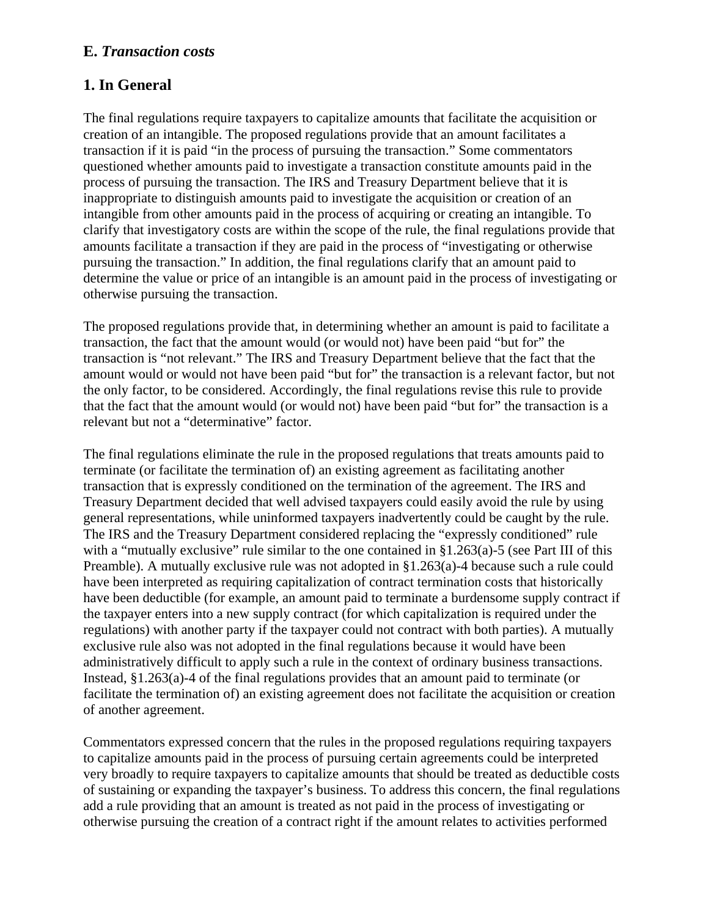#### **E.** *Transaction costs*

### **1. In General**

The final regulations require taxpayers to capitalize amounts that facilitate the acquisition or creation of an intangible. The proposed regulations provide that an amount facilitates a transaction if it is paid "in the process of pursuing the transaction." Some commentators questioned whether amounts paid to investigate a transaction constitute amounts paid in the process of pursuing the transaction. The IRS and Treasury Department believe that it is inappropriate to distinguish amounts paid to investigate the acquisition or creation of an intangible from other amounts paid in the process of acquiring or creating an intangible. To clarify that investigatory costs are within the scope of the rule, the final regulations provide that amounts facilitate a transaction if they are paid in the process of "investigating or otherwise pursuing the transaction." In addition, the final regulations clarify that an amount paid to determine the value or price of an intangible is an amount paid in the process of investigating or otherwise pursuing the transaction.

The proposed regulations provide that, in determining whether an amount is paid to facilitate a transaction, the fact that the amount would (or would not) have been paid "but for" the transaction is "not relevant." The IRS and Treasury Department believe that the fact that the amount would or would not have been paid "but for" the transaction is a relevant factor, but not the only factor, to be considered. Accordingly, the final regulations revise this rule to provide that the fact that the amount would (or would not) have been paid "but for" the transaction is a relevant but not a "determinative" factor.

The final regulations eliminate the rule in the proposed regulations that treats amounts paid to terminate (or facilitate the termination of) an existing agreement as facilitating another transaction that is expressly conditioned on the termination of the agreement. The IRS and Treasury Department decided that well advised taxpayers could easily avoid the rule by using general representations, while uninformed taxpayers inadvertently could be caught by the rule. The IRS and the Treasury Department considered replacing the "expressly conditioned" rule with a "mutually exclusive" rule similar to the one contained in §1.263(a)-5 (see Part III of this Preamble). A mutually exclusive rule was not adopted in §1.263(a)-4 because such a rule could have been interpreted as requiring capitalization of contract termination costs that historically have been deductible (for example, an amount paid to terminate a burdensome supply contract if the taxpayer enters into a new supply contract (for which capitalization is required under the regulations) with another party if the taxpayer could not contract with both parties). A mutually exclusive rule also was not adopted in the final regulations because it would have been administratively difficult to apply such a rule in the context of ordinary business transactions. Instead, §1.263(a)-4 of the final regulations provides that an amount paid to terminate (or facilitate the termination of) an existing agreement does not facilitate the acquisition or creation of another agreement.

Commentators expressed concern that the rules in the proposed regulations requiring taxpayers to capitalize amounts paid in the process of pursuing certain agreements could be interpreted very broadly to require taxpayers to capitalize amounts that should be treated as deductible costs of sustaining or expanding the taxpayer's business. To address this concern, the final regulations add a rule providing that an amount is treated as not paid in the process of investigating or otherwise pursuing the creation of a contract right if the amount relates to activities performed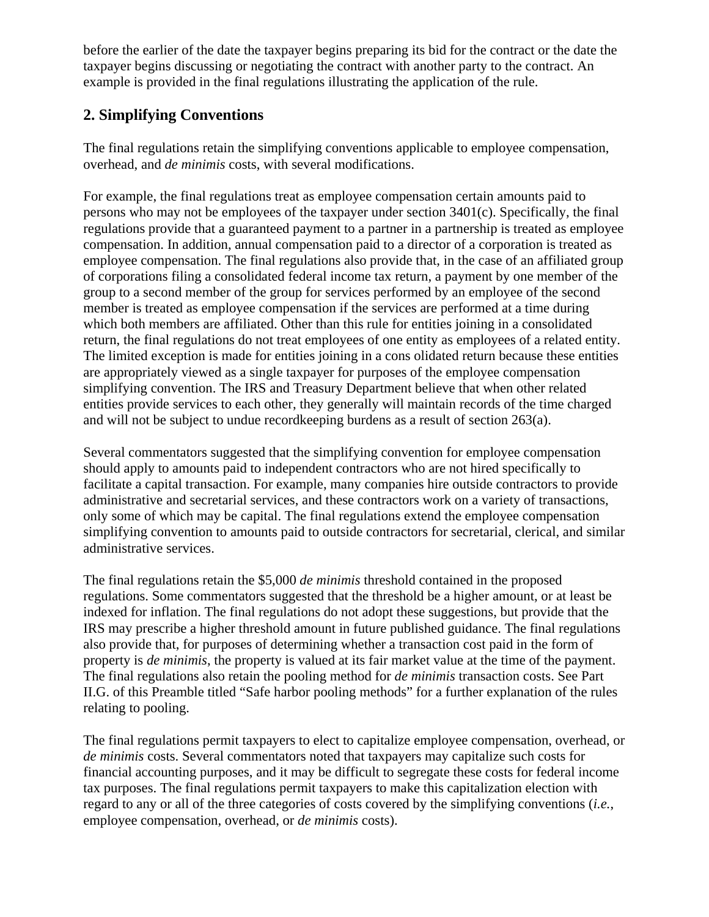before the earlier of the date the taxpayer begins preparing its bid for the contract or the date the taxpayer begins discussing or negotiating the contract with another party to the contract. An example is provided in the final regulations illustrating the application of the rule.

## **2. Simplifying Conventions**

The final regulations retain the simplifying conventions applicable to employee compensation, overhead, and *de minimis* costs, with several modifications.

For example, the final regulations treat as employee compensation certain amounts paid to persons who may not be employees of the taxpayer under section 3401(c). Specifically, the final regulations provide that a guaranteed payment to a partner in a partnership is treated as employee compensation. In addition, annual compensation paid to a director of a corporation is treated as employee compensation. The final regulations also provide that, in the case of an affiliated group of corporations filing a consolidated federal income tax return, a payment by one member of the group to a second member of the group for services performed by an employee of the second member is treated as employee compensation if the services are performed at a time during which both members are affiliated. Other than this rule for entities joining in a consolidated return, the final regulations do not treat employees of one entity as employees of a related entity. The limited exception is made for entities joining in a cons olidated return because these entities are appropriately viewed as a single taxpayer for purposes of the employee compensation simplifying convention. The IRS and Treasury Department believe that when other related entities provide services to each other, they generally will maintain records of the time charged and will not be subject to undue recordkeeping burdens as a result of section 263(a).

Several commentators suggested that the simplifying convention for employee compensation should apply to amounts paid to independent contractors who are not hired specifically to facilitate a capital transaction. For example, many companies hire outside contractors to provide administrative and secretarial services, and these contractors work on a variety of transactions, only some of which may be capital. The final regulations extend the employee compensation simplifying convention to amounts paid to outside contractors for secretarial, clerical, and similar administrative services.

The final regulations retain the \$5,000 *de minimis* threshold contained in the proposed regulations. Some commentators suggested that the threshold be a higher amount, or at least be indexed for inflation. The final regulations do not adopt these suggestions, but provide that the IRS may prescribe a higher threshold amount in future published guidance. The final regulations also provide that, for purposes of determining whether a transaction cost paid in the form of property is *de minimis*, the property is valued at its fair market value at the time of the payment. The final regulations also retain the pooling method for *de minimis* transaction costs. See Part II.G. of this Preamble titled "Safe harbor pooling methods" for a further explanation of the rules relating to pooling.

The final regulations permit taxpayers to elect to capitalize employee compensation, overhead, or *de minimis* costs. Several commentators noted that taxpayers may capitalize such costs for financial accounting purposes, and it may be difficult to segregate these costs for federal income tax purposes. The final regulations permit taxpayers to make this capitalization election with regard to any or all of the three categories of costs covered by the simplifying conventions (*i.e.*, employee compensation, overhead, or *de minimis* costs).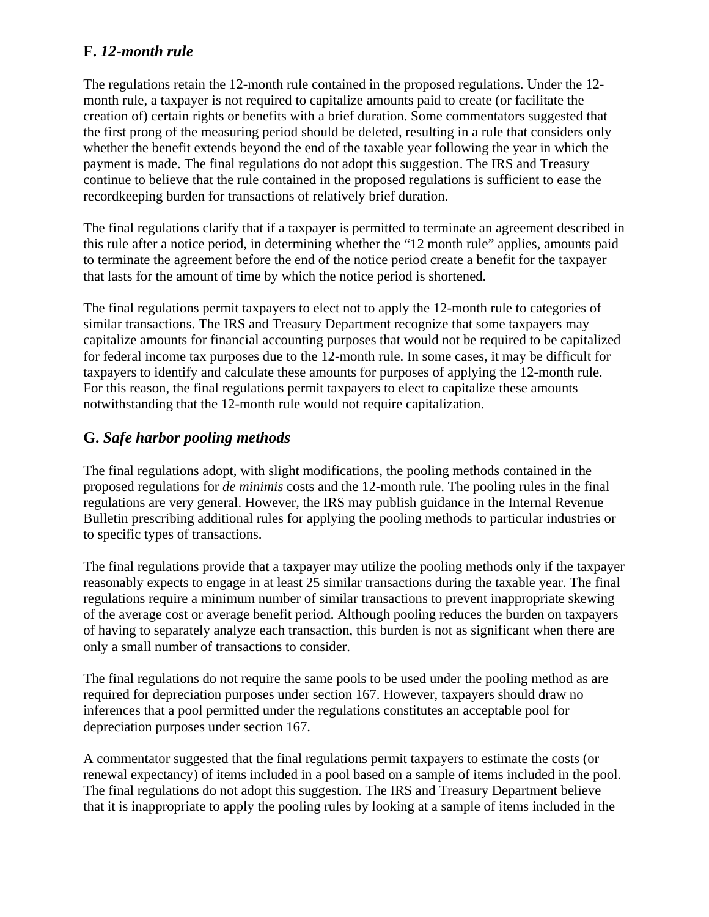### **F.** *12-month rule*

The regulations retain the 12-month rule contained in the proposed regulations. Under the 12 month rule, a taxpayer is not required to capitalize amounts paid to create (or facilitate the creation of) certain rights or benefits with a brief duration. Some commentators suggested that the first prong of the measuring period should be deleted, resulting in a rule that considers only whether the benefit extends beyond the end of the taxable year following the year in which the payment is made. The final regulations do not adopt this suggestion. The IRS and Treasury continue to believe that the rule contained in the proposed regulations is sufficient to ease the recordkeeping burden for transactions of relatively brief duration.

The final regulations clarify that if a taxpayer is permitted to terminate an agreement described in this rule after a notice period, in determining whether the "12 month rule" applies, amounts paid to terminate the agreement before the end of the notice period create a benefit for the taxpayer that lasts for the amount of time by which the notice period is shortened.

The final regulations permit taxpayers to elect not to apply the 12-month rule to categories of similar transactions. The IRS and Treasury Department recognize that some taxpayers may capitalize amounts for financial accounting purposes that would not be required to be capitalized for federal income tax purposes due to the 12-month rule. In some cases, it may be difficult for taxpayers to identify and calculate these amounts for purposes of applying the 12-month rule. For this reason, the final regulations permit taxpayers to elect to capitalize these amounts notwithstanding that the 12-month rule would not require capitalization.

## **G.** *Safe harbor pooling methods*

The final regulations adopt, with slight modifications, the pooling methods contained in the proposed regulations for *de minimis* costs and the 12-month rule. The pooling rules in the final regulations are very general. However, the IRS may publish guidance in the Internal Revenue Bulletin prescribing additional rules for applying the pooling methods to particular industries or to specific types of transactions.

The final regulations provide that a taxpayer may utilize the pooling methods only if the taxpayer reasonably expects to engage in at least 25 similar transactions during the taxable year. The final regulations require a minimum number of similar transactions to prevent inappropriate skewing of the average cost or average benefit period. Although pooling reduces the burden on taxpayers of having to separately analyze each transaction, this burden is not as significant when there are only a small number of transactions to consider.

The final regulations do not require the same pools to be used under the pooling method as are required for depreciation purposes under section 167. However, taxpayers should draw no inferences that a pool permitted under the regulations constitutes an acceptable pool for depreciation purposes under section 167.

A commentator suggested that the final regulations permit taxpayers to estimate the costs (or renewal expectancy) of items included in a pool based on a sample of items included in the pool. The final regulations do not adopt this suggestion. The IRS and Treasury Department believe that it is inappropriate to apply the pooling rules by looking at a sample of items included in the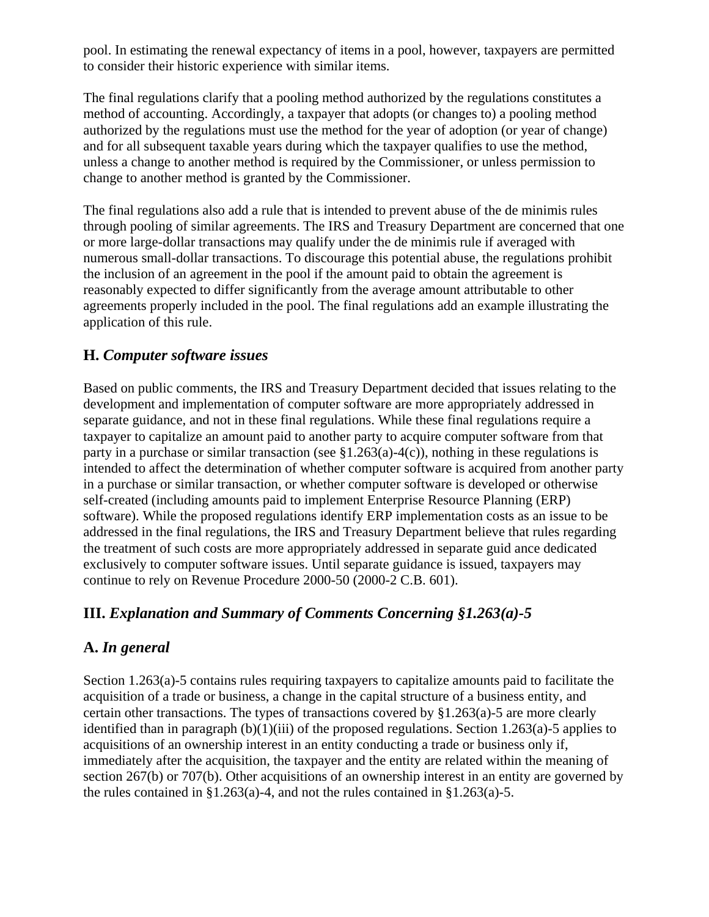pool. In estimating the renewal expectancy of items in a pool, however, taxpayers are permitted to consider their historic experience with similar items.

The final regulations clarify that a pooling method authorized by the regulations constitutes a method of accounting. Accordingly, a taxpayer that adopts (or changes to) a pooling method authorized by the regulations must use the method for the year of adoption (or year of change) and for all subsequent taxable years during which the taxpayer qualifies to use the method, unless a change to another method is required by the Commissioner, or unless permission to change to another method is granted by the Commissioner.

The final regulations also add a rule that is intended to prevent abuse of the de minimis rules through pooling of similar agreements. The IRS and Treasury Department are concerned that one or more large-dollar transactions may qualify under the de minimis rule if averaged with numerous small-dollar transactions. To discourage this potential abuse, the regulations prohibit the inclusion of an agreement in the pool if the amount paid to obtain the agreement is reasonably expected to differ significantly from the average amount attributable to other agreements properly included in the pool. The final regulations add an example illustrating the application of this rule.

## **H.** *Computer software issues*

Based on public comments, the IRS and Treasury Department decided that issues relating to the development and implementation of computer software are more appropriately addressed in separate guidance, and not in these final regulations. While these final regulations require a taxpayer to capitalize an amount paid to another party to acquire computer software from that party in a purchase or similar transaction (see  $$1.263(a)-4(c)$ ), nothing in these regulations is intended to affect the determination of whether computer software is acquired from another party in a purchase or similar transaction, or whether computer software is developed or otherwise self-created (including amounts paid to implement Enterprise Resource Planning (ERP) software). While the proposed regulations identify ERP implementation costs as an issue to be addressed in the final regulations, the IRS and Treasury Department believe that rules regarding the treatment of such costs are more appropriately addressed in separate guid ance dedicated exclusively to computer software issues. Until separate guidance is issued, taxpayers may continue to rely on Revenue Procedure 2000-50 (2000-2 C.B. 601).

# **III.** *Explanation and Summary of Comments Concerning §1.263(a)-5*

# **A.** *In general*

Section 1.263(a)-5 contains rules requiring taxpayers to capitalize amounts paid to facilitate the acquisition of a trade or business, a change in the capital structure of a business entity, and certain other transactions. The types of transactions covered by §1.263(a)-5 are more clearly identified than in paragraph  $(b)(1)(iii)$  of the proposed regulations. Section 1.263(a)-5 applies to acquisitions of an ownership interest in an entity conducting a trade or business only if, immediately after the acquisition, the taxpayer and the entity are related within the meaning of section 267(b) or 707(b). Other acquisitions of an ownership interest in an entity are governed by the rules contained in §1.263(a)-4, and not the rules contained in §1.263(a)-5.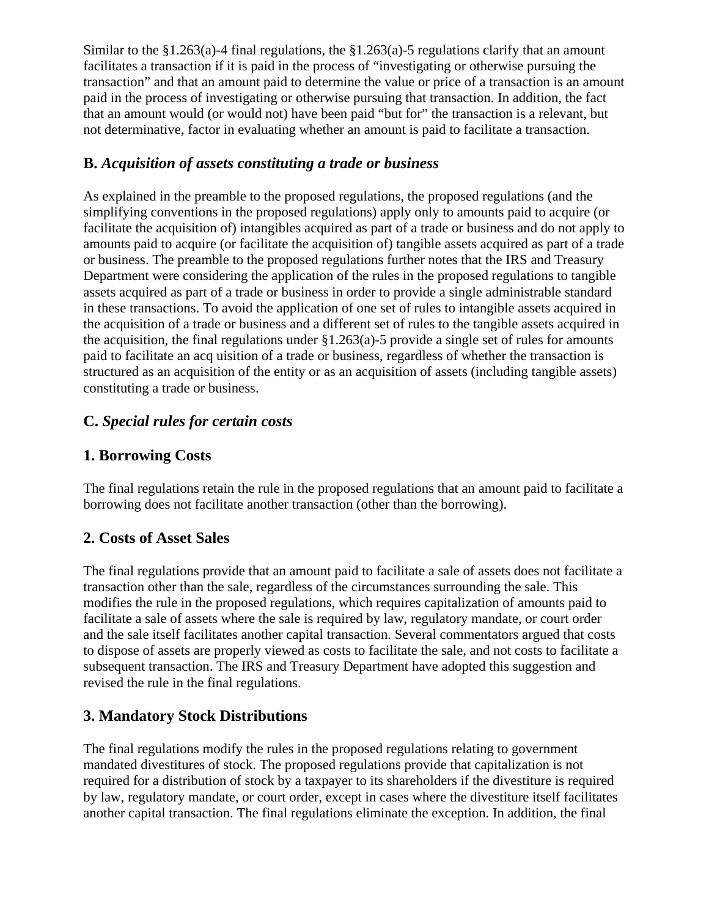Similar to the  $\S1.263(a)$ -4 final regulations, the  $\S1.263(a)$ -5 regulations clarify that an amount facilitates a transaction if it is paid in the process of "investigating or otherwise pursuing the transaction" and that an amount paid to determine the value or price of a transaction is an amount paid in the process of investigating or otherwise pursuing that transaction. In addition, the fact that an amount would (or would not) have been paid "but for" the transaction is a relevant, but not determinative, factor in evaluating whether an amount is paid to facilitate a transaction.

## **B.** *Acquisition of assets constituting a trade or business*

As explained in the preamble to the proposed regulations, the proposed regulations (and the simplifying conventions in the proposed regulations) apply only to amounts paid to acquire (or facilitate the acquisition of) intangibles acquired as part of a trade or business and do not apply to amounts paid to acquire (or facilitate the acquisition of) tangible assets acquired as part of a trade or business. The preamble to the proposed regulations further notes that the IRS and Treasury Department were considering the application of the rules in the proposed regulations to tangible assets acquired as part of a trade or business in order to provide a single administrable standard in these transactions. To avoid the application of one set of rules to intangible assets acquired in the acquisition of a trade or business and a different set of rules to the tangible assets acquired in the acquisition, the final regulations under  $\S1.263(a)$ -5 provide a single set of rules for amounts paid to facilitate an acq uisition of a trade or business, regardless of whether the transaction is structured as an acquisition of the entity or as an acquisition of assets (including tangible assets) constituting a trade or business.

# **C.** *Special rules for certain costs*

## **1. Borrowing Costs**

The final regulations retain the rule in the proposed regulations that an amount paid to facilitate a borrowing does not facilitate another transaction (other than the borrowing).

## **2. Costs of Asset Sales**

The final regulations provide that an amount paid to facilitate a sale of assets does not facilitate a transaction other than the sale, regardless of the circumstances surrounding the sale. This modifies the rule in the proposed regulations, which requires capitalization of amounts paid to facilitate a sale of assets where the sale is required by law, regulatory mandate, or court order and the sale itself facilitates another capital transaction. Several commentators argued that costs to dispose of assets are properly viewed as costs to facilitate the sale, and not costs to facilitate a subsequent transaction. The IRS and Treasury Department have adopted this suggestion and revised the rule in the final regulations.

## **3. Mandatory Stock Distributions**

The final regulations modify the rules in the proposed regulations relating to government mandated divestitures of stock. The proposed regulations provide that capitalization is not required for a distribution of stock by a taxpayer to its shareholders if the divestiture is required by law, regulatory mandate, or court order, except in cases where the divestiture itself facilitates another capital transaction. The final regulations eliminate the exception. In addition, the final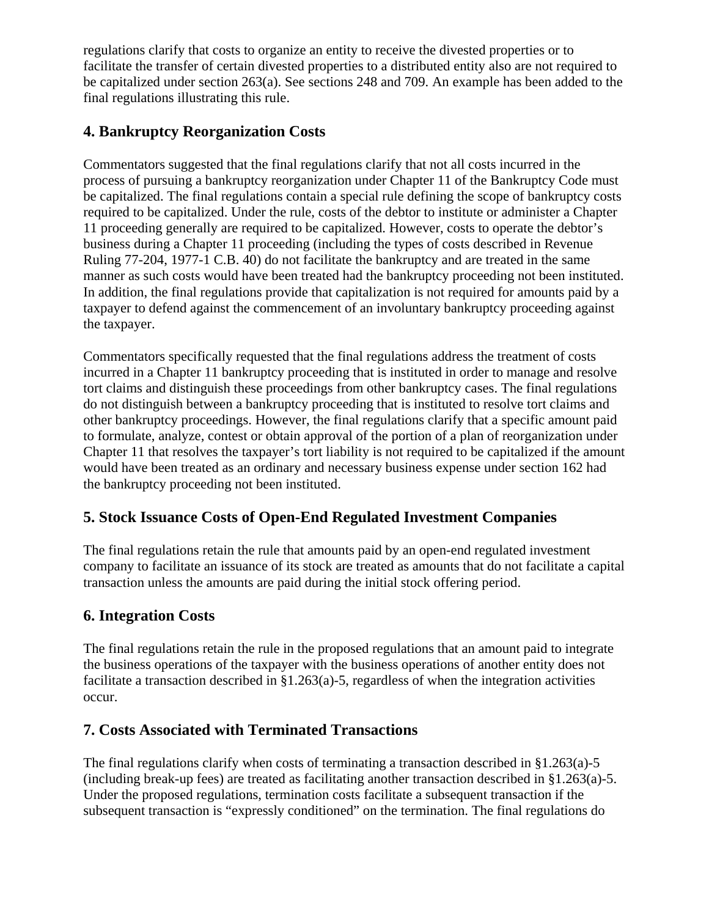regulations clarify that costs to organize an entity to receive the divested properties or to facilitate the transfer of certain divested properties to a distributed entity also are not required to be capitalized under section 263(a). See sections 248 and 709. An example has been added to the final regulations illustrating this rule.

## **4. Bankruptcy Reorganization Costs**

Commentators suggested that the final regulations clarify that not all costs incurred in the process of pursuing a bankruptcy reorganization under Chapter 11 of the Bankruptcy Code must be capitalized. The final regulations contain a special rule defining the scope of bankruptcy costs required to be capitalized. Under the rule, costs of the debtor to institute or administer a Chapter 11 proceeding generally are required to be capitalized. However, costs to operate the debtor's business during a Chapter 11 proceeding (including the types of costs described in Revenue Ruling 77-204, 1977-1 C.B. 40) do not facilitate the bankruptcy and are treated in the same manner as such costs would have been treated had the bankruptcy proceeding not been instituted. In addition, the final regulations provide that capitalization is not required for amounts paid by a taxpayer to defend against the commencement of an involuntary bankruptcy proceeding against the taxpayer.

Commentators specifically requested that the final regulations address the treatment of costs incurred in a Chapter 11 bankruptcy proceeding that is instituted in order to manage and resolve tort claims and distinguish these proceedings from other bankruptcy cases. The final regulations do not distinguish between a bankruptcy proceeding that is instituted to resolve tort claims and other bankruptcy proceedings. However, the final regulations clarify that a specific amount paid to formulate, analyze, contest or obtain approval of the portion of a plan of reorganization under Chapter 11 that resolves the taxpayer's tort liability is not required to be capitalized if the amount would have been treated as an ordinary and necessary business expense under section 162 had the bankruptcy proceeding not been instituted.

## **5. Stock Issuance Costs of Open-End Regulated Investment Companies**

The final regulations retain the rule that amounts paid by an open-end regulated investment company to facilitate an issuance of its stock are treated as amounts that do not facilitate a capital transaction unless the amounts are paid during the initial stock offering period.

## **6. Integration Costs**

The final regulations retain the rule in the proposed regulations that an amount paid to integrate the business operations of the taxpayer with the business operations of another entity does not facilitate a transaction described in §1.263(a)-5, regardless of when the integration activities occur.

#### **7. Costs Associated with Terminated Transactions**

The final regulations clarify when costs of terminating a transaction described in  $\S1.263(a)$ -5 (including break-up fees) are treated as facilitating another transaction described in §1.263(a)-5. Under the proposed regulations, termination costs facilitate a subsequent transaction if the subsequent transaction is "expressly conditioned" on the termination. The final regulations do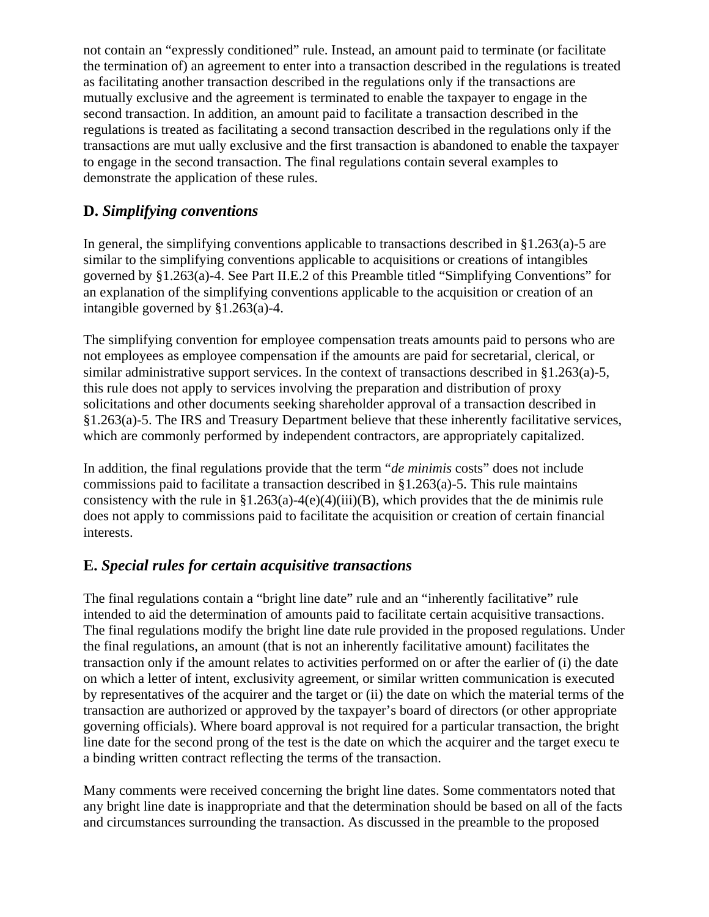not contain an "expressly conditioned" rule. Instead, an amount paid to terminate (or facilitate the termination of) an agreement to enter into a transaction described in the regulations is treated as facilitating another transaction described in the regulations only if the transactions are mutually exclusive and the agreement is terminated to enable the taxpayer to engage in the second transaction. In addition, an amount paid to facilitate a transaction described in the regulations is treated as facilitating a second transaction described in the regulations only if the transactions are mut ually exclusive and the first transaction is abandoned to enable the taxpayer to engage in the second transaction. The final regulations contain several examples to demonstrate the application of these rules.

## **D.** *Simplifying conventions*

In general, the simplifying conventions applicable to transactions described in §1.263(a)-5 are similar to the simplifying conventions applicable to acquisitions or creations of intangibles governed by §1.263(a)-4. See Part II.E.2 of this Preamble titled "Simplifying Conventions" for an explanation of the simplifying conventions applicable to the acquisition or creation of an intangible governed by §1.263(a)-4.

The simplifying convention for employee compensation treats amounts paid to persons who are not employees as employee compensation if the amounts are paid for secretarial, clerical, or similar administrative support services. In the context of transactions described in §1.263(a)-5, this rule does not apply to services involving the preparation and distribution of proxy solicitations and other documents seeking shareholder approval of a transaction described in §1.263(a)-5. The IRS and Treasury Department believe that these inherently facilitative services, which are commonly performed by independent contractors, are appropriately capitalized.

In addition, the final regulations provide that the term "*de minimis* costs" does not include commissions paid to facilitate a transaction described in §1.263(a)-5. This rule maintains consistency with the rule in §1.263(a)-4(e)(4)(iii)(B), which provides that the de minimis rule does not apply to commissions paid to facilitate the acquisition or creation of certain financial interests.

## **E.** *Special rules for certain acquisitive transactions*

The final regulations contain a "bright line date" rule and an "inherently facilitative" rule intended to aid the determination of amounts paid to facilitate certain acquisitive transactions. The final regulations modify the bright line date rule provided in the proposed regulations. Under the final regulations, an amount (that is not an inherently facilitative amount) facilitates the transaction only if the amount relates to activities performed on or after the earlier of (i) the date on which a letter of intent, exclusivity agreement, or similar written communication is executed by representatives of the acquirer and the target or (ii) the date on which the material terms of the transaction are authorized or approved by the taxpayer's board of directors (or other appropriate governing officials). Where board approval is not required for a particular transaction, the bright line date for the second prong of the test is the date on which the acquirer and the target execu te a binding written contract reflecting the terms of the transaction.

Many comments were received concerning the bright line dates. Some commentators noted that any bright line date is inappropriate and that the determination should be based on all of the facts and circumstances surrounding the transaction. As discussed in the preamble to the proposed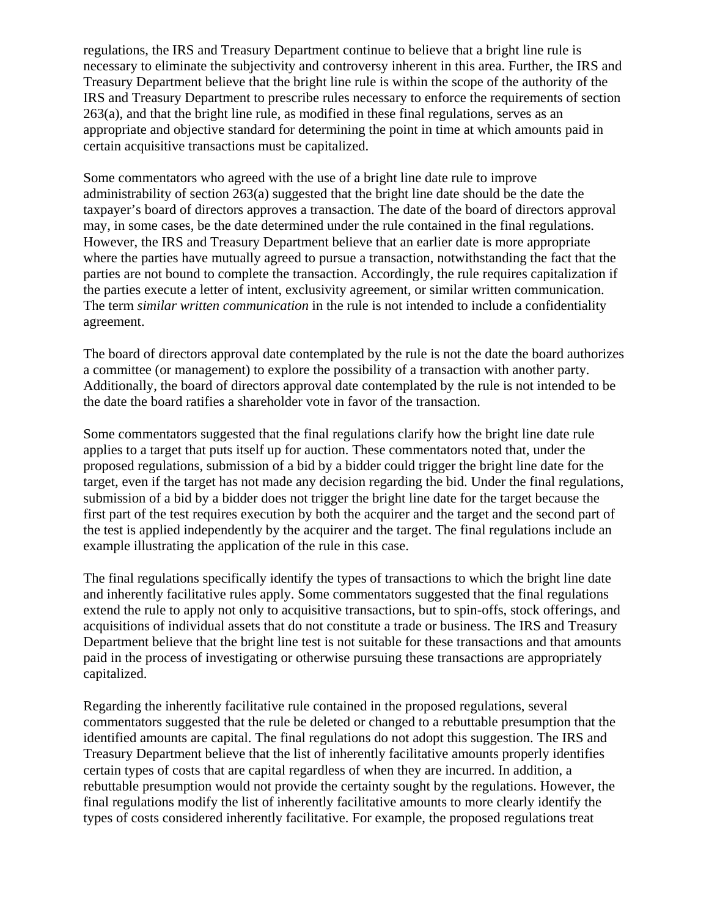regulations, the IRS and Treasury Department continue to believe that a bright line rule is necessary to eliminate the subjectivity and controversy inherent in this area. Further, the IRS and Treasury Department believe that the bright line rule is within the scope of the authority of the IRS and Treasury Department to prescribe rules necessary to enforce the requirements of section 263(a), and that the bright line rule, as modified in these final regulations, serves as an appropriate and objective standard for determining the point in time at which amounts paid in certain acquisitive transactions must be capitalized.

Some commentators who agreed with the use of a bright line date rule to improve administrability of section 263(a) suggested that the bright line date should be the date the taxpayer's board of directors approves a transaction. The date of the board of directors approval may, in some cases, be the date determined under the rule contained in the final regulations. However, the IRS and Treasury Department believe that an earlier date is more appropriate where the parties have mutually agreed to pursue a transaction, notwithstanding the fact that the parties are not bound to complete the transaction. Accordingly, the rule requires capitalization if the parties execute a letter of intent, exclusivity agreement, or similar written communication. The term *similar written communication* in the rule is not intended to include a confidentiality agreement.

The board of directors approval date contemplated by the rule is not the date the board authorizes a committee (or management) to explore the possibility of a transaction with another party. Additionally, the board of directors approval date contemplated by the rule is not intended to be the date the board ratifies a shareholder vote in favor of the transaction.

Some commentators suggested that the final regulations clarify how the bright line date rule applies to a target that puts itself up for auction. These commentators noted that, under the proposed regulations, submission of a bid by a bidder could trigger the bright line date for the target, even if the target has not made any decision regarding the bid. Under the final regulations, submission of a bid by a bidder does not trigger the bright line date for the target because the first part of the test requires execution by both the acquirer and the target and the second part of the test is applied independently by the acquirer and the target. The final regulations include an example illustrating the application of the rule in this case.

The final regulations specifically identify the types of transactions to which the bright line date and inherently facilitative rules apply. Some commentators suggested that the final regulations extend the rule to apply not only to acquisitive transactions, but to spin-offs, stock offerings, and acquisitions of individual assets that do not constitute a trade or business. The IRS and Treasury Department believe that the bright line test is not suitable for these transactions and that amounts paid in the process of investigating or otherwise pursuing these transactions are appropriately capitalized.

Regarding the inherently facilitative rule contained in the proposed regulations, several commentators suggested that the rule be deleted or changed to a rebuttable presumption that the identified amounts are capital. The final regulations do not adopt this suggestion. The IRS and Treasury Department believe that the list of inherently facilitative amounts properly identifies certain types of costs that are capital regardless of when they are incurred. In addition, a rebuttable presumption would not provide the certainty sought by the regulations. However, the final regulations modify the list of inherently facilitative amounts to more clearly identify the types of costs considered inherently facilitative. For example, the proposed regulations treat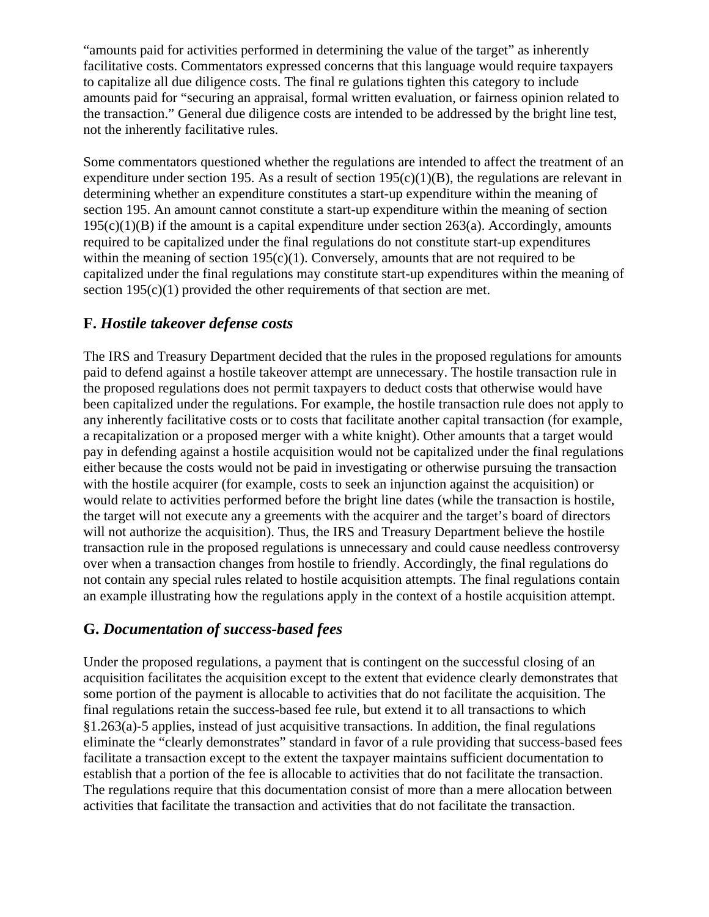"amounts paid for activities performed in determining the value of the target" as inherently facilitative costs. Commentators expressed concerns that this language would require taxpayers to capitalize all due diligence costs. The final re gulations tighten this category to include amounts paid for "securing an appraisal, formal written evaluation, or fairness opinion related to the transaction." General due diligence costs are intended to be addressed by the bright line test, not the inherently facilitative rules.

Some commentators questioned whether the regulations are intended to affect the treatment of an expenditure under section 195. As a result of section  $195(c)(1)(B)$ , the regulations are relevant in determining whether an expenditure constitutes a start-up expenditure within the meaning of section 195. An amount cannot constitute a start-up expenditure within the meaning of section  $195(c)(1)(B)$  if the amount is a capital expenditure under section 263(a). Accordingly, amounts required to be capitalized under the final regulations do not constitute start-up expenditures within the meaning of section  $195(c)(1)$ . Conversely, amounts that are not required to be capitalized under the final regulations may constitute start-up expenditures within the meaning of section  $195(c)(1)$  provided the other requirements of that section are met.

## **F.** *Hostile takeover defense costs*

The IRS and Treasury Department decided that the rules in the proposed regulations for amounts paid to defend against a hostile takeover attempt are unnecessary. The hostile transaction rule in the proposed regulations does not permit taxpayers to deduct costs that otherwise would have been capitalized under the regulations. For example, the hostile transaction rule does not apply to any inherently facilitative costs or to costs that facilitate another capital transaction (for example, a recapitalization or a proposed merger with a white knight). Other amounts that a target would pay in defending against a hostile acquisition would not be capitalized under the final regulations either because the costs would not be paid in investigating or otherwise pursuing the transaction with the hostile acquirer (for example, costs to seek an injunction against the acquisition) or would relate to activities performed before the bright line dates (while the transaction is hostile, the target will not execute any a greements with the acquirer and the target's board of directors will not authorize the acquisition). Thus, the IRS and Treasury Department believe the hostile transaction rule in the proposed regulations is unnecessary and could cause needless controversy over when a transaction changes from hostile to friendly. Accordingly, the final regulations do not contain any special rules related to hostile acquisition attempts. The final regulations contain an example illustrating how the regulations apply in the context of a hostile acquisition attempt.

## **G.** *Documentation of success-based fees*

Under the proposed regulations, a payment that is contingent on the successful closing of an acquisition facilitates the acquisition except to the extent that evidence clearly demonstrates that some portion of the payment is allocable to activities that do not facilitate the acquisition. The final regulations retain the success-based fee rule, but extend it to all transactions to which §1.263(a)-5 applies, instead of just acquisitive transactions. In addition, the final regulations eliminate the "clearly demonstrates" standard in favor of a rule providing that success-based fees facilitate a transaction except to the extent the taxpayer maintains sufficient documentation to establish that a portion of the fee is allocable to activities that do not facilitate the transaction. The regulations require that this documentation consist of more than a mere allocation between activities that facilitate the transaction and activities that do not facilitate the transaction.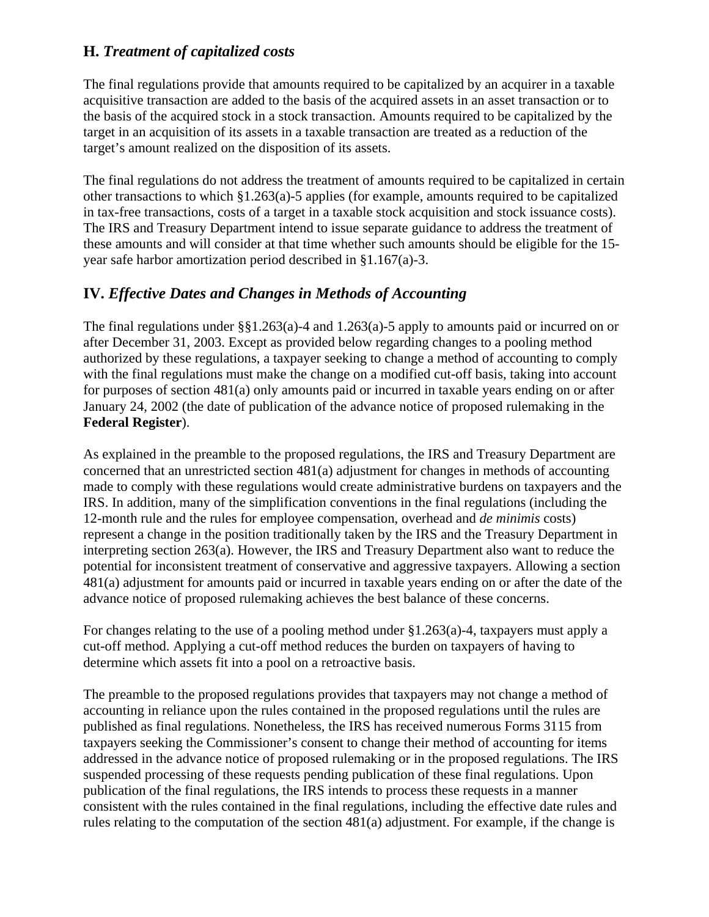#### **H.** *Treatment of capitalized costs*

The final regulations provide that amounts required to be capitalized by an acquirer in a taxable acquisitive transaction are added to the basis of the acquired assets in an asset transaction or to the basis of the acquired stock in a stock transaction. Amounts required to be capitalized by the target in an acquisition of its assets in a taxable transaction are treated as a reduction of the target's amount realized on the disposition of its assets.

The final regulations do not address the treatment of amounts required to be capitalized in certain other transactions to which §1.263(a)-5 applies (for example, amounts required to be capitalized in tax-free transactions, costs of a target in a taxable stock acquisition and stock issuance costs). The IRS and Treasury Department intend to issue separate guidance to address the treatment of these amounts and will consider at that time whether such amounts should be eligible for the 15 year safe harbor amortization period described in §1.167(a)-3.

## **IV.** *Effective Dates and Changes in Methods of Accounting*

The final regulations under §§1.263(a)-4 and 1.263(a)-5 apply to amounts paid or incurred on or after December 31, 2003. Except as provided below regarding changes to a pooling method authorized by these regulations, a taxpayer seeking to change a method of accounting to comply with the final regulations must make the change on a modified cut-off basis, taking into account for purposes of section 481(a) only amounts paid or incurred in taxable years ending on or after January 24, 2002 (the date of publication of the advance notice of proposed rulemaking in the **Federal Register**).

As explained in the preamble to the proposed regulations, the IRS and Treasury Department are concerned that an unrestricted section 481(a) adjustment for changes in methods of accounting made to comply with these regulations would create administrative burdens on taxpayers and the IRS. In addition, many of the simplification conventions in the final regulations (including the 12-month rule and the rules for employee compensation, overhead and *de minimis* costs) represent a change in the position traditionally taken by the IRS and the Treasury Department in interpreting section 263(a). However, the IRS and Treasury Department also want to reduce the potential for inconsistent treatment of conservative and aggressive taxpayers. Allowing a section 481(a) adjustment for amounts paid or incurred in taxable years ending on or after the date of the advance notice of proposed rulemaking achieves the best balance of these concerns.

For changes relating to the use of a pooling method under §1.263(a)-4, taxpayers must apply a cut-off method. Applying a cut-off method reduces the burden on taxpayers of having to determine which assets fit into a pool on a retroactive basis.

The preamble to the proposed regulations provides that taxpayers may not change a method of accounting in reliance upon the rules contained in the proposed regulations until the rules are published as final regulations. Nonetheless, the IRS has received numerous Forms 3115 from taxpayers seeking the Commissioner's consent to change their method of accounting for items addressed in the advance notice of proposed rulemaking or in the proposed regulations. The IRS suspended processing of these requests pending publication of these final regulations. Upon publication of the final regulations, the IRS intends to process these requests in a manner consistent with the rules contained in the final regulations, including the effective date rules and rules relating to the computation of the section 481(a) adjustment. For example, if the change is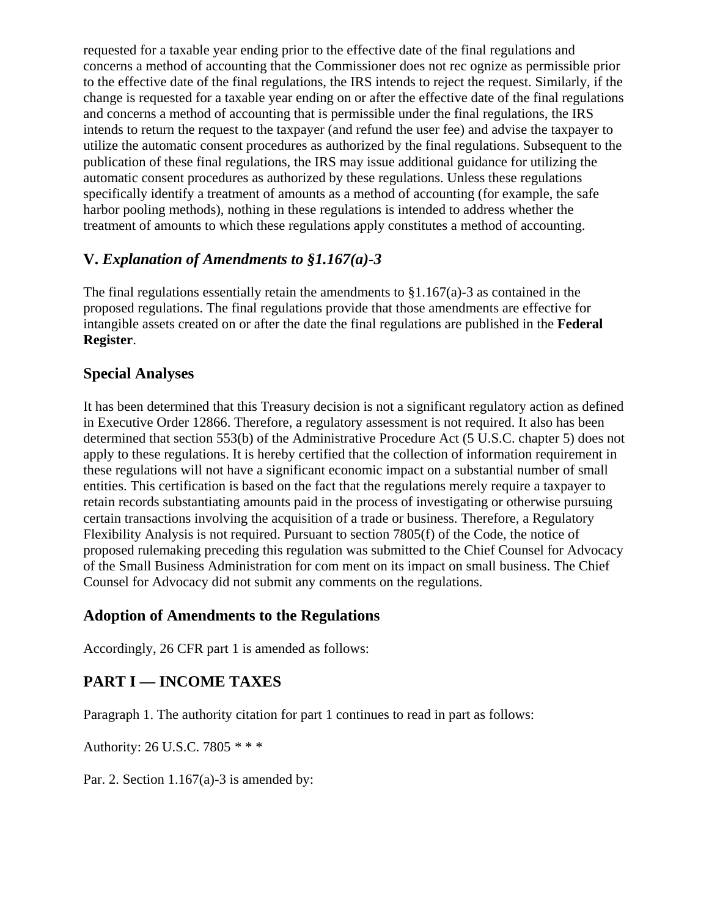requested for a taxable year ending prior to the effective date of the final regulations and concerns a method of accounting that the Commissioner does not rec ognize as permissible prior to the effective date of the final regulations, the IRS intends to reject the request. Similarly, if the change is requested for a taxable year ending on or after the effective date of the final regulations and concerns a method of accounting that is permissible under the final regulations, the IRS intends to return the request to the taxpayer (and refund the user fee) and advise the taxpayer to utilize the automatic consent procedures as authorized by the final regulations. Subsequent to the publication of these final regulations, the IRS may issue additional guidance for utilizing the automatic consent procedures as authorized by these regulations. Unless these regulations specifically identify a treatment of amounts as a method of accounting (for example, the safe harbor pooling methods), nothing in these regulations is intended to address whether the treatment of amounts to which these regulations apply constitutes a method of accounting.

### **V.** *Explanation of Amendments to §1.167(a)-3*

The final regulations essentially retain the amendments to  $\S1.167(a)$ -3 as contained in the proposed regulations. The final regulations provide that those amendments are effective for intangible assets created on or after the date the final regulations are published in the **Federal Register**.

#### **Special Analyses**

It has been determined that this Treasury decision is not a significant regulatory action as defined in Executive Order 12866. Therefore, a regulatory assessment is not required. It also has been determined that section 553(b) of the Administrative Procedure Act (5 U.S.C. chapter 5) does not apply to these regulations. It is hereby certified that the collection of information requirement in these regulations will not have a significant economic impact on a substantial number of small entities. This certification is based on the fact that the regulations merely require a taxpayer to retain records substantiating amounts paid in the process of investigating or otherwise pursuing certain transactions involving the acquisition of a trade or business. Therefore, a Regulatory Flexibility Analysis is not required. Pursuant to section 7805(f) of the Code, the notice of proposed rulemaking preceding this regulation was submitted to the Chief Counsel for Advocacy of the Small Business Administration for com ment on its impact on small business. The Chief Counsel for Advocacy did not submit any comments on the regulations.

#### **Adoption of Amendments to the Regulations**

Accordingly, 26 CFR part 1 is amended as follows:

## **PART I — INCOME TAXES**

Paragraph 1. The authority citation for part 1 continues to read in part as follows:

Authority: 26 U.S.C. 7805 *\* \* \**

Par. 2. Section 1.167(a)-3 is amended by: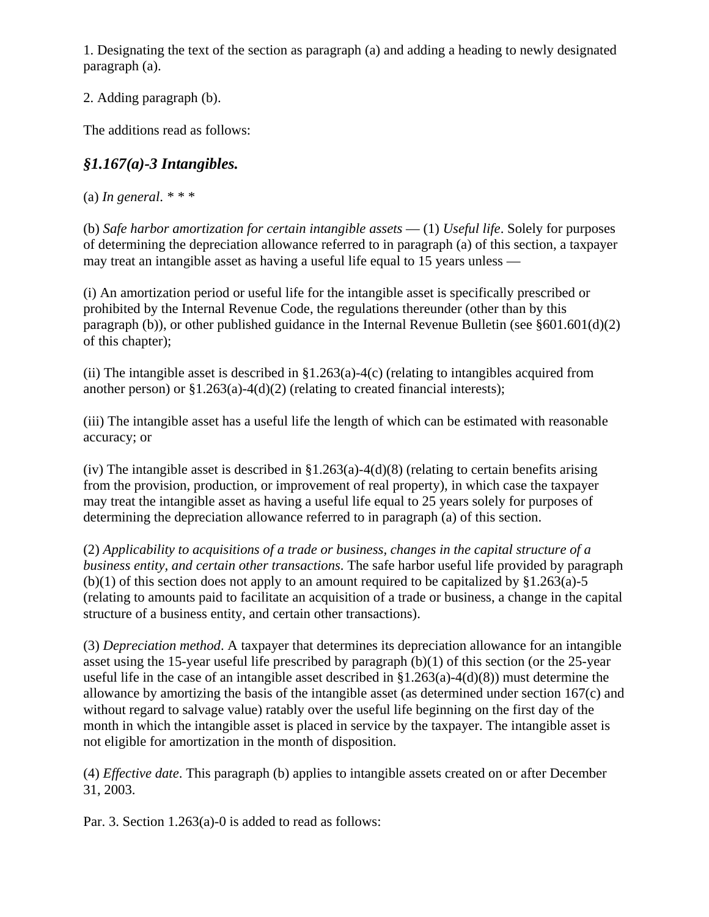1. Designating the text of the section as paragraph (a) and adding a heading to newly designated paragraph (a).

2. Adding paragraph (b).

The additions read as follows:

# *§1.167(a)-3 Intangibles.*

(a) *In general*. *\* \* \**

(b) *Safe harbor amortization for certain intangible assets* — (1) *Useful life*. Solely for purposes of determining the depreciation allowance referred to in paragraph (a) of this section, a taxpayer may treat an intangible asset as having a useful life equal to 15 years unless —

(i) An amortization period or useful life for the intangible asset is specifically prescribed or prohibited by the Internal Revenue Code, the regulations thereunder (other than by this paragraph (b)), or other published guidance in the Internal Revenue Bulletin (see §601.601(d)(2) of this chapter);

(ii) The intangible asset is described in  $\S1.263(a) - 4(c)$  (relating to intangibles acquired from another person) or  $\S1.263(a) - 4(d)(2)$  (relating to created financial interests);

(iii) The intangible asset has a useful life the length of which can be estimated with reasonable accuracy; or

(iv) The intangible asset is described in  $\S1.263(a) - 4(d)(8)$  (relating to certain benefits arising from the provision, production, or improvement of real property), in which case the taxpayer may treat the intangible asset as having a useful life equal to 25 years solely for purposes of determining the depreciation allowance referred to in paragraph (a) of this section.

(2) *Applicability to acquisitions of a trade or business, changes in the capital structure of a business entity, and certain other transactions*. The safe harbor useful life provided by paragraph (b)(1) of this section does not apply to an amount required to be capitalized by  $§1.263(a)-5$ (relating to amounts paid to facilitate an acquisition of a trade or business, a change in the capital structure of a business entity, and certain other transactions).

(3) *Depreciation method*. A taxpayer that determines its depreciation allowance for an intangible asset using the 15-year useful life prescribed by paragraph (b)(1) of this section (or the 25-year useful life in the case of an intangible asset described in  $\S1.263(a) - 4(d)(8)$  must determine the allowance by amortizing the basis of the intangible asset (as determined under section 167(c) and without regard to salvage value) ratably over the useful life beginning on the first day of the month in which the intangible asset is placed in service by the taxpayer. The intangible asset is not eligible for amortization in the month of disposition.

(4) *Effective date*. This paragraph (b) applies to intangible assets created on or after December 31, 2003.

Par. 3. Section 1.263(a)-0 is added to read as follows: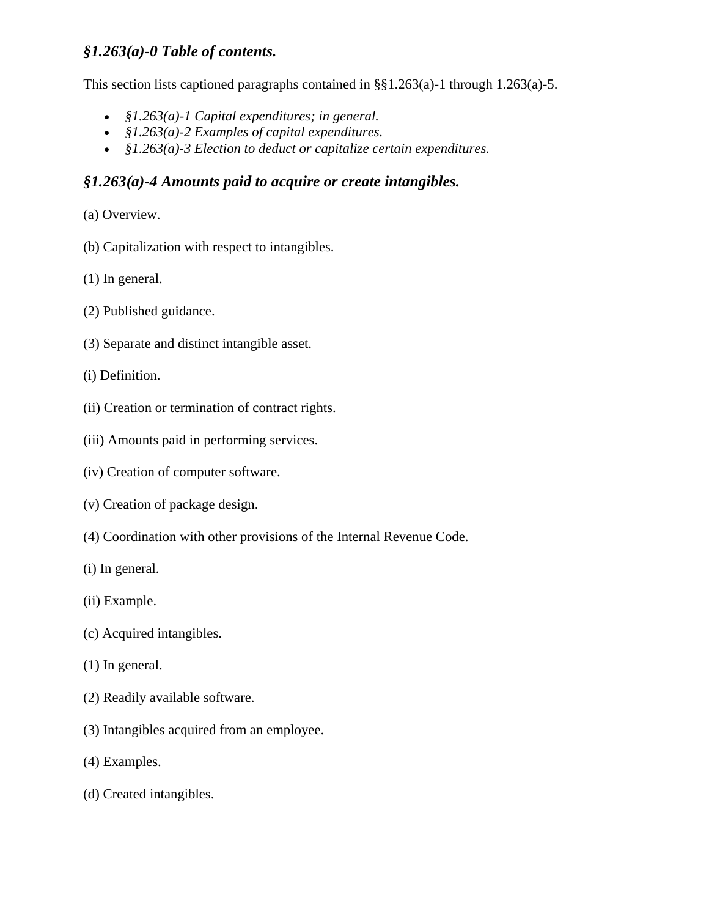### *§1.263(a)-0 Table of contents.*

This section lists captioned paragraphs contained in §§1.263(a)-1 through 1.263(a)-5.

- *§1.263(a)-1 Capital expenditures; in general.*
- *§1.263(a)-2 Examples of capital expenditures.*
- *§1.263(a)-3 Election to deduct or capitalize certain expenditures.*

### *§1.263(a)-4 Amounts paid to acquire or create intangibles.*

- (a) Overview.
- (b) Capitalization with respect to intangibles.
- (1) In general.
- (2) Published guidance.
- (3) Separate and distinct intangible asset.
- (i) Definition.
- (ii) Creation or termination of contract rights.
- (iii) Amounts paid in performing services.
- (iv) Creation of computer software.
- (v) Creation of package design.
- (4) Coordination with other provisions of the Internal Revenue Code.
- (i) In general.
- (ii) Example.
- (c) Acquired intangibles.
- (1) In general.
- (2) Readily available software.
- (3) Intangibles acquired from an employee.
- (4) Examples.
- (d) Created intangibles.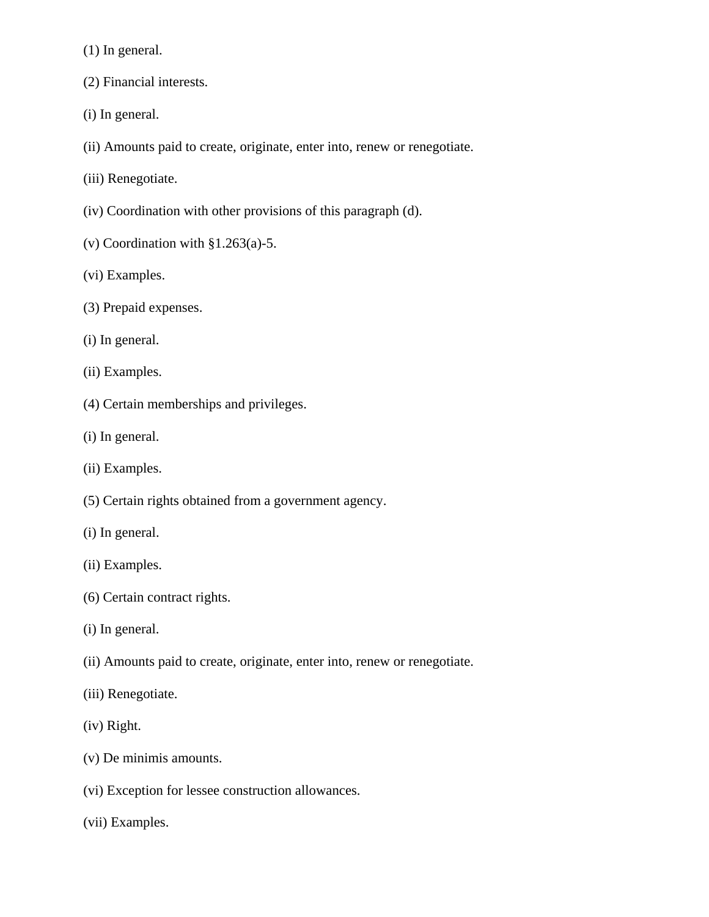(1) In general.

- (2) Financial interests.
- (i) In general.
- (ii) Amounts paid to create, originate, enter into, renew or renegotiate.
- (iii) Renegotiate.
- (iv) Coordination with other provisions of this paragraph (d).
- (v) Coordination with §1.263(a)-5.
- (vi) Examples.
- (3) Prepaid expenses.
- (i) In general.
- (ii) Examples.
- (4) Certain memberships and privileges.
- (i) In general.
- (ii) Examples.
- (5) Certain rights obtained from a government agency.
- (i) In general.
- (ii) Examples.
- (6) Certain contract rights.
- (i) In general.
- (ii) Amounts paid to create, originate, enter into, renew or renegotiate.
- (iii) Renegotiate.
- (iv) Right.
- (v) De minimis amounts.
- (vi) Exception for lessee construction allowances.
- (vii) Examples.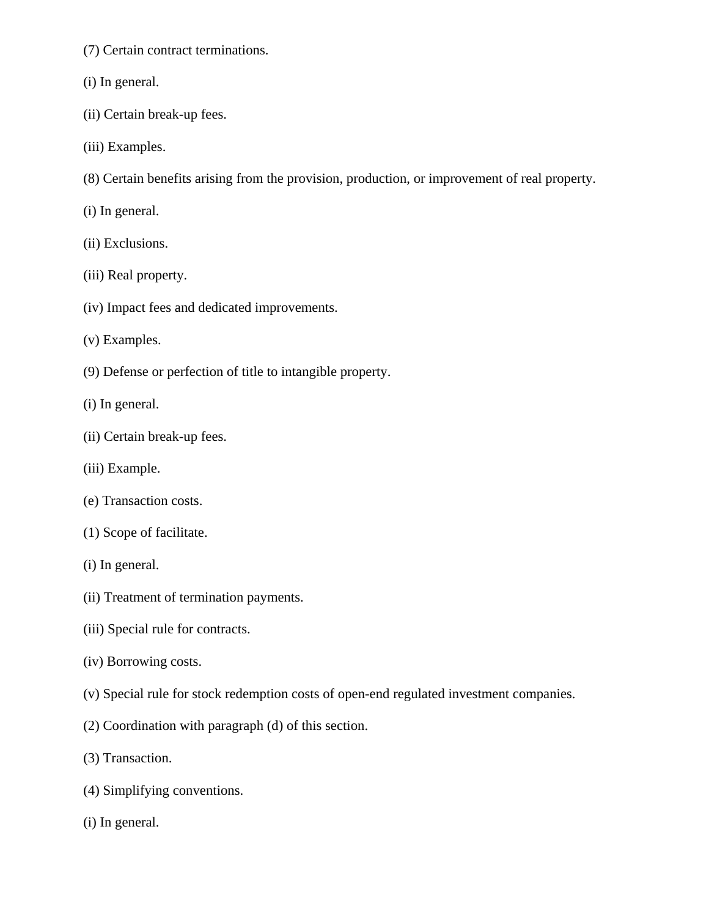- (7) Certain contract terminations.
- (i) In general.
- (ii) Certain break-up fees.
- (iii) Examples.
- (8) Certain benefits arising from the provision, production, or improvement of real property.
- (i) In general.
- (ii) Exclusions.
- (iii) Real property.
- (iv) Impact fees and dedicated improvements.
- (v) Examples.
- (9) Defense or perfection of title to intangible property.
- (i) In general.
- (ii) Certain break-up fees.
- (iii) Example.
- (e) Transaction costs.
- (1) Scope of facilitate.
- (i) In general.
- (ii) Treatment of termination payments.
- (iii) Special rule for contracts.
- (iv) Borrowing costs.
- (v) Special rule for stock redemption costs of open-end regulated investment companies.
- (2) Coordination with paragraph (d) of this section.
- (3) Transaction.
- (4) Simplifying conventions.
- (i) In general.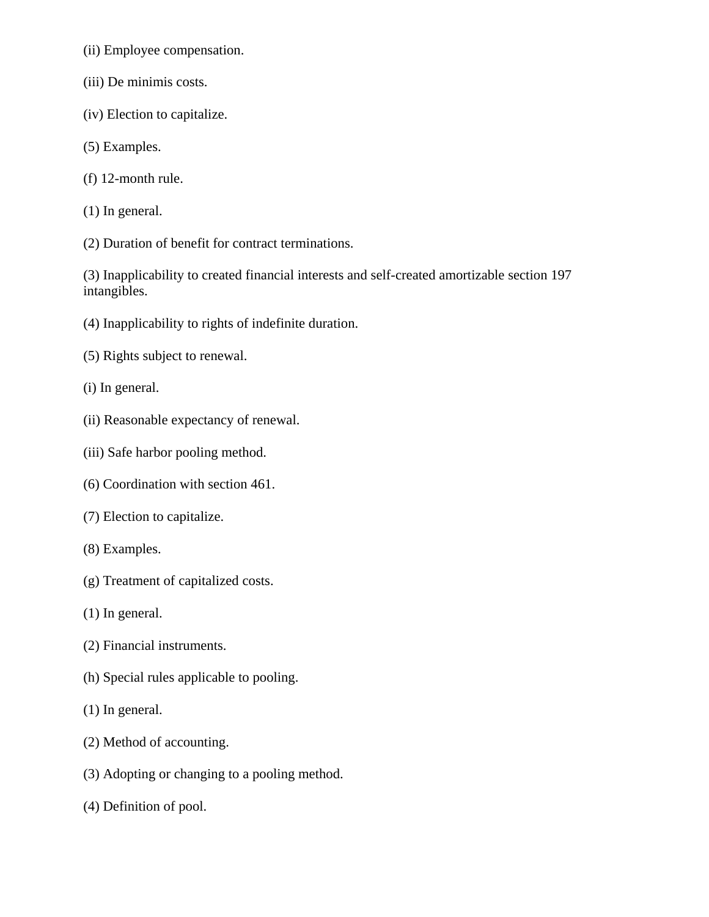- (ii) Employee compensation.
- (iii) De minimis costs.
- (iv) Election to capitalize.
- (5) Examples.
- (f) 12-month rule.
- (1) In general.
- (2) Duration of benefit for contract terminations.

(3) Inapplicability to created financial interests and self-created amortizable section 197 intangibles.

- (4) Inapplicability to rights of indefinite duration.
- (5) Rights subject to renewal.
- (i) In general.
- (ii) Reasonable expectancy of renewal.
- (iii) Safe harbor pooling method.
- (6) Coordination with section 461.
- (7) Election to capitalize.
- (8) Examples.
- (g) Treatment of capitalized costs.
- (1) In general.
- (2) Financial instruments.
- (h) Special rules applicable to pooling.
- (1) In general.
- (2) Method of accounting.
- (3) Adopting or changing to a pooling method.
- (4) Definition of pool.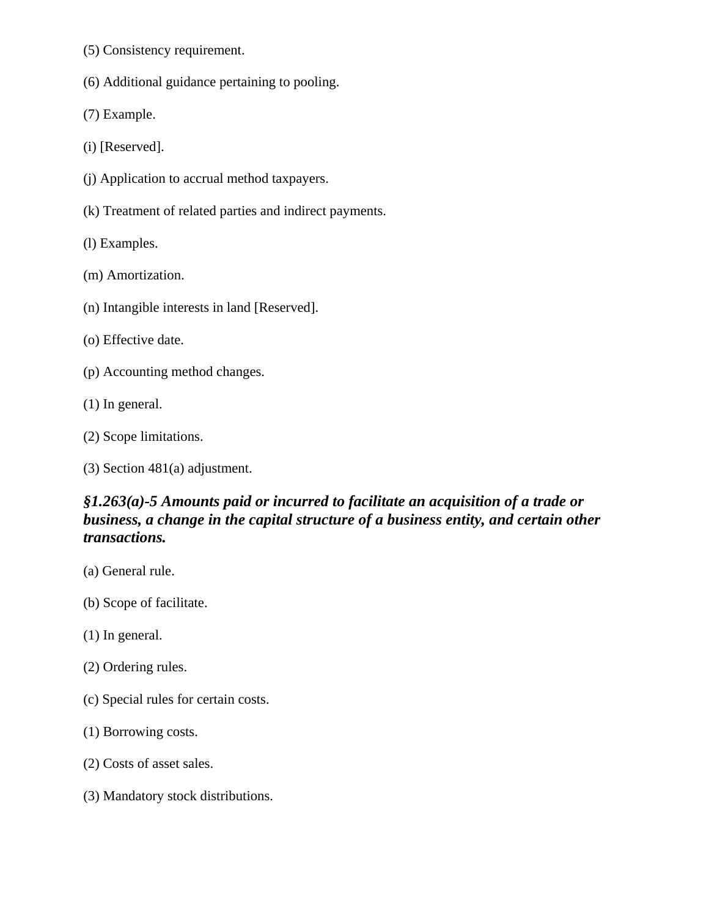- (5) Consistency requirement.
- (6) Additional guidance pertaining to pooling.

(7) Example.

(i) [Reserved].

- (j) Application to accrual method taxpayers.
- (k) Treatment of related parties and indirect payments.

(l) Examples.

(m) Amortization.

- (n) Intangible interests in land [Reserved].
- (o) Effective date.
- (p) Accounting method changes.
- (1) In general.
- (2) Scope limitations.
- (3) Section 481(a) adjustment.

### *§1.263(a)-5 Amounts paid or incurred to facilitate an acquisition of a trade or business, a change in the capital structure of a business entity, and certain other transactions.*

- (a) General rule.
- (b) Scope of facilitate.
- (1) In general.
- (2) Ordering rules.
- (c) Special rules for certain costs.
- (1) Borrowing costs.
- (2) Costs of asset sales.
- (3) Mandatory stock distributions.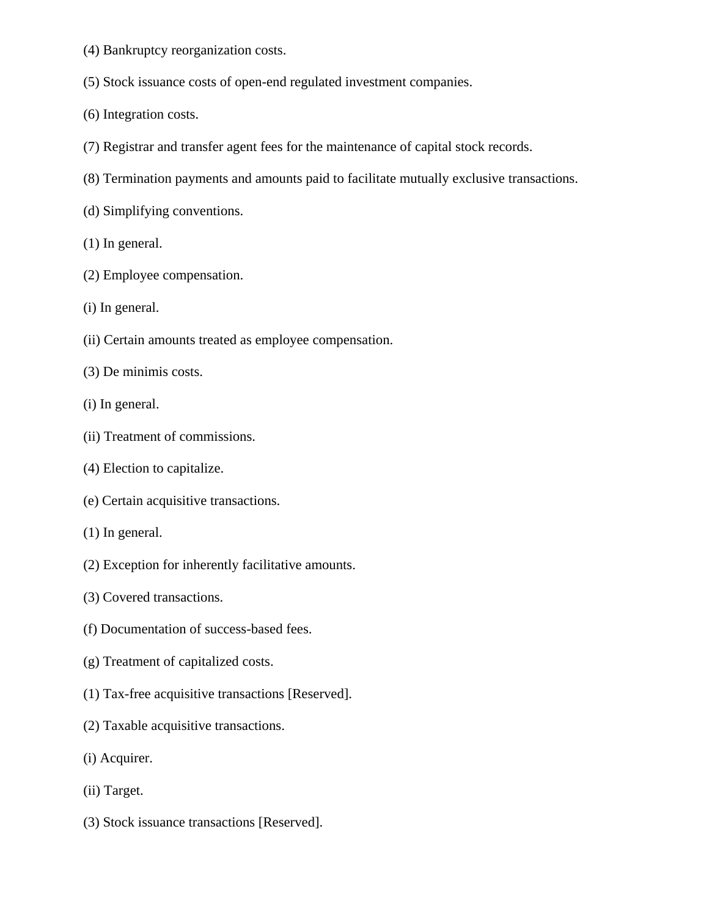- (4) Bankruptcy reorganization costs.
- (5) Stock issuance costs of open-end regulated investment companies.
- (6) Integration costs.
- (7) Registrar and transfer agent fees for the maintenance of capital stock records.
- (8) Termination payments and amounts paid to facilitate mutually exclusive transactions.
- (d) Simplifying conventions.
- (1) In general.
- (2) Employee compensation.
- (i) In general.
- (ii) Certain amounts treated as employee compensation.
- (3) De minimis costs.
- (i) In general.
- (ii) Treatment of commissions.
- (4) Election to capitalize.
- (e) Certain acquisitive transactions.
- (1) In general.
- (2) Exception for inherently facilitative amounts.
- (3) Covered transactions.
- (f) Documentation of success-based fees.
- (g) Treatment of capitalized costs.
- (1) Tax-free acquisitive transactions [Reserved].
- (2) Taxable acquisitive transactions.
- (i) Acquirer.
- (ii) Target.
- (3) Stock issuance transactions [Reserved].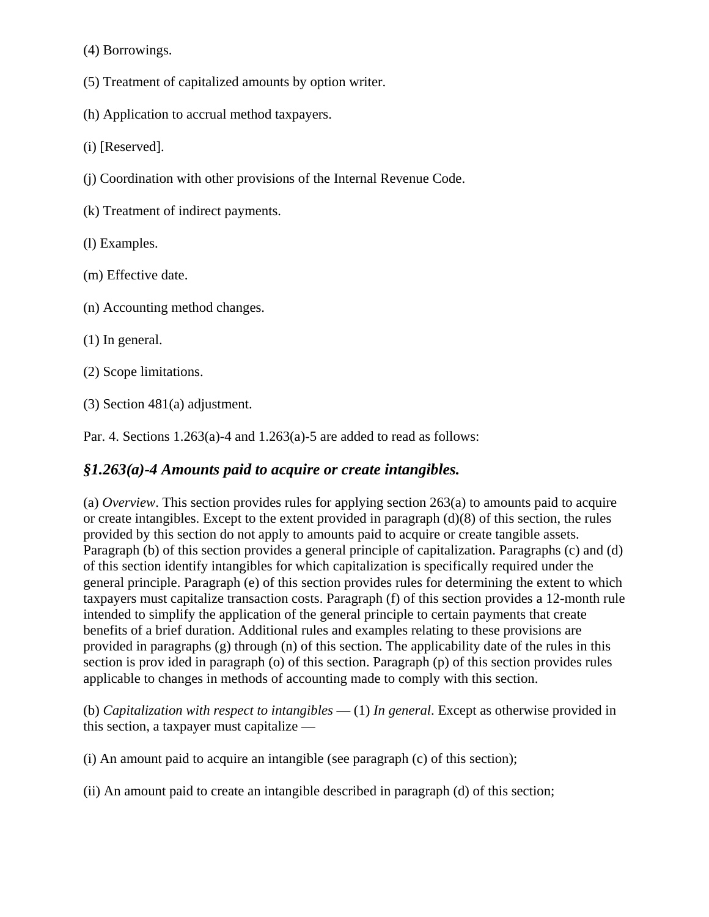(4) Borrowings.

(5) Treatment of capitalized amounts by option writer.

(h) Application to accrual method taxpayers.

(i) [Reserved].

- (j) Coordination with other provisions of the Internal Revenue Code.
- (k) Treatment of indirect payments.
- (l) Examples.
- (m) Effective date.
- (n) Accounting method changes.
- (1) In general.
- (2) Scope limitations.
- (3) Section 481(a) adjustment.

Par. 4. Sections  $1.263(a)$ -4 and  $1.263(a)$ -5 are added to read as follows:

#### *§1.263(a)-4 Amounts paid to acquire or create intangibles.*

(a) *Overview*. This section provides rules for applying section 263(a) to amounts paid to acquire or create intangibles. Except to the extent provided in paragraph  $(d)(8)$  of this section, the rules provided by this section do not apply to amounts paid to acquire or create tangible assets. Paragraph (b) of this section provides a general principle of capitalization. Paragraphs (c) and (d) of this section identify intangibles for which capitalization is specifically required under the general principle. Paragraph (e) of this section provides rules for determining the extent to which taxpayers must capitalize transaction costs. Paragraph (f) of this section provides a 12-month rule intended to simplify the application of the general principle to certain payments that create benefits of a brief duration. Additional rules and examples relating to these provisions are provided in paragraphs (g) through (n) of this section. The applicability date of the rules in this section is prov ided in paragraph (o) of this section. Paragraph (p) of this section provides rules applicable to changes in methods of accounting made to comply with this section.

(b) *Capitalization with respect to intangibles* — (1) *In general*. Except as otherwise provided in this section, a taxpayer must capitalize —

(i) An amount paid to acquire an intangible (see paragraph (c) of this section);

(ii) An amount paid to create an intangible described in paragraph (d) of this section;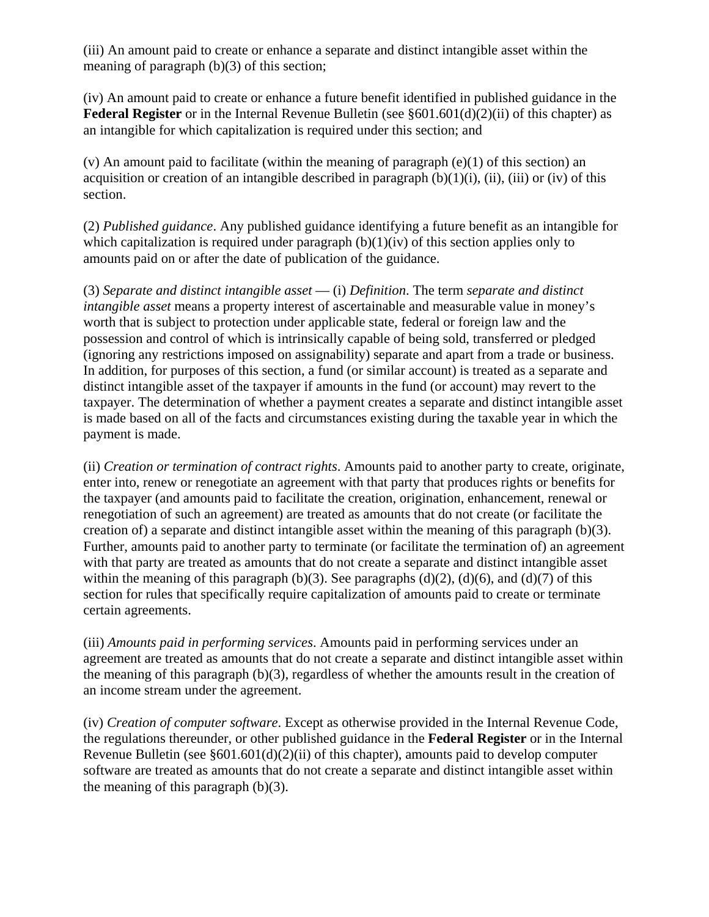(iii) An amount paid to create or enhance a separate and distinct intangible asset within the meaning of paragraph (b)(3) of this section;

(iv) An amount paid to create or enhance a future benefit identified in published guidance in the **Federal Register** or in the Internal Revenue Bulletin (see §601.601(d)(2)(ii) of this chapter) as an intangible for which capitalization is required under this section; and

(v) An amount paid to facilitate (within the meaning of paragraph  $(e)(1)$  of this section) an acquisition or creation of an intangible described in paragraph  $(b)(1)(i)$ , (ii), (iii) or (iv) of this section.

(2) *Published guidance*. Any published guidance identifying a future benefit as an intangible for which capitalization is required under paragraph  $(b)(1)(iv)$  of this section applies only to amounts paid on or after the date of publication of the guidance.

(3) *Separate and distinct intangible asset* — (i) *Definition*. The term *separate and distinct intangible asset* means a property interest of ascertainable and measurable value in money's worth that is subject to protection under applicable state, federal or foreign law and the possession and control of which is intrinsically capable of being sold, transferred or pledged (ignoring any restrictions imposed on assignability) separate and apart from a trade or business. In addition, for purposes of this section, a fund (or similar account) is treated as a separate and distinct intangible asset of the taxpayer if amounts in the fund (or account) may revert to the taxpayer. The determination of whether a payment creates a separate and distinct intangible asset is made based on all of the facts and circumstances existing during the taxable year in which the payment is made.

(ii) *Creation or termination of contract rights*. Amounts paid to another party to create, originate, enter into, renew or renegotiate an agreement with that party that produces rights or benefits for the taxpayer (and amounts paid to facilitate the creation, origination, enhancement, renewal or renegotiation of such an agreement) are treated as amounts that do not create (or facilitate the creation of) a separate and distinct intangible asset within the meaning of this paragraph (b)(3). Further, amounts paid to another party to terminate (or facilitate the termination of) an agreement with that party are treated as amounts that do not create a separate and distinct intangible asset within the meaning of this paragraph (b)(3). See paragraphs (d)(2), (d)(6), and (d)(7) of this section for rules that specifically require capitalization of amounts paid to create or terminate certain agreements.

(iii) *Amounts paid in performing services*. Amounts paid in performing services under an agreement are treated as amounts that do not create a separate and distinct intangible asset within the meaning of this paragraph  $(b)(3)$ , regardless of whether the amounts result in the creation of an income stream under the agreement.

(iv) *Creation of computer software*. Except as otherwise provided in the Internal Revenue Code, the regulations thereunder, or other published guidance in the **Federal Register** or in the Internal Revenue Bulletin (see §601.601(d)(2)(ii) of this chapter), amounts paid to develop computer software are treated as amounts that do not create a separate and distinct intangible asset within the meaning of this paragraph  $(b)(3)$ .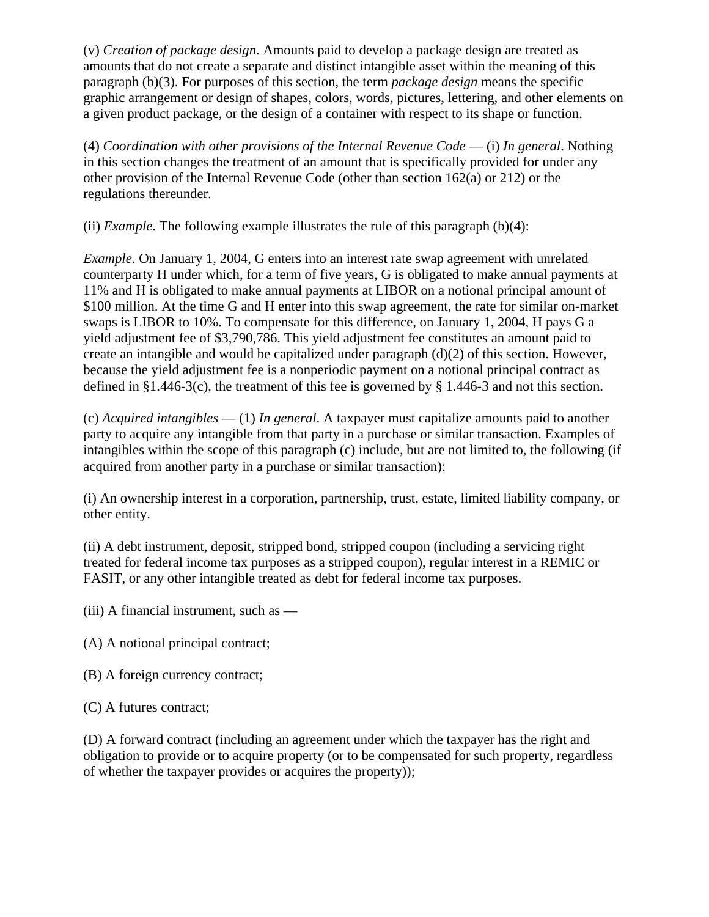(v) *Creation of package design*. Amounts paid to develop a package design are treated as amounts that do not create a separate and distinct intangible asset within the meaning of this paragraph (b)(3). For purposes of this section, the term *package design* means the specific graphic arrangement or design of shapes, colors, words, pictures, lettering, and other elements on a given product package, or the design of a container with respect to its shape or function.

(4) *Coordination with other provisions of the Internal Revenue Code* — (i) *In general*. Nothing in this section changes the treatment of an amount that is specifically provided for under any other provision of the Internal Revenue Code (other than section 162(a) or 212) or the regulations thereunder.

(ii) *Example*. The following example illustrates the rule of this paragraph (b)(4):

*Example*. On January 1, 2004, G enters into an interest rate swap agreement with unrelated counterparty H under which, for a term of five years, G is obligated to make annual payments at 11% and H is obligated to make annual payments at LIBOR on a notional principal amount of \$100 million. At the time G and H enter into this swap agreement, the rate for similar on-market swaps is LIBOR to 10%. To compensate for this difference, on January 1, 2004, H pays G a yield adjustment fee of \$3,790,786. This yield adjustment fee constitutes an amount paid to create an intangible and would be capitalized under paragraph (d)(2) of this section. However, because the yield adjustment fee is a nonperiodic payment on a notional principal contract as defined in §1.446-3(c), the treatment of this fee is governed by § 1.446-3 and not this section.

(c) *Acquired intangibles* — (1) *In general*. A taxpayer must capitalize amounts paid to another party to acquire any intangible from that party in a purchase or similar transaction. Examples of intangibles within the scope of this paragraph (c) include, but are not limited to, the following (if acquired from another party in a purchase or similar transaction):

(i) An ownership interest in a corporation, partnership, trust, estate, limited liability company, or other entity.

(ii) A debt instrument, deposit, stripped bond, stripped coupon (including a servicing right treated for federal income tax purposes as a stripped coupon), regular interest in a REMIC or FASIT, or any other intangible treated as debt for federal income tax purposes.

(iii) A financial instrument, such as —

- (A) A notional principal contract;
- (B) A foreign currency contract;

(C) A futures contract;

(D) A forward contract (including an agreement under which the taxpayer has the right and obligation to provide or to acquire property (or to be compensated for such property, regardless of whether the taxpayer provides or acquires the property));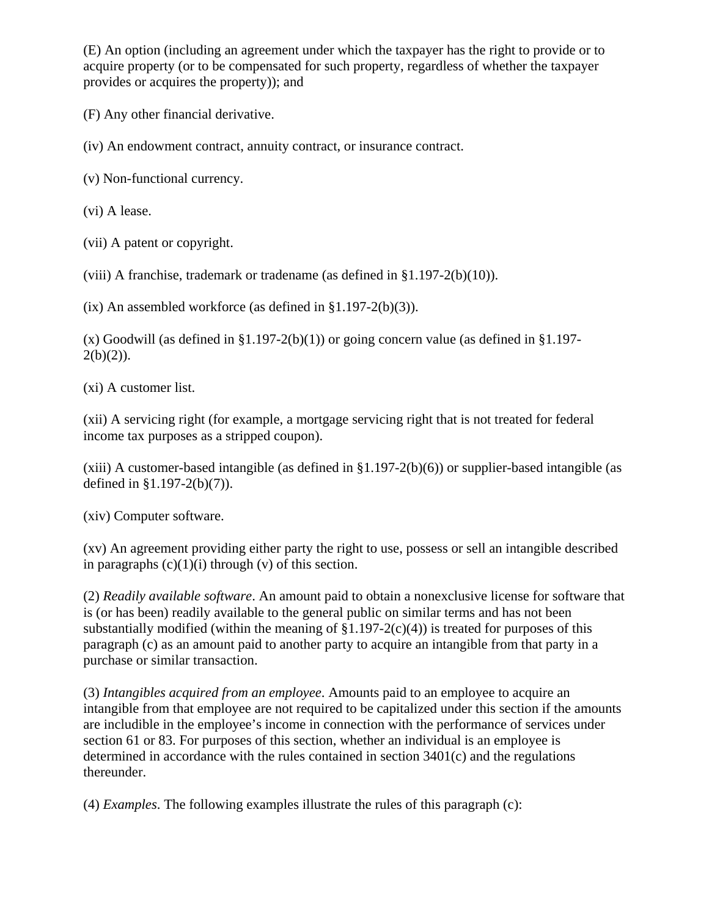(E) An option (including an agreement under which the taxpayer has the right to provide or to acquire property (or to be compensated for such property, regardless of whether the taxpayer provides or acquires the property)); and

(F) Any other financial derivative.

(iv) An endowment contract, annuity contract, or insurance contract.

(v) Non-functional currency.

(vi) A lease.

(vii) A patent or copyright.

(viii) A franchise, trademark or tradename (as defined in §1.197-2(b)(10)).

 $(ix)$  An assembled workforce (as defined in §1.197-2(b)(3)).

 $(x)$  Goodwill (as defined in §1.197-2(b)(1)) or going concern value (as defined in §1.197- $2(b)(2)$ ).

(xi) A customer list.

(xii) A servicing right (for example, a mortgage servicing right that is not treated for federal income tax purposes as a stripped coupon).

(xiii) A customer-based intangible (as defined in  $\S1.197-2(b)(6)$ ) or supplier-based intangible (as defined in §1.197-2(b)(7)).

(xiv) Computer software.

(xv) An agreement providing either party the right to use, possess or sell an intangible described in paragraphs  $(c)(1)(i)$  through  $(v)$  of this section.

(2) *Readily available software*. An amount paid to obtain a nonexclusive license for software that is (or has been) readily available to the general public on similar terms and has not been substantially modified (within the meaning of  $\S1.197-2(c)(4)$ ) is treated for purposes of this paragraph (c) as an amount paid to another party to acquire an intangible from that party in a purchase or similar transaction.

(3) *Intangibles acquired from an employee*. Amounts paid to an employee to acquire an intangible from that employee are not required to be capitalized under this section if the amounts are includible in the employee's income in connection with the performance of services under section 61 or 83. For purposes of this section, whether an individual is an employee is determined in accordance with the rules contained in section 3401(c) and the regulations thereunder.

(4) *Examples*. The following examples illustrate the rules of this paragraph (c):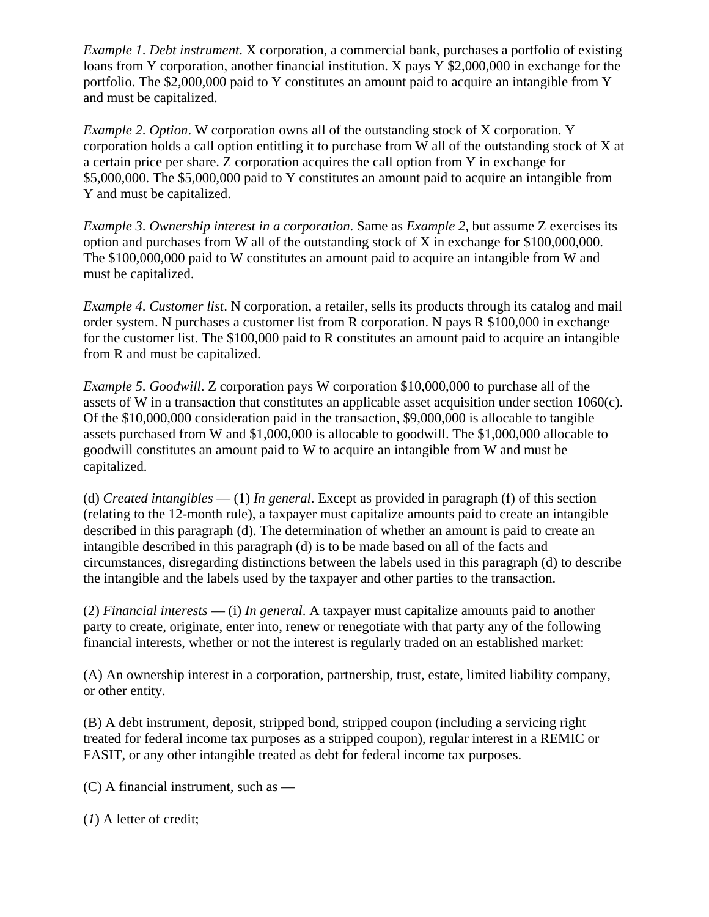*Example 1*. *Debt instrument*. X corporation, a commercial bank, purchases a portfolio of existing loans from Y corporation, another financial institution. X pays Y \$2,000,000 in exchange for the portfolio. The \$2,000,000 paid to Y constitutes an amount paid to acquire an intangible from Y and must be capitalized.

*Example 2*. *Option*. W corporation owns all of the outstanding stock of X corporation. Y corporation holds a call option entitling it to purchase from W all of the outstanding stock of X at a certain price per share. Z corporation acquires the call option from Y in exchange for \$5,000,000. The \$5,000,000 paid to Y constitutes an amount paid to acquire an intangible from Y and must be capitalized.

*Example 3*. *Ownership interest in a corporation*. Same as *Example 2*, but assume Z exercises its option and purchases from W all of the outstanding stock of X in exchange for \$100,000,000. The \$100,000,000 paid to W constitutes an amount paid to acquire an intangible from W and must be capitalized.

*Example 4*. *Customer list*. N corporation, a retailer, sells its products through its catalog and mail order system. N purchases a customer list from R corporation. N pays R \$100,000 in exchange for the customer list. The \$100,000 paid to R constitutes an amount paid to acquire an intangible from R and must be capitalized.

*Example 5*. *Goodwill*. Z corporation pays W corporation \$10,000,000 to purchase all of the assets of W in a transaction that constitutes an applicable asset acquisition under section 1060(c). Of the \$10,000,000 consideration paid in the transaction, \$9,000,000 is allocable to tangible assets purchased from W and \$1,000,000 is allocable to goodwill. The \$1,000,000 allocable to goodwill constitutes an amount paid to W to acquire an intangible from W and must be capitalized.

(d) *Created intangibles* — (1) *In general*. Except as provided in paragraph (f) of this section (relating to the 12-month rule), a taxpayer must capitalize amounts paid to create an intangible described in this paragraph (d). The determination of whether an amount is paid to create an intangible described in this paragraph (d) is to be made based on all of the facts and circumstances, disregarding distinctions between the labels used in this paragraph (d) to describe the intangible and the labels used by the taxpayer and other parties to the transaction.

(2) *Financial interests* — (i) *In general*. A taxpayer must capitalize amounts paid to another party to create, originate, enter into, renew or renegotiate with that party any of the following financial interests, whether or not the interest is regularly traded on an established market:

(A) An ownership interest in a corporation, partnership, trust, estate, limited liability company, or other entity.

(B) A debt instrument, deposit, stripped bond, stripped coupon (including a servicing right treated for federal income tax purposes as a stripped coupon), regular interest in a REMIC or FASIT, or any other intangible treated as debt for federal income tax purposes.

- (C) A financial instrument, such as —
- (*1*) A letter of credit;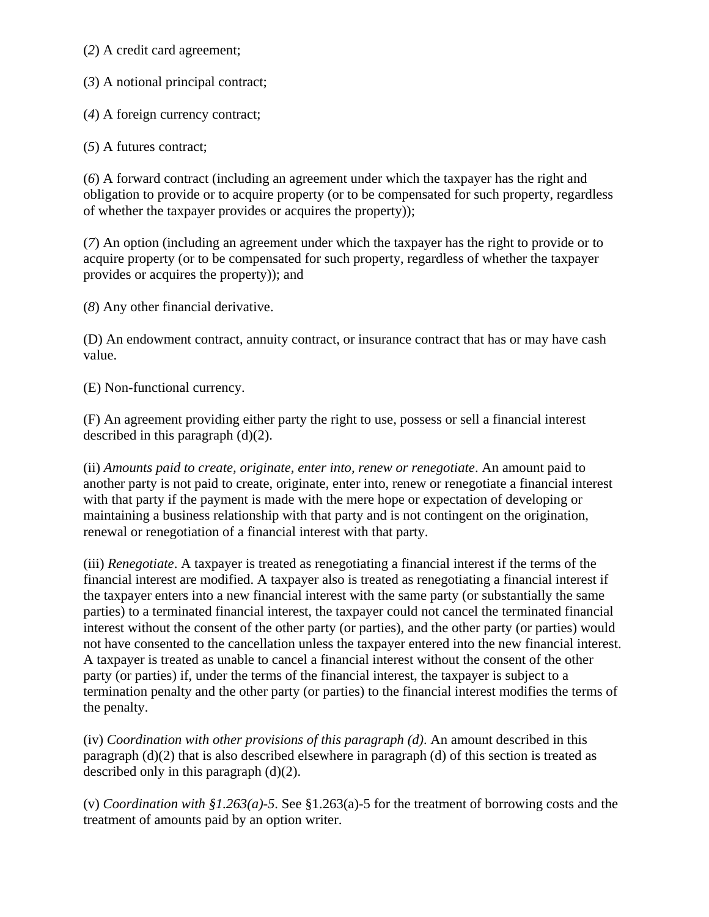(*2*) A credit card agreement;

(*3*) A notional principal contract;

(*4*) A foreign currency contract;

(*5*) A futures contract;

(*6*) A forward contract (including an agreement under which the taxpayer has the right and obligation to provide or to acquire property (or to be compensated for such property, regardless of whether the taxpayer provides or acquires the property));

(*7*) An option (including an agreement under which the taxpayer has the right to provide or to acquire property (or to be compensated for such property, regardless of whether the taxpayer provides or acquires the property)); and

(*8*) Any other financial derivative.

(D) An endowment contract, annuity contract, or insurance contract that has or may have cash value.

(E) Non-functional currency.

(F) An agreement providing either party the right to use, possess or sell a financial interest described in this paragraph (d)(2).

(ii) *Amounts paid to create, originate, enter into, renew or renegotiate*. An amount paid to another party is not paid to create, originate, enter into, renew or renegotiate a financial interest with that party if the payment is made with the mere hope or expectation of developing or maintaining a business relationship with that party and is not contingent on the origination, renewal or renegotiation of a financial interest with that party.

(iii) *Renegotiate*. A taxpayer is treated as renegotiating a financial interest if the terms of the financial interest are modified. A taxpayer also is treated as renegotiating a financial interest if the taxpayer enters into a new financial interest with the same party (or substantially the same parties) to a terminated financial interest, the taxpayer could not cancel the terminated financial interest without the consent of the other party (or parties), and the other party (or parties) would not have consented to the cancellation unless the taxpayer entered into the new financial interest. A taxpayer is treated as unable to cancel a financial interest without the consent of the other party (or parties) if, under the terms of the financial interest, the taxpayer is subject to a termination penalty and the other party (or parties) to the financial interest modifies the terms of the penalty.

(iv) *Coordination with other provisions of this paragraph (d)*. An amount described in this paragraph (d)(2) that is also described elsewhere in paragraph (d) of this section is treated as described only in this paragraph (d)(2).

(v) *Coordination with §1.263(a)-5*. See §1.263(a)-5 for the treatment of borrowing costs and the treatment of amounts paid by an option writer.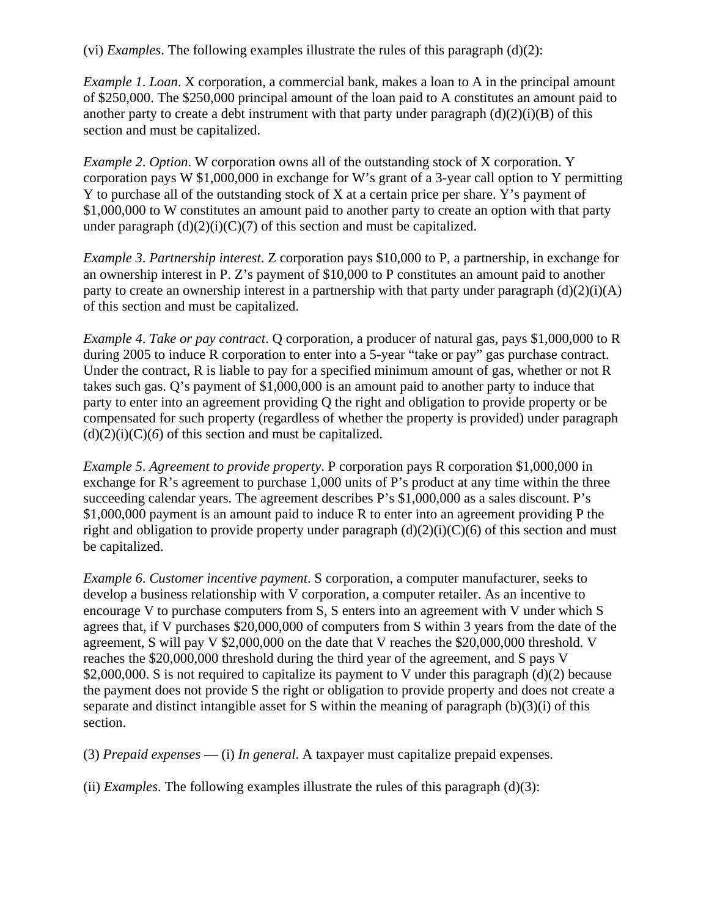(vi) *Examples*. The following examples illustrate the rules of this paragraph (d)(2):

*Example 1*. *Loan*. X corporation, a commercial bank, makes a loan to A in the principal amount of \$250,000. The \$250,000 principal amount of the loan paid to A constitutes an amount paid to another party to create a debt instrument with that party under paragraph  $(d)(2)(i)(B)$  of this section and must be capitalized.

*Example 2*. *Option*. W corporation owns all of the outstanding stock of X corporation. Y corporation pays W \$1,000,000 in exchange for W's grant of a 3-year call option to Y permitting Y to purchase all of the outstanding stock of X at a certain price per share. Y's payment of \$1,000,000 to W constitutes an amount paid to another party to create an option with that party under paragraph  $(d)(2)(i)(C)(7)$  of this section and must be capitalized.

*Example 3*. *Partnership interest*. Z corporation pays \$10,000 to P, a partnership, in exchange for an ownership interest in P. Z's payment of \$10,000 to P constitutes an amount paid to another party to create an ownership interest in a partnership with that party under paragraph  $(d)(2)(i)(A)$ of this section and must be capitalized.

*Example 4*. *Take or pay contract*. Q corporation, a producer of natural gas, pays \$1,000,000 to R during 2005 to induce R corporation to enter into a 5-year "take or pay" gas purchase contract. Under the contract, R is liable to pay for a specified minimum amount of gas, whether or not R takes such gas. Q's payment of \$1,000,000 is an amount paid to another party to induce that party to enter into an agreement providing Q the right and obligation to provide property or be compensated for such property (regardless of whether the property is provided) under paragraph  $(d)(2)(i)(C)(6)$  of this section and must be capitalized.

*Example 5*. *Agreement to provide property*. P corporation pays R corporation \$1,000,000 in exchange for R's agreement to purchase 1,000 units of P's product at any time within the three succeeding calendar years. The agreement describes P's \$1,000,000 as a sales discount. P's \$1,000,000 payment is an amount paid to induce R to enter into an agreement providing P the right and obligation to provide property under paragraph  $(d)(2)(i)(C)(6)$  of this section and must be capitalized.

*Example 6*. *Customer incentive payment*. S corporation, a computer manufacturer, seeks to develop a business relationship with V corporation, a computer retailer. As an incentive to encourage V to purchase computers from S, S enters into an agreement with V under which S agrees that, if V purchases \$20,000,000 of computers from S within 3 years from the date of the agreement, S will pay V \$2,000,000 on the date that V reaches the \$20,000,000 threshold. V reaches the \$20,000,000 threshold during the third year of the agreement, and S pays V \$2,000,000. S is not required to capitalize its payment to V under this paragraph (d)(2) because the payment does not provide S the right or obligation to provide property and does not create a separate and distinct intangible asset for S within the meaning of paragraph (b)(3)(i) of this section.

(3) *Prepaid expenses* — (i) *In general*. A taxpayer must capitalize prepaid expenses.

(ii) *Examples*. The following examples illustrate the rules of this paragraph  $(d)(3)$ :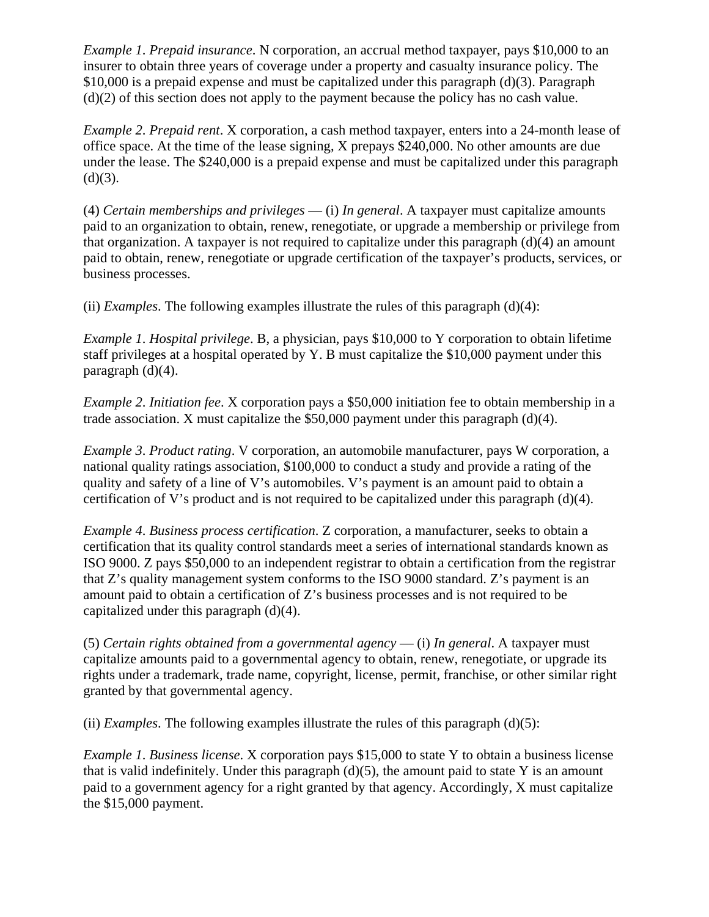*Example 1*. *Prepaid insurance*. N corporation, an accrual method taxpayer, pays \$10,000 to an insurer to obtain three years of coverage under a property and casualty insurance policy. The \$10,000 is a prepaid expense and must be capitalized under this paragraph (d)(3). Paragraph (d)(2) of this section does not apply to the payment because the policy has no cash value.

*Example 2*. *Prepaid rent*. X corporation, a cash method taxpayer, enters into a 24-month lease of office space. At the time of the lease signing, X prepays \$240,000. No other amounts are due under the lease. The \$240,000 is a prepaid expense and must be capitalized under this paragraph  $(d)(3)$ .

(4) *Certain memberships and privileges* — (i) *In general*. A taxpayer must capitalize amounts paid to an organization to obtain, renew, renegotiate, or upgrade a membership or privilege from that organization. A taxpayer is not required to capitalize under this paragraph (d)(4) an amount paid to obtain, renew, renegotiate or upgrade certification of the taxpayer's products, services, or business processes.

(ii) *Examples*. The following examples illustrate the rules of this paragraph (d)(4):

*Example 1*. *Hospital privilege*. B, a physician, pays \$10,000 to Y corporation to obtain lifetime staff privileges at a hospital operated by Y. B must capitalize the \$10,000 payment under this paragraph (d)(4).

*Example 2*. *Initiation fee*. X corporation pays a \$50,000 initiation fee to obtain membership in a trade association. X must capitalize the \$50,000 payment under this paragraph  $(d)(4)$ .

*Example 3*. *Product rating*. V corporation, an automobile manufacturer, pays W corporation, a national quality ratings association, \$100,000 to conduct a study and provide a rating of the quality and safety of a line of V's automobiles. V's payment is an amount paid to obtain a certification of V's product and is not required to be capitalized under this paragraph (d)(4).

*Example 4*. *Business process certification*. Z corporation, a manufacturer, seeks to obtain a certification that its quality control standards meet a series of international standards known as ISO 9000. Z pays \$50,000 to an independent registrar to obtain a certification from the registrar that Z's quality management system conforms to the ISO 9000 standard. Z's payment is an amount paid to obtain a certification of Z's business processes and is not required to be capitalized under this paragraph (d)(4).

(5) *Certain rights obtained from a governmental agency* — (i) *In general*. A taxpayer must capitalize amounts paid to a governmental agency to obtain, renew, renegotiate, or upgrade its rights under a trademark, trade name, copyright, license, permit, franchise, or other similar right granted by that governmental agency.

(ii) *Examples*. The following examples illustrate the rules of this paragraph  $(d)(5)$ :

*Example 1*. *Business license*. X corporation pays \$15,000 to state Y to obtain a business license that is valid indefinitely. Under this paragraph  $(d)(5)$ , the amount paid to state Y is an amount paid to a government agency for a right granted by that agency. Accordingly, X must capitalize the \$15,000 payment.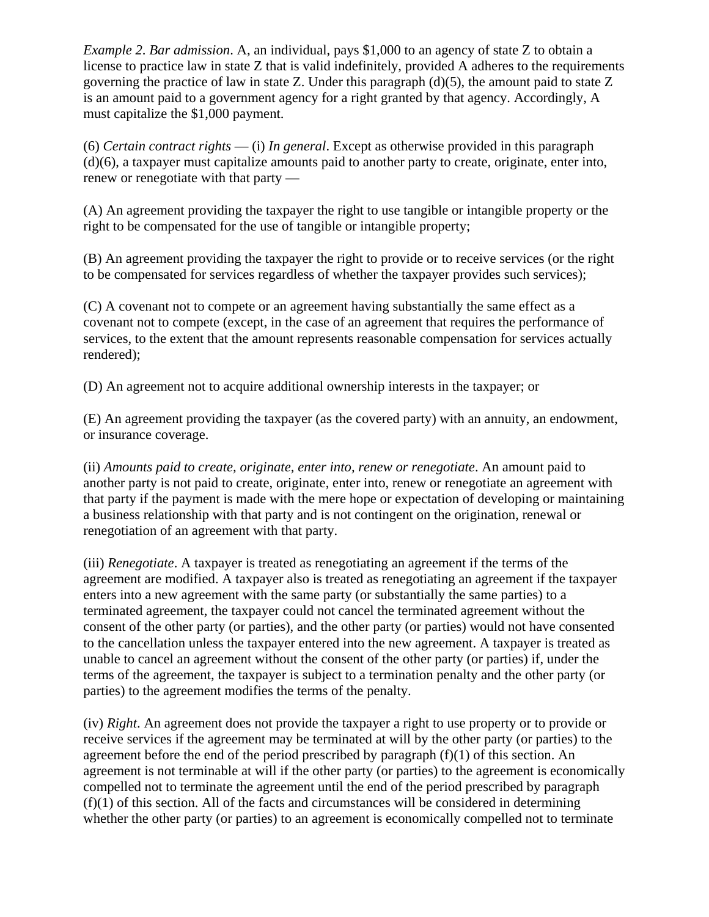*Example 2*. *Bar admission*. A, an individual, pays \$1,000 to an agency of state Z to obtain a license to practice law in state Z that is valid indefinitely, provided A adheres to the requirements governing the practice of law in state Z. Under this paragraph  $(d)(5)$ , the amount paid to state Z is an amount paid to a government agency for a right granted by that agency. Accordingly, A must capitalize the \$1,000 payment.

(6) *Certain contract rights* — (i) *In general*. Except as otherwise provided in this paragraph (d)(6), a taxpayer must capitalize amounts paid to another party to create, originate, enter into, renew or renegotiate with that party —

(A) An agreement providing the taxpayer the right to use tangible or intangible property or the right to be compensated for the use of tangible or intangible property;

(B) An agreement providing the taxpayer the right to provide or to receive services (or the right to be compensated for services regardless of whether the taxpayer provides such services);

(C) A covenant not to compete or an agreement having substantially the same effect as a covenant not to compete (except, in the case of an agreement that requires the performance of services, to the extent that the amount represents reasonable compensation for services actually rendered);

(D) An agreement not to acquire additional ownership interests in the taxpayer; or

(E) An agreement providing the taxpayer (as the covered party) with an annuity, an endowment, or insurance coverage.

(ii) *Amounts paid to create, originate, enter into, renew or renegotiate*. An amount paid to another party is not paid to create, originate, enter into, renew or renegotiate an agreement with that party if the payment is made with the mere hope or expectation of developing or maintaining a business relationship with that party and is not contingent on the origination, renewal or renegotiation of an agreement with that party.

(iii) *Renegotiate*. A taxpayer is treated as renegotiating an agreement if the terms of the agreement are modified. A taxpayer also is treated as renegotiating an agreement if the taxpayer enters into a new agreement with the same party (or substantially the same parties) to a terminated agreement, the taxpayer could not cancel the terminated agreement without the consent of the other party (or parties), and the other party (or parties) would not have consented to the cancellation unless the taxpayer entered into the new agreement. A taxpayer is treated as unable to cancel an agreement without the consent of the other party (or parties) if, under the terms of the agreement, the taxpayer is subject to a termination penalty and the other party (or parties) to the agreement modifies the terms of the penalty.

(iv) *Right*. An agreement does not provide the taxpayer a right to use property or to provide or receive services if the agreement may be terminated at will by the other party (or parties) to the agreement before the end of the period prescribed by paragraph  $(f)(1)$  of this section. An agreement is not terminable at will if the other party (or parties) to the agreement is economically compelled not to terminate the agreement until the end of the period prescribed by paragraph  $(f)(1)$  of this section. All of the facts and circumstances will be considered in determining whether the other party (or parties) to an agreement is economically compelled not to terminate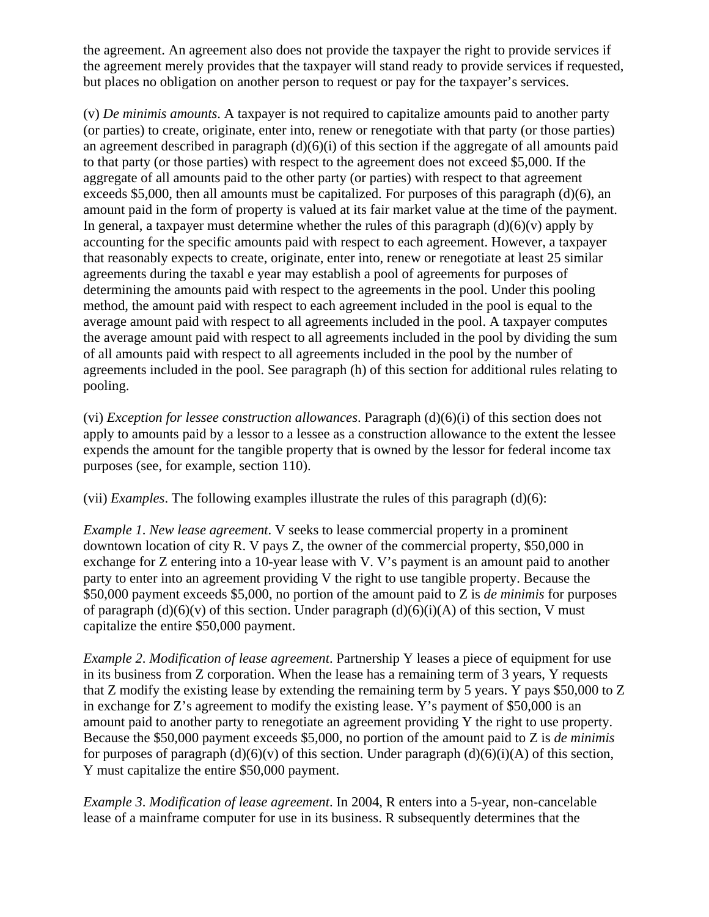the agreement. An agreement also does not provide the taxpayer the right to provide services if the agreement merely provides that the taxpayer will stand ready to provide services if requested, but places no obligation on another person to request or pay for the taxpayer's services.

(v) *De minimis amounts*. A taxpayer is not required to capitalize amounts paid to another party (or parties) to create, originate, enter into, renew or renegotiate with that party (or those parties) an agreement described in paragraph  $(d)(6)(i)$  of this section if the aggregate of all amounts paid to that party (or those parties) with respect to the agreement does not exceed \$5,000. If the aggregate of all amounts paid to the other party (or parties) with respect to that agreement exceeds \$5,000, then all amounts must be capitalized. For purposes of this paragraph (d)(6), an amount paid in the form of property is valued at its fair market value at the time of the payment. In general, a taxpayer must determine whether the rules of this paragraph  $(d)(6)(v)$  apply by accounting for the specific amounts paid with respect to each agreement. However, a taxpayer that reasonably expects to create, originate, enter into, renew or renegotiate at least 25 similar agreements during the taxabl e year may establish a pool of agreements for purposes of determining the amounts paid with respect to the agreements in the pool. Under this pooling method, the amount paid with respect to each agreement included in the pool is equal to the average amount paid with respect to all agreements included in the pool. A taxpayer computes the average amount paid with respect to all agreements included in the pool by dividing the sum of all amounts paid with respect to all agreements included in the pool by the number of agreements included in the pool. See paragraph (h) of this section for additional rules relating to pooling.

(vi) *Exception for lessee construction allowances*. Paragraph (d)(6)(i) of this section does not apply to amounts paid by a lessor to a lessee as a construction allowance to the extent the lessee expends the amount for the tangible property that is owned by the lessor for federal income tax purposes (see, for example, section 110).

(vii) *Examples*. The following examples illustrate the rules of this paragraph (d)(6):

*Example 1*. *New lease agreement*. V seeks to lease commercial property in a prominent downtown location of city R. V pays Z, the owner of the commercial property, \$50,000 in exchange for Z entering into a 10-year lease with V. V's payment is an amount paid to another party to enter into an agreement providing V the right to use tangible property. Because the \$50,000 payment exceeds \$5,000, no portion of the amount paid to Z is *de minimis* for purposes of paragraph  $(d)(6)(v)$  of this section. Under paragraph  $(d)(6)(i)(A)$  of this section, V must capitalize the entire \$50,000 payment.

*Example 2*. *Modification of lease agreement*. Partnership Y leases a piece of equipment for use in its business from Z corporation. When the lease has a remaining term of 3 years, Y requests that Z modify the existing lease by extending the remaining term by 5 years. Y pays \$50,000 to Z in exchange for Z's agreement to modify the existing lease. Y's payment of \$50,000 is an amount paid to another party to renegotiate an agreement providing Y the right to use property. Because the \$50,000 payment exceeds \$5,000, no portion of the amount paid to Z is *de minimis* for purposes of paragraph  $(d)(6)(v)$  of this section. Under paragraph  $(d)(6)(i)(A)$  of this section, Y must capitalize the entire \$50,000 payment.

*Example 3*. *Modification of lease agreement*. In 2004, R enters into a 5-year, non-cancelable lease of a mainframe computer for use in its business. R subsequently determines that the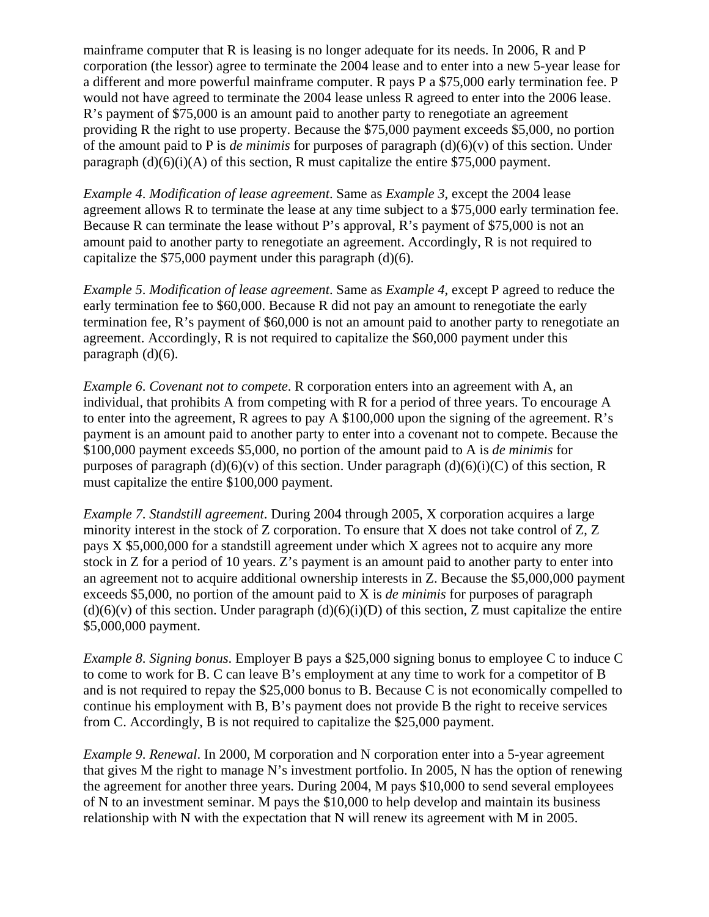mainframe computer that R is leasing is no longer adequate for its needs. In 2006, R and P corporation (the lessor) agree to terminate the 2004 lease and to enter into a new 5-year lease for a different and more powerful mainframe computer. R pays P a \$75,000 early termination fee. P would not have agreed to terminate the 2004 lease unless R agreed to enter into the 2006 lease. R's payment of \$75,000 is an amount paid to another party to renegotiate an agreement providing R the right to use property. Because the \$75,000 payment exceeds \$5,000, no portion of the amount paid to P is *de minimis* for purposes of paragraph (d)(6)(v) of this section. Under paragraph  $(d)(6)(i)(A)$  of this section, R must capitalize the entire \$75,000 payment.

*Example 4*. *Modification of lease agreement*. Same as *Example 3*, except the 2004 lease agreement allows R to terminate the lease at any time subject to a \$75,000 early termination fee. Because R can terminate the lease without P's approval, R's payment of \$75,000 is not an amount paid to another party to renegotiate an agreement. Accordingly, R is not required to capitalize the \$75,000 payment under this paragraph (d)(6).

*Example 5*. *Modification of lease agreement*. Same as *Example 4*, except P agreed to reduce the early termination fee to \$60,000. Because R did not pay an amount to renegotiate the early termination fee, R's payment of \$60,000 is not an amount paid to another party to renegotiate an agreement. Accordingly, R is not required to capitalize the \$60,000 payment under this paragraph (d)(6).

*Example 6*. *Covenant not to compete*. R corporation enters into an agreement with A, an individual, that prohibits A from competing with R for a period of three years. To encourage A to enter into the agreement, R agrees to pay A \$100,000 upon the signing of the agreement. R's payment is an amount paid to another party to enter into a covenant not to compete. Because the \$100,000 payment exceeds \$5,000, no portion of the amount paid to A is *de minimis* for purposes of paragraph  $(d)(6)(v)$  of this section. Under paragraph  $(d)(6)(i)(C)$  of this section, R must capitalize the entire \$100,000 payment.

*Example 7*. *Standstill agreement*. During 2004 through 2005, X corporation acquires a large minority interest in the stock of Z corporation. To ensure that X does not take control of Z, Z pays X \$5,000,000 for a standstill agreement under which X agrees not to acquire any more stock in Z for a period of 10 years. Z's payment is an amount paid to another party to enter into an agreement not to acquire additional ownership interests in Z. Because the \$5,000,000 payment exceeds \$5,000, no portion of the amount paid to X is *de minimis* for purposes of paragraph  $(d)(6)(v)$  of this section. Under paragraph  $(d)(6)(i)(D)$  of this section, Z must capitalize the entire \$5,000,000 payment.

*Example 8*. *Signing bonus*. Employer B pays a \$25,000 signing bonus to employee C to induce C to come to work for B. C can leave B's employment at any time to work for a competitor of B and is not required to repay the \$25,000 bonus to B. Because C is not economically compelled to continue his employment with B, B's payment does not provide B the right to receive services from C. Accordingly, B is not required to capitalize the \$25,000 payment.

*Example 9*. *Renewal*. In 2000, M corporation and N corporation enter into a 5-year agreement that gives M the right to manage N's investment portfolio. In 2005, N has the option of renewing the agreement for another three years. During 2004, M pays \$10,000 to send several employees of N to an investment seminar. M pays the \$10,000 to help develop and maintain its business relationship with N with the expectation that N will renew its agreement with M in 2005.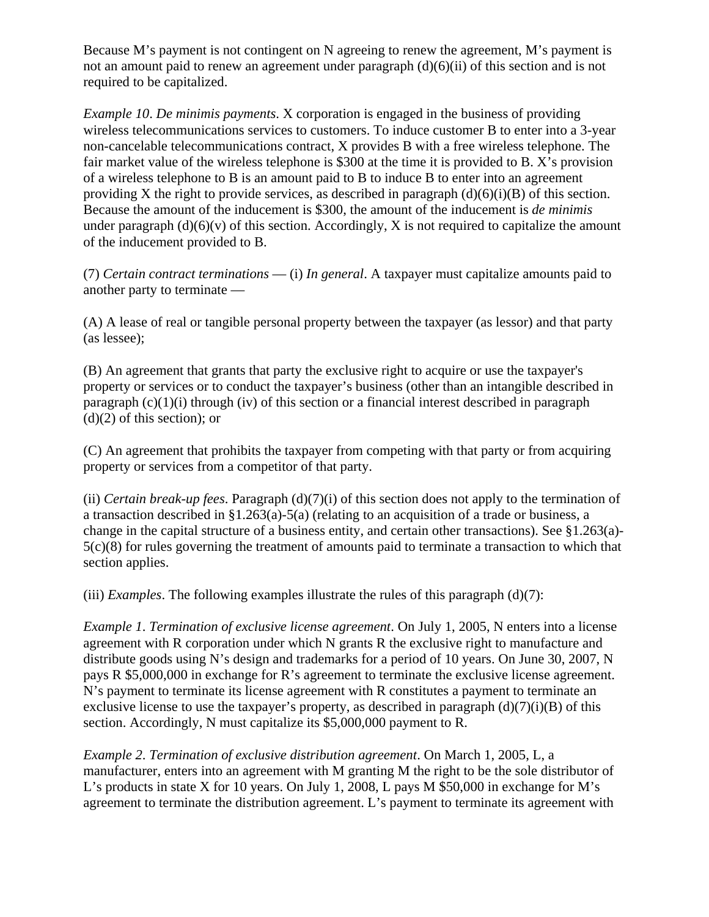Because M's payment is not contingent on N agreeing to renew the agreement, M's payment is not an amount paid to renew an agreement under paragraph (d)(6)(ii) of this section and is not required to be capitalized.

*Example 10*. *De minimis payments*. X corporation is engaged in the business of providing wireless telecommunications services to customers. To induce customer B to enter into a 3-year non-cancelable telecommunications contract, X provides B with a free wireless telephone. The fair market value of the wireless telephone is \$300 at the time it is provided to B. X's provision of a wireless telephone to B is an amount paid to B to induce B to enter into an agreement providing X the right to provide services, as described in paragraph  $(d)(6)(i)(B)$  of this section. Because the amount of the inducement is \$300, the amount of the inducement is *de minimis* under paragraph  $(d)(6)(v)$  of this section. Accordingly, X is not required to capitalize the amount of the inducement provided to B.

(7) *Certain contract terminations* — (i) *In general*. A taxpayer must capitalize amounts paid to another party to terminate —

(A) A lease of real or tangible personal property between the taxpayer (as lessor) and that party (as lessee);

(B) An agreement that grants that party the exclusive right to acquire or use the taxpayer's property or services or to conduct the taxpayer's business (other than an intangible described in paragraph  $(c)(1)(i)$  through (iv) of this section or a financial interest described in paragraph  $(d)(2)$  of this section); or

(C) An agreement that prohibits the taxpayer from competing with that party or from acquiring property or services from a competitor of that party.

(ii) *Certain break-up fees*. Paragraph (d)(7)(i) of this section does not apply to the termination of a transaction described in §1.263(a)-5(a) (relating to an acquisition of a trade or business, a change in the capital structure of a business entity, and certain other transactions). See §1.263(a)- 5(c)(8) for rules governing the treatment of amounts paid to terminate a transaction to which that section applies.

(iii) *Examples*. The following examples illustrate the rules of this paragraph  $(d)(7)$ :

*Example 1*. *Termination of exclusive license agreement*. On July 1, 2005, N enters into a license agreement with R corporation under which N grants R the exclusive right to manufacture and distribute goods using N's design and trademarks for a period of 10 years. On June 30, 2007, N pays R \$5,000,000 in exchange for R's agreement to terminate the exclusive license agreement. N's payment to terminate its license agreement with R constitutes a payment to terminate an exclusive license to use the taxpayer's property, as described in paragraph  $(d)(7)(i)(B)$  of this section. Accordingly, N must capitalize its \$5,000,000 payment to R.

*Example 2*. *Termination of exclusive distribution agreement*. On March 1, 2005, L, a manufacturer, enters into an agreement with M granting M the right to be the sole distributor of L's products in state X for 10 years. On July 1, 2008, L pays M \$50,000 in exchange for M's agreement to terminate the distribution agreement. L's payment to terminate its agreement with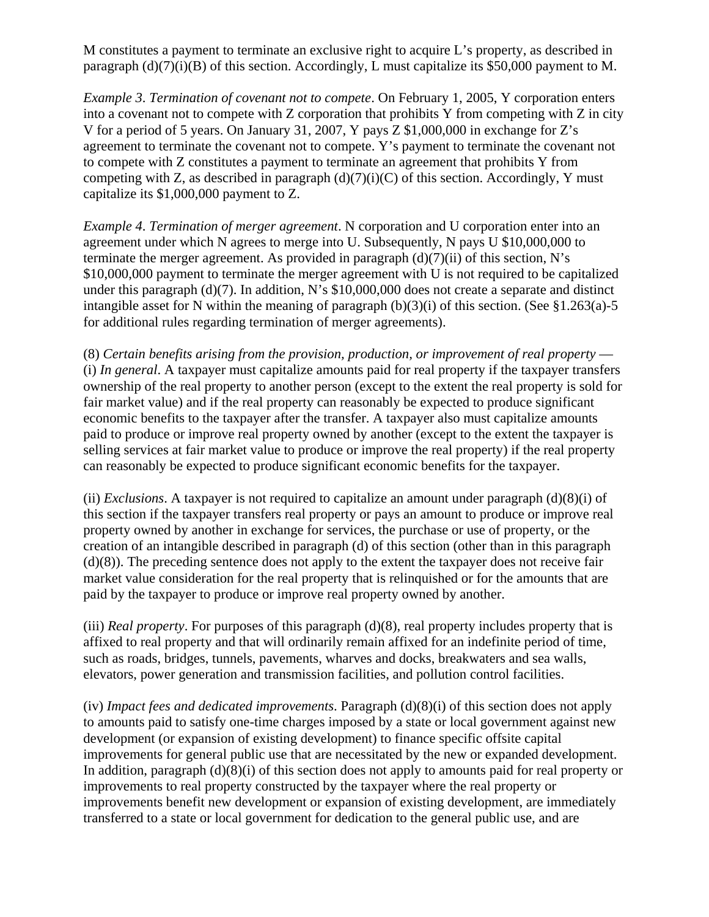M constitutes a payment to terminate an exclusive right to acquire L's property, as described in paragraph  $(d)(7)(i)(B)$  of this section. Accordingly, L must capitalize its \$50,000 payment to M.

*Example 3*. *Termination of covenant not to compete*. On February 1, 2005, Y corporation enters into a covenant not to compete with Z corporation that prohibits Y from competing with Z in city V for a period of 5 years. On January 31, 2007, Y pays Z \$1,000,000 in exchange for Z's agreement to terminate the covenant not to compete. Y's payment to terminate the covenant not to compete with Z constitutes a payment to terminate an agreement that prohibits Y from competing with Z, as described in paragraph  $(d)(7)(i)(C)$  of this section. Accordingly, Y must capitalize its \$1,000,000 payment to Z.

*Example 4*. *Termination of merger agreement*. N corporation and U corporation enter into an agreement under which N agrees to merge into U. Subsequently, N pays U \$10,000,000 to terminate the merger agreement. As provided in paragraph  $(d)(7)(ii)$  of this section, N's \$10,000,000 payment to terminate the merger agreement with U is not required to be capitalized under this paragraph (d)(7). In addition, N's \$10,000,000 does not create a separate and distinct intangible asset for N within the meaning of paragraph  $(b)(3)(i)$  of this section. (See §1.263(a)-5 for additional rules regarding termination of merger agreements).

(8) *Certain benefits arising from the provision, production, or improvement of real property* — (i) *In general*. A taxpayer must capitalize amounts paid for real property if the taxpayer transfers ownership of the real property to another person (except to the extent the real property is sold for fair market value) and if the real property can reasonably be expected to produce significant economic benefits to the taxpayer after the transfer. A taxpayer also must capitalize amounts paid to produce or improve real property owned by another (except to the extent the taxpayer is selling services at fair market value to produce or improve the real property) if the real property can reasonably be expected to produce significant economic benefits for the taxpayer.

(ii) *Exclusions*. A taxpayer is not required to capitalize an amount under paragraph (d)(8)(i) of this section if the taxpayer transfers real property or pays an amount to produce or improve real property owned by another in exchange for services, the purchase or use of property, or the creation of an intangible described in paragraph (d) of this section (other than in this paragraph (d)(8)). The preceding sentence does not apply to the extent the taxpayer does not receive fair market value consideration for the real property that is relinquished or for the amounts that are paid by the taxpayer to produce or improve real property owned by another.

(iii) *Real property*. For purposes of this paragraph (d)(8), real property includes property that is affixed to real property and that will ordinarily remain affixed for an indefinite period of time, such as roads, bridges, tunnels, pavements, wharves and docks, breakwaters and sea walls, elevators, power generation and transmission facilities, and pollution control facilities.

(iv) *Impact fees and dedicated improvements*. Paragraph (d)(8)(i) of this section does not apply to amounts paid to satisfy one-time charges imposed by a state or local government against new development (or expansion of existing development) to finance specific offsite capital improvements for general public use that are necessitated by the new or expanded development. In addition, paragraph (d)(8)(i) of this section does not apply to amounts paid for real property or improvements to real property constructed by the taxpayer where the real property or improvements benefit new development or expansion of existing development, are immediately transferred to a state or local government for dedication to the general public use, and are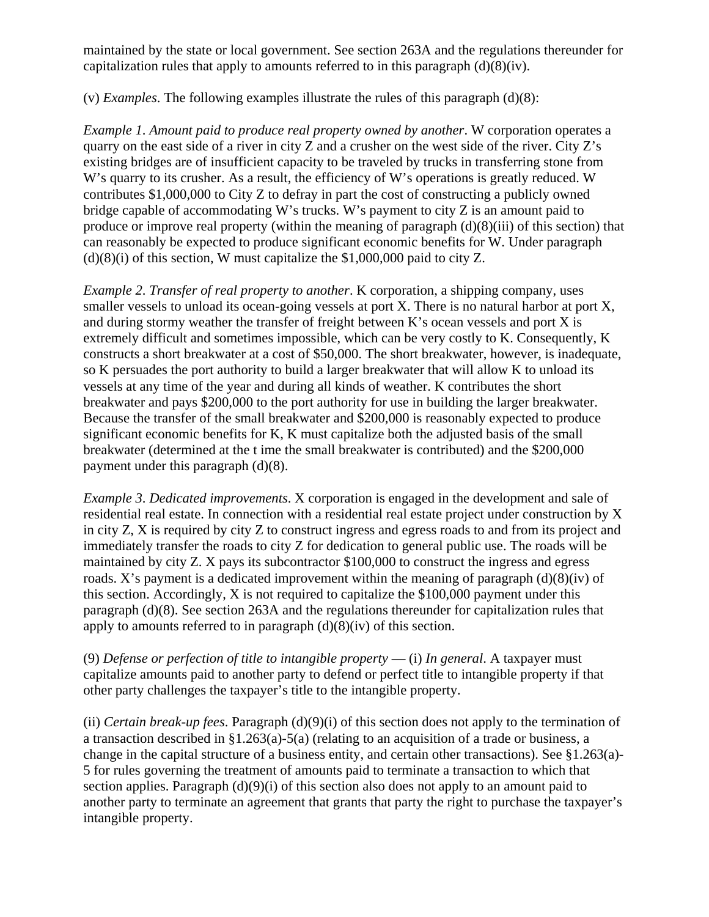maintained by the state or local government. See section 263A and the regulations thereunder for capitalization rules that apply to amounts referred to in this paragraph  $(d)(8)(iv)$ .

(v) *Examples*. The following examples illustrate the rules of this paragraph (d)(8):

*Example 1*. *Amount paid to produce real property owned by another*. W corporation operates a quarry on the east side of a river in city Z and a crusher on the west side of the river. City Z's existing bridges are of insufficient capacity to be traveled by trucks in transferring stone from W's quarry to its crusher. As a result, the efficiency of W's operations is greatly reduced. W contributes \$1,000,000 to City Z to defray in part the cost of constructing a publicly owned bridge capable of accommodating W's trucks. W's payment to city Z is an amount paid to produce or improve real property (within the meaning of paragraph (d)(8)(iii) of this section) that can reasonably be expected to produce significant economic benefits for W. Under paragraph  $(d)(8)(i)$  of this section, W must capitalize the \$1,000,000 paid to city Z.

*Example 2*. *Transfer of real property to another*. K corporation, a shipping company, uses smaller vessels to unload its ocean-going vessels at port X. There is no natural harbor at port X, and during stormy weather the transfer of freight between K's ocean vessels and port X is extremely difficult and sometimes impossible, which can be very costly to K. Consequently, K constructs a short breakwater at a cost of \$50,000. The short breakwater, however, is inadequate, so K persuades the port authority to build a larger breakwater that will allow K to unload its vessels at any time of the year and during all kinds of weather. K contributes the short breakwater and pays \$200,000 to the port authority for use in building the larger breakwater. Because the transfer of the small breakwater and \$200,000 is reasonably expected to produce significant economic benefits for K, K must capitalize both the adjusted basis of the small breakwater (determined at the t ime the small breakwater is contributed) and the \$200,000 payment under this paragraph (d)(8).

*Example 3*. *Dedicated improvements*. X corporation is engaged in the development and sale of residential real estate. In connection with a residential real estate project under construction by X in city Z, X is required by city Z to construct ingress and egress roads to and from its project and immediately transfer the roads to city Z for dedication to general public use. The roads will be maintained by city Z. X pays its subcontractor \$100,000 to construct the ingress and egress roads. X's payment is a dedicated improvement within the meaning of paragraph  $(d)(8)(iv)$  of this section. Accordingly, X is not required to capitalize the \$100,000 payment under this paragraph (d)(8). See section 263A and the regulations thereunder for capitalization rules that apply to amounts referred to in paragraph  $(d)(8)(iv)$  of this section.

(9) *Defense or perfection of title to intangible property* — (i) *In general*. A taxpayer must capitalize amounts paid to another party to defend or perfect title to intangible property if that other party challenges the taxpayer's title to the intangible property.

(ii) *Certain break-up fees*. Paragraph (d)(9)(i) of this section does not apply to the termination of a transaction described in §1.263(a)-5(a) (relating to an acquisition of a trade or business, a change in the capital structure of a business entity, and certain other transactions). See §1.263(a)- 5 for rules governing the treatment of amounts paid to terminate a transaction to which that section applies. Paragraph (d)(9)(i) of this section also does not apply to an amount paid to another party to terminate an agreement that grants that party the right to purchase the taxpayer's intangible property.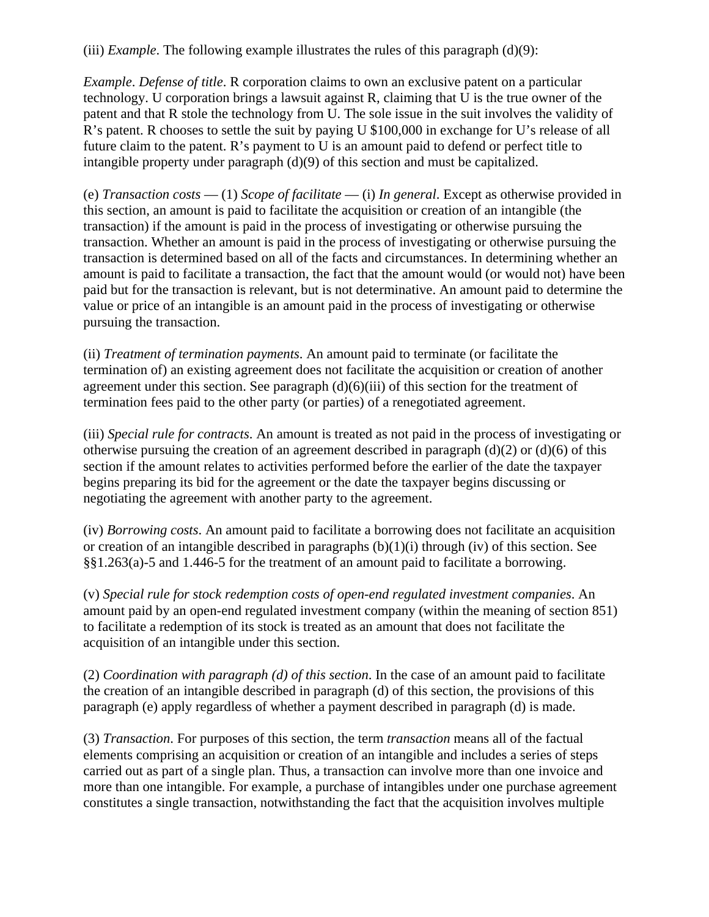(iii) *Example*. The following example illustrates the rules of this paragraph (d)(9):

*Example*. *Defense of title*. R corporation claims to own an exclusive patent on a particular technology. U corporation brings a lawsuit against R, claiming that U is the true owner of the patent and that R stole the technology from U. The sole issue in the suit involves the validity of R's patent. R chooses to settle the suit by paying U \$100,000 in exchange for U's release of all future claim to the patent. R's payment to U is an amount paid to defend or perfect title to intangible property under paragraph (d)(9) of this section and must be capitalized.

(e) *Transaction costs* — (1) *Scope of facilitate* — (i) *In general*. Except as otherwise provided in this section, an amount is paid to facilitate the acquisition or creation of an intangible (the transaction) if the amount is paid in the process of investigating or otherwise pursuing the transaction. Whether an amount is paid in the process of investigating or otherwise pursuing the transaction is determined based on all of the facts and circumstances. In determining whether an amount is paid to facilitate a transaction, the fact that the amount would (or would not) have been paid but for the transaction is relevant, but is not determinative. An amount paid to determine the value or price of an intangible is an amount paid in the process of investigating or otherwise pursuing the transaction.

(ii) *Treatment of termination payments*. An amount paid to terminate (or facilitate the termination of) an existing agreement does not facilitate the acquisition or creation of another agreement under this section. See paragraph  $(d)(6)(iii)$  of this section for the treatment of termination fees paid to the other party (or parties) of a renegotiated agreement.

(iii) *Special rule for contracts*. An amount is treated as not paid in the process of investigating or otherwise pursuing the creation of an agreement described in paragraph  $(d)(2)$  or  $(d)(6)$  of this section if the amount relates to activities performed before the earlier of the date the taxpayer begins preparing its bid for the agreement or the date the taxpayer begins discussing or negotiating the agreement with another party to the agreement.

(iv) *Borrowing costs*. An amount paid to facilitate a borrowing does not facilitate an acquisition or creation of an intangible described in paragraphs  $(b)(1)(i)$  through  $(iv)$  of this section. See §§1.263(a)-5 and 1.446-5 for the treatment of an amount paid to facilitate a borrowing.

(v) *Special rule for stock redemption costs of open-end regulated investment companies*. An amount paid by an open-end regulated investment company (within the meaning of section 851) to facilitate a redemption of its stock is treated as an amount that does not facilitate the acquisition of an intangible under this section.

(2) *Coordination with paragraph (d) of this section*. In the case of an amount paid to facilitate the creation of an intangible described in paragraph (d) of this section, the provisions of this paragraph (e) apply regardless of whether a payment described in paragraph (d) is made.

(3) *Transaction*. For purposes of this section, the term *transaction* means all of the factual elements comprising an acquisition or creation of an intangible and includes a series of steps carried out as part of a single plan. Thus, a transaction can involve more than one invoice and more than one intangible. For example, a purchase of intangibles under one purchase agreement constitutes a single transaction, notwithstanding the fact that the acquisition involves multiple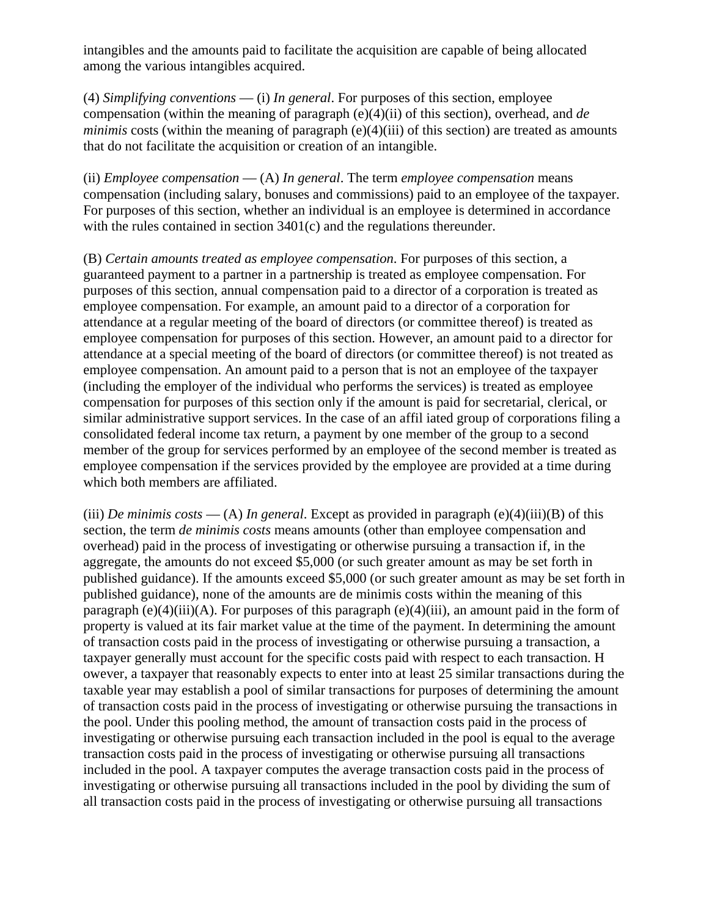intangibles and the amounts paid to facilitate the acquisition are capable of being allocated among the various intangibles acquired.

(4) *Simplifying conventions* — (i) *In general*. For purposes of this section, employee compensation (within the meaning of paragraph (e)(4)(ii) of this section), overhead, and *de minimis* costs (within the meaning of paragraph (e)(4)(iii) of this section) are treated as amounts that do not facilitate the acquisition or creation of an intangible.

(ii) *Employee compensation* — (A) *In general*. The term *employee compensation* means compensation (including salary, bonuses and commissions) paid to an employee of the taxpayer. For purposes of this section, whether an individual is an employee is determined in accordance with the rules contained in section 3401(c) and the regulations thereunder.

(B) *Certain amounts treated as employee compensation*. For purposes of this section, a guaranteed payment to a partner in a partnership is treated as employee compensation. For purposes of this section, annual compensation paid to a director of a corporation is treated as employee compensation. For example, an amount paid to a director of a corporation for attendance at a regular meeting of the board of directors (or committee thereof) is treated as employee compensation for purposes of this section. However, an amount paid to a director for attendance at a special meeting of the board of directors (or committee thereof) is not treated as employee compensation. An amount paid to a person that is not an employee of the taxpayer (including the employer of the individual who performs the services) is treated as employee compensation for purposes of this section only if the amount is paid for secretarial, clerical, or similar administrative support services. In the case of an affil iated group of corporations filing a consolidated federal income tax return, a payment by one member of the group to a second member of the group for services performed by an employee of the second member is treated as employee compensation if the services provided by the employee are provided at a time during which both members are affiliated.

(iii) *De minimis costs* — (A) *In general*. Except as provided in paragraph (e)(4)(iii)(B) of this section, the term *de minimis costs* means amounts (other than employee compensation and overhead) paid in the process of investigating or otherwise pursuing a transaction if, in the aggregate, the amounts do not exceed \$5,000 (or such greater amount as may be set forth in published guidance). If the amounts exceed \$5,000 (or such greater amount as may be set forth in published guidance), none of the amounts are de minimis costs within the meaning of this paragraph (e)(4)(iii)(A). For purposes of this paragraph (e)(4)(iii), an amount paid in the form of property is valued at its fair market value at the time of the payment. In determining the amount of transaction costs paid in the process of investigating or otherwise pursuing a transaction, a taxpayer generally must account for the specific costs paid with respect to each transaction. H owever, a taxpayer that reasonably expects to enter into at least 25 similar transactions during the taxable year may establish a pool of similar transactions for purposes of determining the amount of transaction costs paid in the process of investigating or otherwise pursuing the transactions in the pool. Under this pooling method, the amount of transaction costs paid in the process of investigating or otherwise pursuing each transaction included in the pool is equal to the average transaction costs paid in the process of investigating or otherwise pursuing all transactions included in the pool. A taxpayer computes the average transaction costs paid in the process of investigating or otherwise pursuing all transactions included in the pool by dividing the sum of all transaction costs paid in the process of investigating or otherwise pursuing all transactions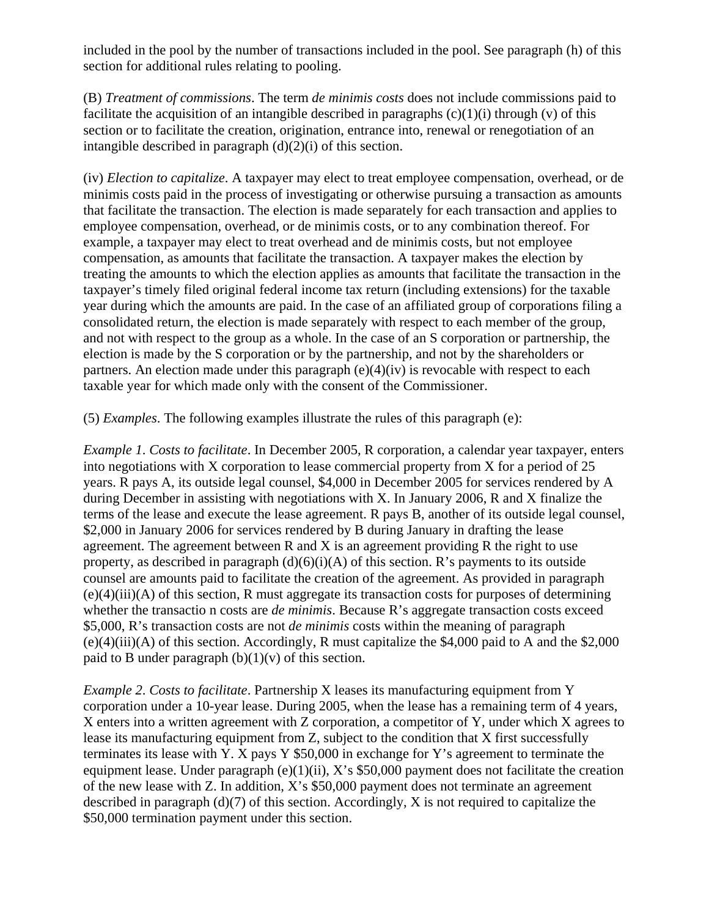included in the pool by the number of transactions included in the pool. See paragraph (h) of this section for additional rules relating to pooling.

(B) *Treatment of commissions*. The term *de minimis costs* does not include commissions paid to facilitate the acquisition of an intangible described in paragraphs  $(c)(1)(i)$  through  $(v)$  of this section or to facilitate the creation, origination, entrance into, renewal or renegotiation of an intangible described in paragraph  $(d)(2)(i)$  of this section.

(iv) *Election to capitalize*. A taxpayer may elect to treat employee compensation, overhead, or de minimis costs paid in the process of investigating or otherwise pursuing a transaction as amounts that facilitate the transaction. The election is made separately for each transaction and applies to employee compensation, overhead, or de minimis costs, or to any combination thereof. For example, a taxpayer may elect to treat overhead and de minimis costs, but not employee compensation, as amounts that facilitate the transaction. A taxpayer makes the election by treating the amounts to which the election applies as amounts that facilitate the transaction in the taxpayer's timely filed original federal income tax return (including extensions) for the taxable year during which the amounts are paid. In the case of an affiliated group of corporations filing a consolidated return, the election is made separately with respect to each member of the group, and not with respect to the group as a whole. In the case of an S corporation or partnership, the election is made by the S corporation or by the partnership, and not by the shareholders or partners. An election made under this paragraph (e)(4)(iv) is revocable with respect to each taxable year for which made only with the consent of the Commissioner.

(5) *Examples*. The following examples illustrate the rules of this paragraph (e):

*Example 1*. *Costs to facilitate*. In December 2005, R corporation, a calendar year taxpayer, enters into negotiations with X corporation to lease commercial property from X for a period of 25 years. R pays A, its outside legal counsel, \$4,000 in December 2005 for services rendered by A during December in assisting with negotiations with X. In January 2006, R and X finalize the terms of the lease and execute the lease agreement. R pays B, another of its outside legal counsel, \$2,000 in January 2006 for services rendered by B during January in drafting the lease agreement. The agreement between  $R$  and  $X$  is an agreement providing  $R$  the right to use property, as described in paragraph  $(d)(6)(i)(A)$  of this section. R's payments to its outside counsel are amounts paid to facilitate the creation of the agreement. As provided in paragraph  $(e)(4)(iii)(A)$  of this section, R must aggregate its transaction costs for purposes of determining whether the transactio n costs are *de minimis*. Because R's aggregate transaction costs exceed \$5,000, R's transaction costs are not *de minimis* costs within the meaning of paragraph (e)(4)(iii)(A) of this section. Accordingly, R must capitalize the \$4,000 paid to A and the \$2,000 paid to B under paragraph  $(b)(1)(v)$  of this section.

*Example 2*. *Costs to facilitate*. Partnership X leases its manufacturing equipment from Y corporation under a 10-year lease. During 2005, when the lease has a remaining term of 4 years, X enters into a written agreement with Z corporation, a competitor of Y, under which X agrees to lease its manufacturing equipment from Z, subject to the condition that X first successfully terminates its lease with Y. X pays Y \$50,000 in exchange for Y's agreement to terminate the equipment lease. Under paragraph (e)(1)(ii), X's \$50,000 payment does not facilitate the creation of the new lease with Z. In addition, X's \$50,000 payment does not terminate an agreement described in paragraph (d)(7) of this section. Accordingly, X is not required to capitalize the \$50,000 termination payment under this section.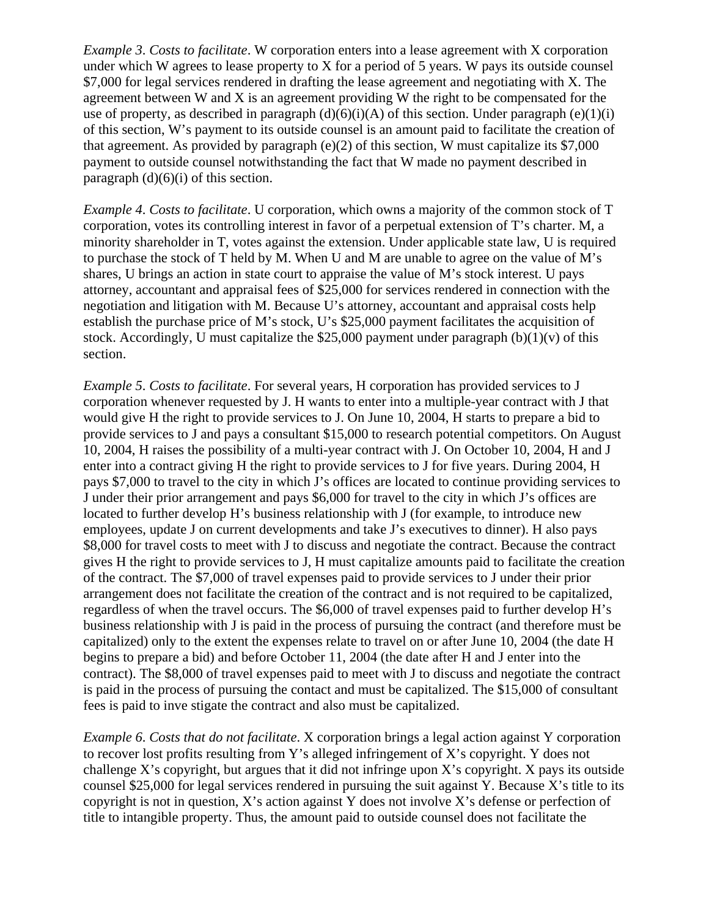*Example 3*. *Costs to facilitate*. W corporation enters into a lease agreement with X corporation under which W agrees to lease property to X for a period of 5 years. W pays its outside counsel \$7,000 for legal services rendered in drafting the lease agreement and negotiating with X. The agreement between W and X is an agreement providing W the right to be compensated for the use of property, as described in paragraph  $(d)(6)(i)(A)$  of this section. Under paragraph  $(e)(1)(i)$ of this section, W's payment to its outside counsel is an amount paid to facilitate the creation of that agreement. As provided by paragraph  $(e)(2)$  of this section, W must capitalize its \$7,000 payment to outside counsel notwithstanding the fact that W made no payment described in paragraph  $(d)(6)(i)$  of this section.

*Example 4*. *Costs to facilitate*. U corporation, which owns a majority of the common stock of T corporation, votes its controlling interest in favor of a perpetual extension of T's charter. M, a minority shareholder in T, votes against the extension. Under applicable state law, U is required to purchase the stock of T held by M. When U and M are unable to agree on the value of M's shares, U brings an action in state court to appraise the value of M's stock interest. U pays attorney, accountant and appraisal fees of \$25,000 for services rendered in connection with the negotiation and litigation with M. Because U's attorney, accountant and appraisal costs help establish the purchase price of M's stock, U's \$25,000 payment facilitates the acquisition of stock. Accordingly, U must capitalize the \$25,000 payment under paragraph  $(b)(1)(v)$  of this section.

*Example 5*. *Costs to facilitate*. For several years, H corporation has provided services to J corporation whenever requested by J. H wants to enter into a multiple-year contract with J that would give H the right to provide services to J. On June 10, 2004, H starts to prepare a bid to provide services to J and pays a consultant \$15,000 to research potential competitors. On August 10, 2004, H raises the possibility of a multi-year contract with J. On October 10, 2004, H and J enter into a contract giving H the right to provide services to J for five years. During 2004, H pays \$7,000 to travel to the city in which J's offices are located to continue providing services to J under their prior arrangement and pays \$6,000 for travel to the city in which J's offices are located to further develop H's business relationship with J (for example, to introduce new employees, update J on current developments and take J's executives to dinner). H also pays \$8,000 for travel costs to meet with J to discuss and negotiate the contract. Because the contract gives H the right to provide services to J, H must capitalize amounts paid to facilitate the creation of the contract. The \$7,000 of travel expenses paid to provide services to J under their prior arrangement does not facilitate the creation of the contract and is not required to be capitalized, regardless of when the travel occurs. The \$6,000 of travel expenses paid to further develop H's business relationship with J is paid in the process of pursuing the contract (and therefore must be capitalized) only to the extent the expenses relate to travel on or after June 10, 2004 (the date H begins to prepare a bid) and before October 11, 2004 (the date after H and J enter into the contract). The \$8,000 of travel expenses paid to meet with J to discuss and negotiate the contract is paid in the process of pursuing the contact and must be capitalized. The \$15,000 of consultant fees is paid to inve stigate the contract and also must be capitalized.

*Example 6*. *Costs that do not facilitate*. X corporation brings a legal action against Y corporation to recover lost profits resulting from Y's alleged infringement of X's copyright. Y does not challenge X's copyright, but argues that it did not infringe upon X's copyright. X pays its outside counsel \$25,000 for legal services rendered in pursuing the suit against Y. Because X's title to its copyright is not in question, X's action against Y does not involve X's defense or perfection of title to intangible property. Thus, the amount paid to outside counsel does not facilitate the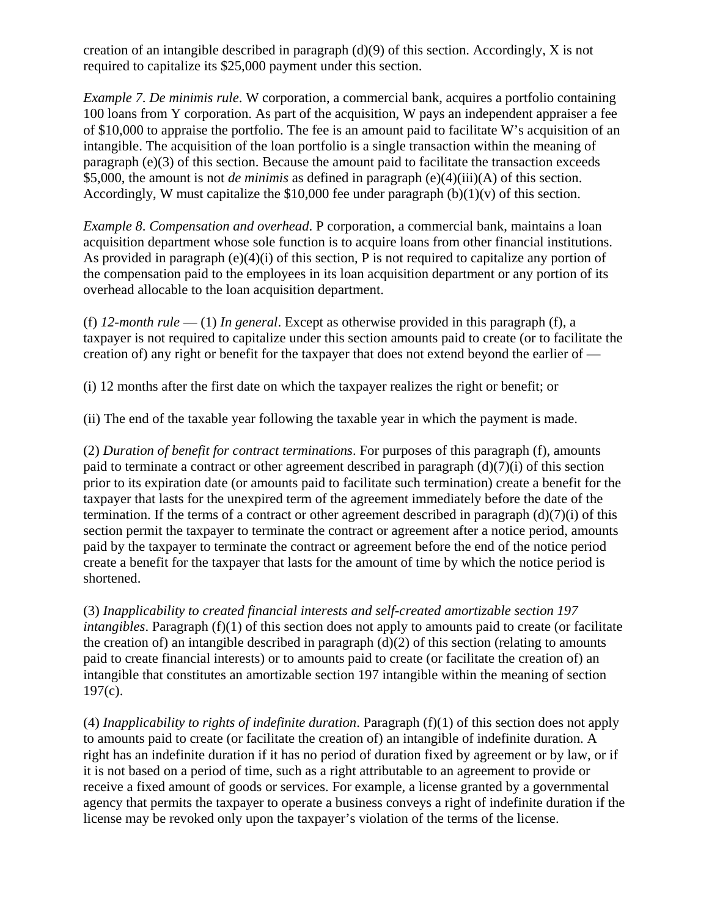creation of an intangible described in paragraph  $(d)(9)$  of this section. Accordingly, X is not required to capitalize its \$25,000 payment under this section.

*Example 7*. *De minimis rule*. W corporation, a commercial bank, acquires a portfolio containing 100 loans from Y corporation. As part of the acquisition, W pays an independent appraiser a fee of \$10,000 to appraise the portfolio. The fee is an amount paid to facilitate W's acquisition of an intangible. The acquisition of the loan portfolio is a single transaction within the meaning of paragraph (e)(3) of this section. Because the amount paid to facilitate the transaction exceeds \$5,000, the amount is not *de minimis* as defined in paragraph (e)(4)(iii)(A) of this section. Accordingly, W must capitalize the \$10,000 fee under paragraph  $(b)(1)(v)$  of this section.

*Example 8*. *Compensation and overhead*. P corporation, a commercial bank, maintains a loan acquisition department whose sole function is to acquire loans from other financial institutions. As provided in paragraph  $(e)(4)(i)$  of this section, P is not required to capitalize any portion of the compensation paid to the employees in its loan acquisition department or any portion of its overhead allocable to the loan acquisition department.

(f) *12-month rule* — (1) *In general*. Except as otherwise provided in this paragraph (f), a taxpayer is not required to capitalize under this section amounts paid to create (or to facilitate the creation of) any right or benefit for the taxpayer that does not extend beyond the earlier of —

(i) 12 months after the first date on which the taxpayer realizes the right or benefit; or

(ii) The end of the taxable year following the taxable year in which the payment is made.

(2) *Duration of benefit for contract terminations*. For purposes of this paragraph (f), amounts paid to terminate a contract or other agreement described in paragraph  $(d)(7)(i)$  of this section prior to its expiration date (or amounts paid to facilitate such termination) create a benefit for the taxpayer that lasts for the unexpired term of the agreement immediately before the date of the termination. If the terms of a contract or other agreement described in paragraph  $(d)(7)(i)$  of this section permit the taxpayer to terminate the contract or agreement after a notice period, amounts paid by the taxpayer to terminate the contract or agreement before the end of the notice period create a benefit for the taxpayer that lasts for the amount of time by which the notice period is shortened.

(3) *Inapplicability to created financial interests and self-created amortizable section 197 intangibles*. Paragraph (f)(1) of this section does not apply to amounts paid to create (or facilitate the creation of) an intangible described in paragraph  $(d)(2)$  of this section (relating to amounts paid to create financial interests) or to amounts paid to create (or facilitate the creation of) an intangible that constitutes an amortizable section 197 intangible within the meaning of section 197(c).

(4) *Inapplicability to rights of indefinite duration*. Paragraph (f)(1) of this section does not apply to amounts paid to create (or facilitate the creation of) an intangible of indefinite duration. A right has an indefinite duration if it has no period of duration fixed by agreement or by law, or if it is not based on a period of time, such as a right attributable to an agreement to provide or receive a fixed amount of goods or services. For example, a license granted by a governmental agency that permits the taxpayer to operate a business conveys a right of indefinite duration if the license may be revoked only upon the taxpayer's violation of the terms of the license.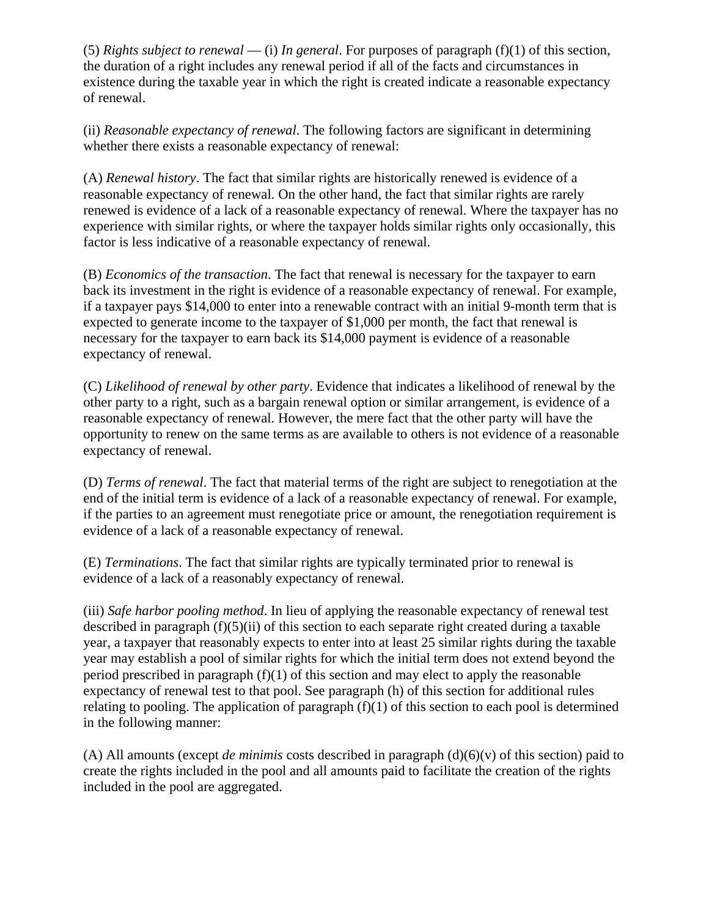(5) *Rights subject to renewal* — (i) *In general*. For purposes of paragraph (f)(1) of this section, the duration of a right includes any renewal period if all of the facts and circumstances in existence during the taxable year in which the right is created indicate a reasonable expectancy of renewal.

(ii) *Reasonable expectancy of renewal*. The following factors are significant in determining whether there exists a reasonable expectancy of renewal:

(A) *Renewal history*. The fact that similar rights are historically renewed is evidence of a reasonable expectancy of renewal. On the other hand, the fact that similar rights are rarely renewed is evidence of a lack of a reasonable expectancy of renewal. Where the taxpayer has no experience with similar rights, or where the taxpayer holds similar rights only occasionally, this factor is less indicative of a reasonable expectancy of renewal.

(B) *Economics of the transaction*. The fact that renewal is necessary for the taxpayer to earn back its investment in the right is evidence of a reasonable expectancy of renewal. For example, if a taxpayer pays \$14,000 to enter into a renewable contract with an initial 9-month term that is expected to generate income to the taxpayer of \$1,000 per month, the fact that renewal is necessary for the taxpayer to earn back its \$14,000 payment is evidence of a reasonable expectancy of renewal.

(C) *Likelihood of renewal by other party*. Evidence that indicates a likelihood of renewal by the other party to a right, such as a bargain renewal option or similar arrangement, is evidence of a reasonable expectancy of renewal. However, the mere fact that the other party will have the opportunity to renew on the same terms as are available to others is not evidence of a reasonable expectancy of renewal.

(D) *Terms of renewal*. The fact that material terms of the right are subject to renegotiation at the end of the initial term is evidence of a lack of a reasonable expectancy of renewal. For example, if the parties to an agreement must renegotiate price or amount, the renegotiation requirement is evidence of a lack of a reasonable expectancy of renewal.

(E) *Terminations*. The fact that similar rights are typically terminated prior to renewal is evidence of a lack of a reasonably expectancy of renewal.

(iii) *Safe harbor pooling method*. In lieu of applying the reasonable expectancy of renewal test described in paragraph (f)(5)(ii) of this section to each separate right created during a taxable year, a taxpayer that reasonably expects to enter into at least 25 similar rights during the taxable year may establish a pool of similar rights for which the initial term does not extend beyond the period prescribed in paragraph (f)(1) of this section and may elect to apply the reasonable expectancy of renewal test to that pool. See paragraph (h) of this section for additional rules relating to pooling. The application of paragraph  $(f)(1)$  of this section to each pool is determined in the following manner:

(A) All amounts (except *de minimis* costs described in paragraph  $(d)(6)(v)$  of this section) paid to create the rights included in the pool and all amounts paid to facilitate the creation of the rights included in the pool are aggregated.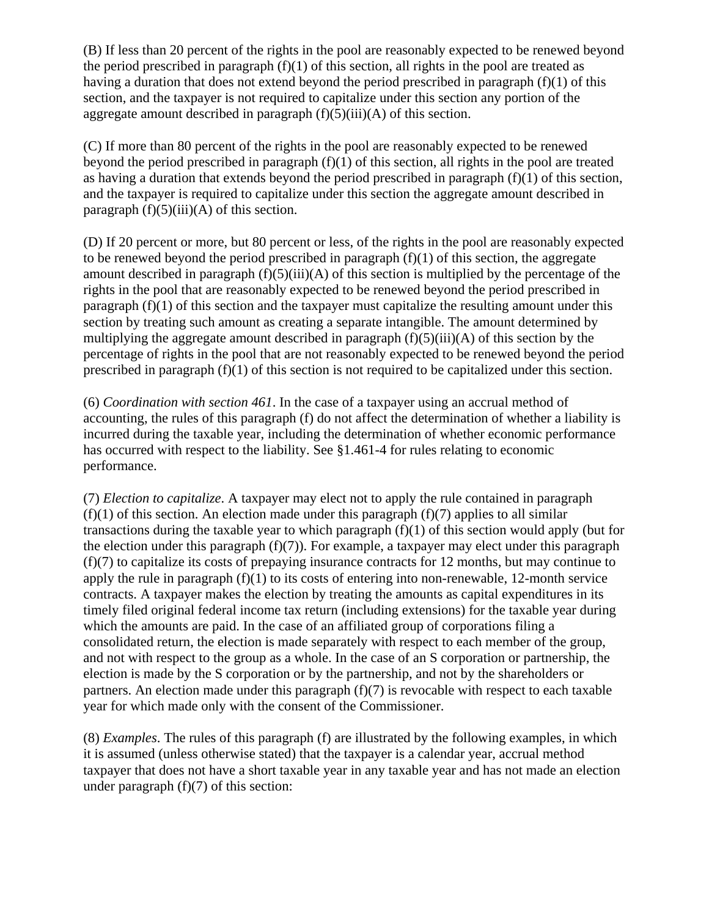(B) If less than 20 percent of the rights in the pool are reasonably expected to be renewed beyond the period prescribed in paragraph  $(f)(1)$  of this section, all rights in the pool are treated as having a duration that does not extend beyond the period prescribed in paragraph  $(f)(1)$  of this section, and the taxpayer is not required to capitalize under this section any portion of the aggregate amount described in paragraph  $(f)(5)(iii)(A)$  of this section.

(C) If more than 80 percent of the rights in the pool are reasonably expected to be renewed beyond the period prescribed in paragraph (f)(1) of this section, all rights in the pool are treated as having a duration that extends beyond the period prescribed in paragraph (f)(1) of this section, and the taxpayer is required to capitalize under this section the aggregate amount described in paragraph  $(f)(5)(iii)(A)$  of this section.

(D) If 20 percent or more, but 80 percent or less, of the rights in the pool are reasonably expected to be renewed beyond the period prescribed in paragraph  $(f)(1)$  of this section, the aggregate amount described in paragraph  $(f)(5)(iii)(A)$  of this section is multiplied by the percentage of the rights in the pool that are reasonably expected to be renewed beyond the period prescribed in paragraph (f)(1) of this section and the taxpayer must capitalize the resulting amount under this section by treating such amount as creating a separate intangible. The amount determined by multiplying the aggregate amount described in paragraph  $(f)(5)(iii)(A)$  of this section by the percentage of rights in the pool that are not reasonably expected to be renewed beyond the period prescribed in paragraph (f)(1) of this section is not required to be capitalized under this section.

(6) *Coordination with section 461*. In the case of a taxpayer using an accrual method of accounting, the rules of this paragraph (f) do not affect the determination of whether a liability is incurred during the taxable year, including the determination of whether economic performance has occurred with respect to the liability. See §1.461-4 for rules relating to economic performance.

(7) *Election to capitalize*. A taxpayer may elect not to apply the rule contained in paragraph  $(f)(1)$  of this section. An election made under this paragraph  $(f)(7)$  applies to all similar transactions during the taxable year to which paragraph (f)(1) of this section would apply (but for the election under this paragraph  $(f)(7)$ ). For example, a taxpayer may elect under this paragraph (f)(7) to capitalize its costs of prepaying insurance contracts for 12 months, but may continue to apply the rule in paragraph  $(f)(1)$  to its costs of entering into non-renewable, 12-month service contracts. A taxpayer makes the election by treating the amounts as capital expenditures in its timely filed original federal income tax return (including extensions) for the taxable year during which the amounts are paid. In the case of an affiliated group of corporations filing a consolidated return, the election is made separately with respect to each member of the group, and not with respect to the group as a whole. In the case of an S corporation or partnership, the election is made by the S corporation or by the partnership, and not by the shareholders or partners. An election made under this paragraph  $(f)(7)$  is revocable with respect to each taxable year for which made only with the consent of the Commissioner.

(8) *Examples*. The rules of this paragraph (f) are illustrated by the following examples, in which it is assumed (unless otherwise stated) that the taxpayer is a calendar year, accrual method taxpayer that does not have a short taxable year in any taxable year and has not made an election under paragraph  $(f)(7)$  of this section: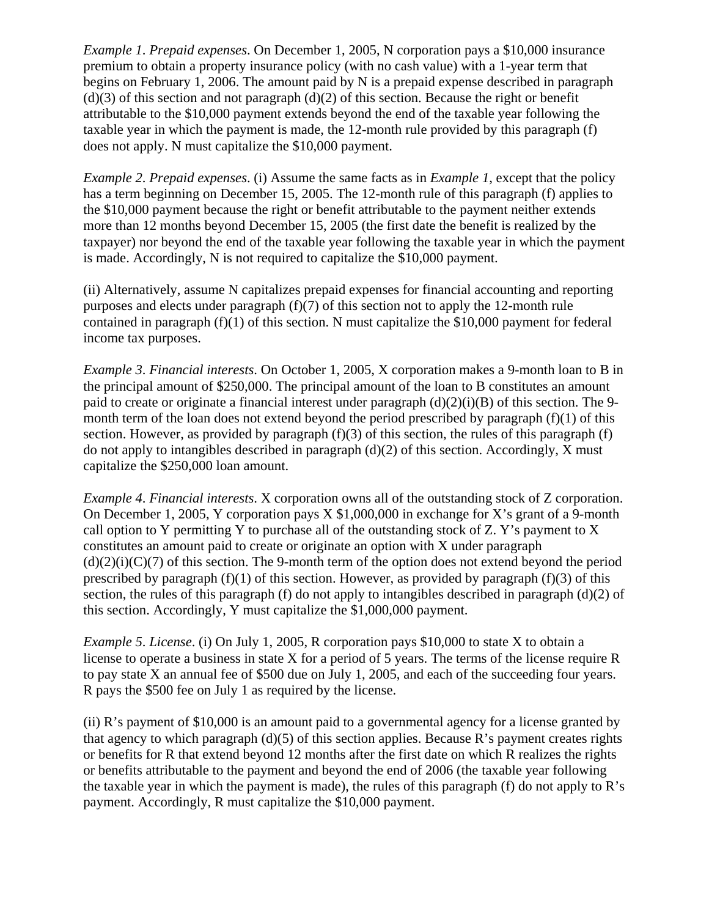*Example 1*. *Prepaid expenses*. On December 1, 2005, N corporation pays a \$10,000 insurance premium to obtain a property insurance policy (with no cash value) with a 1-year term that begins on February 1, 2006. The amount paid by N is a prepaid expense described in paragraph  $(d)(3)$  of this section and not paragraph  $(d)(2)$  of this section. Because the right or benefit attributable to the \$10,000 payment extends beyond the end of the taxable year following the taxable year in which the payment is made, the 12-month rule provided by this paragraph (f) does not apply. N must capitalize the \$10,000 payment.

*Example 2*. *Prepaid expenses*. (i) Assume the same facts as in *Example 1*, except that the policy has a term beginning on December 15, 2005. The 12-month rule of this paragraph (f) applies to the \$10,000 payment because the right or benefit attributable to the payment neither extends more than 12 months beyond December 15, 2005 (the first date the benefit is realized by the taxpayer) nor beyond the end of the taxable year following the taxable year in which the payment is made. Accordingly, N is not required to capitalize the \$10,000 payment.

(ii) Alternatively, assume N capitalizes prepaid expenses for financial accounting and reporting purposes and elects under paragraph (f)(7) of this section not to apply the 12-month rule contained in paragraph  $(f)(1)$  of this section. N must capitalize the \$10,000 payment for federal income tax purposes.

*Example 3*. *Financial interests*. On October 1, 2005, X corporation makes a 9-month loan to B in the principal amount of \$250,000. The principal amount of the loan to B constitutes an amount paid to create or originate a financial interest under paragraph  $(d)(2)(i)(B)$  of this section. The 9month term of the loan does not extend beyond the period prescribed by paragraph  $(f)(1)$  of this section. However, as provided by paragraph  $(f)(3)$  of this section, the rules of this paragraph  $(f)$ do not apply to intangibles described in paragraph (d)(2) of this section. Accordingly, X must capitalize the \$250,000 loan amount.

*Example 4*. *Financial interests*. X corporation owns all of the outstanding stock of Z corporation. On December 1, 2005, Y corporation pays X \$1,000,000 in exchange for X's grant of a 9-month call option to Y permitting Y to purchase all of the outstanding stock of Z. Y's payment to X constitutes an amount paid to create or originate an option with X under paragraph  $(d)(2)(i)(C)(7)$  of this section. The 9-month term of the option does not extend beyond the period prescribed by paragraph  $(f)(1)$  of this section. However, as provided by paragraph  $(f)(3)$  of this section, the rules of this paragraph (f) do not apply to intangibles described in paragraph (d)(2) of this section. Accordingly, Y must capitalize the \$1,000,000 payment.

*Example 5*. *License*. (i) On July 1, 2005, R corporation pays \$10,000 to state X to obtain a license to operate a business in state X for a period of 5 years. The terms of the license require R to pay state X an annual fee of \$500 due on July 1, 2005, and each of the succeeding four years. R pays the \$500 fee on July 1 as required by the license.

(ii) R's payment of \$10,000 is an amount paid to a governmental agency for a license granted by that agency to which paragraph  $(d)(5)$  of this section applies. Because R's payment creates rights or benefits for R that extend beyond 12 months after the first date on which R realizes the rights or benefits attributable to the payment and beyond the end of 2006 (the taxable year following the taxable year in which the payment is made), the rules of this paragraph (f) do not apply to  $\mathbb{R}$ 's payment. Accordingly, R must capitalize the \$10,000 payment.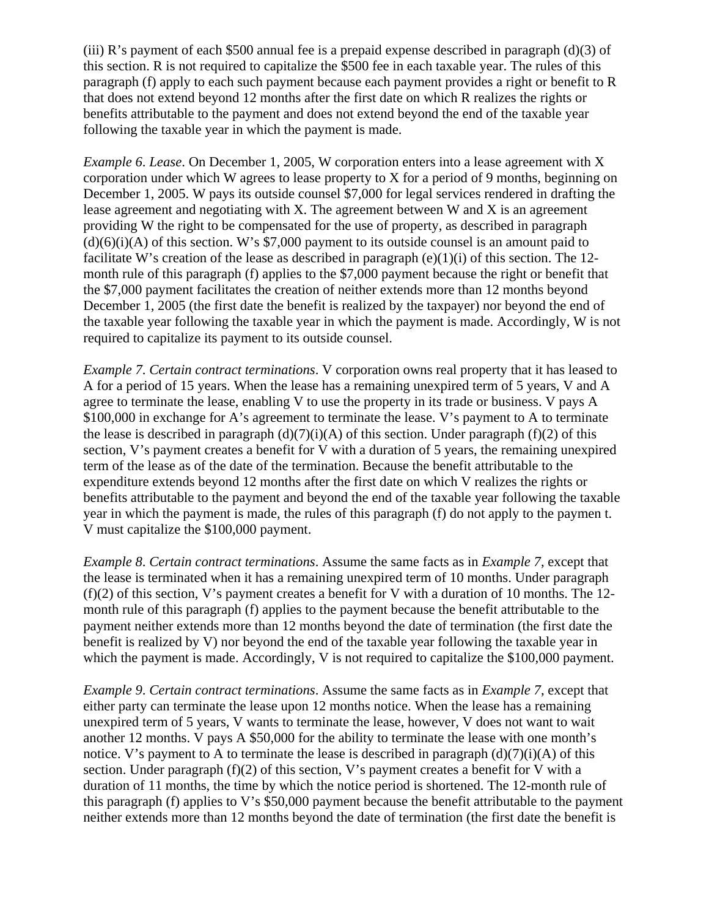(iii) R's payment of each \$500 annual fee is a prepaid expense described in paragraph (d)(3) of this section. R is not required to capitalize the \$500 fee in each taxable year. The rules of this paragraph (f) apply to each such payment because each payment provides a right or benefit to R that does not extend beyond 12 months after the first date on which R realizes the rights or benefits attributable to the payment and does not extend beyond the end of the taxable year following the taxable year in which the payment is made.

*Example 6*. *Lease*. On December 1, 2005, W corporation enters into a lease agreement with X corporation under which W agrees to lease property to X for a period of 9 months, beginning on December 1, 2005. W pays its outside counsel \$7,000 for legal services rendered in drafting the lease agreement and negotiating with X. The agreement between W and X is an agreement providing W the right to be compensated for the use of property, as described in paragraph  $(d)(6)(i)(A)$  of this section. W's \$7,000 payment to its outside counsel is an amount paid to facilitate W's creation of the lease as described in paragraph (e)(1)(i) of this section. The 12month rule of this paragraph (f) applies to the \$7,000 payment because the right or benefit that the \$7,000 payment facilitates the creation of neither extends more than 12 months beyond December 1, 2005 (the first date the benefit is realized by the taxpayer) nor beyond the end of the taxable year following the taxable year in which the payment is made. Accordingly, W is not required to capitalize its payment to its outside counsel.

*Example 7*. *Certain contract terminations*. V corporation owns real property that it has leased to A for a period of 15 years. When the lease has a remaining unexpired term of 5 years, V and A agree to terminate the lease, enabling V to use the property in its trade or business. V pays A \$100,000 in exchange for A's agreement to terminate the lease. V's payment to A to terminate the lease is described in paragraph  $(d)(7)(i)(A)$  of this section. Under paragraph (f)(2) of this section, V's payment creates a benefit for V with a duration of 5 years, the remaining unexpired term of the lease as of the date of the termination. Because the benefit attributable to the expenditure extends beyond 12 months after the first date on which V realizes the rights or benefits attributable to the payment and beyond the end of the taxable year following the taxable year in which the payment is made, the rules of this paragraph (f) do not apply to the paymen t. V must capitalize the \$100,000 payment.

*Example 8*. *Certain contract terminations*. Assume the same facts as in *Example 7*, except that the lease is terminated when it has a remaining unexpired term of 10 months. Under paragraph  $(f)(2)$  of this section, V's payment creates a benefit for V with a duration of 10 months. The 12month rule of this paragraph (f) applies to the payment because the benefit attributable to the payment neither extends more than 12 months beyond the date of termination (the first date the benefit is realized by V) nor beyond the end of the taxable year following the taxable year in which the payment is made. Accordingly, V is not required to capitalize the \$100,000 payment.

*Example 9*. *Certain contract terminations*. Assume the same facts as in *Example 7*, except that either party can terminate the lease upon 12 months notice. When the lease has a remaining unexpired term of 5 years, V wants to terminate the lease, however, V does not want to wait another 12 months. V pays A \$50,000 for the ability to terminate the lease with one month's notice. V's payment to A to terminate the lease is described in paragraph  $(d)(7)(i)(A)$  of this section. Under paragraph  $(f)(2)$  of this section, V's payment creates a benefit for V with a duration of 11 months, the time by which the notice period is shortened. The 12-month rule of this paragraph (f) applies to V's \$50,000 payment because the benefit attributable to the payment neither extends more than 12 months beyond the date of termination (the first date the benefit is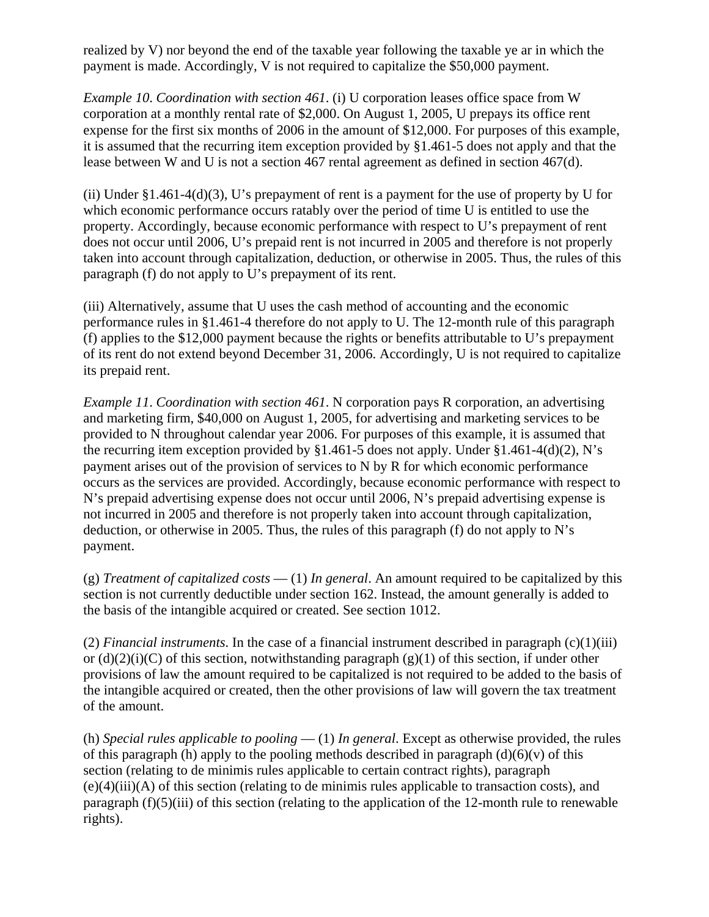realized by V) nor beyond the end of the taxable year following the taxable ye ar in which the payment is made. Accordingly, V is not required to capitalize the \$50,000 payment.

*Example 10*. *Coordination with section 461*. (i) U corporation leases office space from W corporation at a monthly rental rate of \$2,000. On August 1, 2005, U prepays its office rent expense for the first six months of 2006 in the amount of \$12,000. For purposes of this example, it is assumed that the recurring item exception provided by §1.461-5 does not apply and that the lease between W and U is not a section 467 rental agreement as defined in section 467(d).

(ii) Under  $\S1.461-4(d)(3)$ , U's prepayment of rent is a payment for the use of property by U for which economic performance occurs ratably over the period of time U is entitled to use the property. Accordingly, because economic performance with respect to U's prepayment of rent does not occur until 2006, U's prepaid rent is not incurred in 2005 and therefore is not properly taken into account through capitalization, deduction, or otherwise in 2005. Thus, the rules of this paragraph (f) do not apply to U's prepayment of its rent.

(iii) Alternatively, assume that U uses the cash method of accounting and the economic performance rules in §1.461-4 therefore do not apply to U. The 12-month rule of this paragraph (f) applies to the \$12,000 payment because the rights or benefits attributable to U's prepayment of its rent do not extend beyond December 31, 2006. Accordingly, U is not required to capitalize its prepaid rent.

*Example 11*. *Coordination with section 461*. N corporation pays R corporation, an advertising and marketing firm, \$40,000 on August 1, 2005, for advertising and marketing services to be provided to N throughout calendar year 2006. For purposes of this example, it is assumed that the recurring item exception provided by  $\S1.461-5$  does not apply. Under  $\S1.461-4(d)(2)$ , N's payment arises out of the provision of services to N by R for which economic performance occurs as the services are provided. Accordingly, because economic performance with respect to N's prepaid advertising expense does not occur until 2006, N's prepaid advertising expense is not incurred in 2005 and therefore is not properly taken into account through capitalization, deduction, or otherwise in 2005. Thus, the rules of this paragraph (f) do not apply to  $N$ 's payment.

(g) *Treatment of capitalized costs* — (1) *In general*. An amount required to be capitalized by this section is not currently deductible under section 162. Instead, the amount generally is added to the basis of the intangible acquired or created. See section 1012.

(2) *Financial instruments*. In the case of a financial instrument described in paragraph (c)(1)(iii) or  $(d)(2)(i)(C)$  of this section, notwithstanding paragraph  $(g)(1)$  of this section, if under other provisions of law the amount required to be capitalized is not required to be added to the basis of the intangible acquired or created, then the other provisions of law will govern the tax treatment of the amount.

(h) *Special rules applicable to pooling* — (1) *In general*. Except as otherwise provided, the rules of this paragraph (h) apply to the pooling methods described in paragraph  $(d)(6)(v)$  of this section (relating to de minimis rules applicable to certain contract rights), paragraph (e)(4)(iii)(A) of this section (relating to de minimis rules applicable to transaction costs), and paragraph  $(f)(5)(iii)$  of this section (relating to the application of the 12-month rule to renewable rights).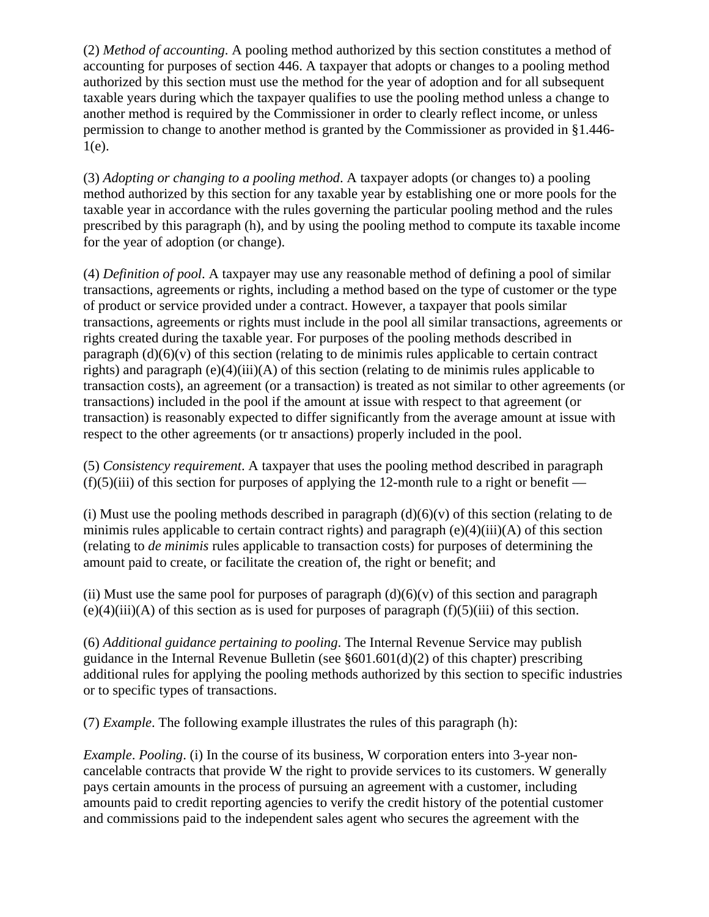(2) *Method of accounting*. A pooling method authorized by this section constitutes a method of accounting for purposes of section 446. A taxpayer that adopts or changes to a pooling method authorized by this section must use the method for the year of adoption and for all subsequent taxable years during which the taxpayer qualifies to use the pooling method unless a change to another method is required by the Commissioner in order to clearly reflect income, or unless permission to change to another method is granted by the Commissioner as provided in §1.446- 1(e).

(3) *Adopting or changing to a pooling method*. A taxpayer adopts (or changes to) a pooling method authorized by this section for any taxable year by establishing one or more pools for the taxable year in accordance with the rules governing the particular pooling method and the rules prescribed by this paragraph (h), and by using the pooling method to compute its taxable income for the year of adoption (or change).

(4) *Definition of pool*. A taxpayer may use any reasonable method of defining a pool of similar transactions, agreements or rights, including a method based on the type of customer or the type of product or service provided under a contract. However, a taxpayer that pools similar transactions, agreements or rights must include in the pool all similar transactions, agreements or rights created during the taxable year. For purposes of the pooling methods described in paragraph  $(d)(6)(v)$  of this section (relating to de minimis rules applicable to certain contract rights) and paragraph  $(e)(4)(iii)(A)$  of this section (relating to de minimis rules applicable to transaction costs), an agreement (or a transaction) is treated as not similar to other agreements (or transactions) included in the pool if the amount at issue with respect to that agreement (or transaction) is reasonably expected to differ significantly from the average amount at issue with respect to the other agreements (or tr ansactions) properly included in the pool.

(5) *Consistency requirement*. A taxpayer that uses the pooling method described in paragraph  $(f)(5)(iii)$  of this section for purposes of applying the 12-month rule to a right or benefit —

(i) Must use the pooling methods described in paragraph  $(d)(6)(v)$  of this section (relating to de minimis rules applicable to certain contract rights) and paragraph  $(e)(4)(iii)(A)$  of this section (relating to *de minimis* rules applicable to transaction costs) for purposes of determining the amount paid to create, or facilitate the creation of, the right or benefit; and

(ii) Must use the same pool for purposes of paragraph  $(d)(6)(v)$  of this section and paragraph  $(e)(4)(iii)(A)$  of this section as is used for purposes of paragraph  $(f)(5)(iii)$  of this section.

(6) *Additional guidance pertaining to pooling*. The Internal Revenue Service may publish guidance in the Internal Revenue Bulletin (see  $\S601.601(d)(2)$  of this chapter) prescribing additional rules for applying the pooling methods authorized by this section to specific industries or to specific types of transactions.

(7) *Example*. The following example illustrates the rules of this paragraph (h):

*Example*. *Pooling*. (i) In the course of its business, W corporation enters into 3-year noncancelable contracts that provide W the right to provide services to its customers. W generally pays certain amounts in the process of pursuing an agreement with a customer, including amounts paid to credit reporting agencies to verify the credit history of the potential customer and commissions paid to the independent sales agent who secures the agreement with the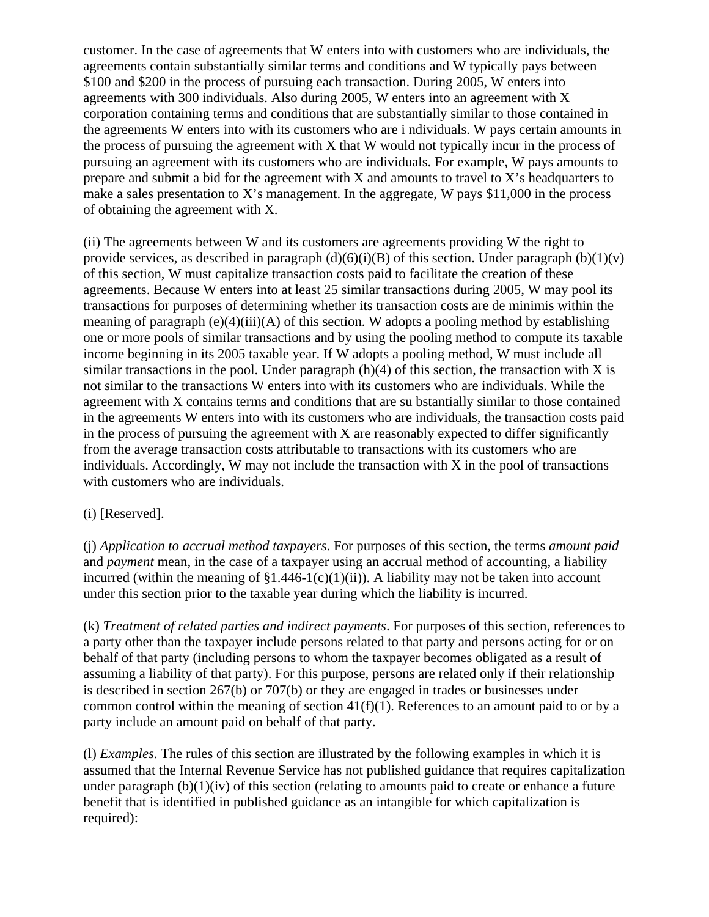customer. In the case of agreements that W enters into with customers who are individuals, the agreements contain substantially similar terms and conditions and W typically pays between \$100 and \$200 in the process of pursuing each transaction. During 2005, W enters into agreements with 300 individuals. Also during 2005, W enters into an agreement with X corporation containing terms and conditions that are substantially similar to those contained in the agreements W enters into with its customers who are i ndividuals. W pays certain amounts in the process of pursuing the agreement with X that W would not typically incur in the process of pursuing an agreement with its customers who are individuals. For example, W pays amounts to prepare and submit a bid for the agreement with  $X$  and amounts to travel to  $X$ 's headquarters to make a sales presentation to X's management. In the aggregate, W pays  $$11,000$  in the process of obtaining the agreement with X.

(ii) The agreements between W and its customers are agreements providing W the right to provide services, as described in paragraph  $(d)(6)(i)(B)$  of this section. Under paragraph  $(b)(1)(v)$ of this section, W must capitalize transaction costs paid to facilitate the creation of these agreements. Because W enters into at least 25 similar transactions during 2005, W may pool its transactions for purposes of determining whether its transaction costs are de minimis within the meaning of paragraph  $(e)(4)(iii)(A)$  of this section. W adopts a pooling method by establishing one or more pools of similar transactions and by using the pooling method to compute its taxable income beginning in its 2005 taxable year. If W adopts a pooling method, W must include all similar transactions in the pool. Under paragraph  $(h)(4)$  of this section, the transaction with X is not similar to the transactions W enters into with its customers who are individuals. While the agreement with X contains terms and conditions that are su bstantially similar to those contained in the agreements W enters into with its customers who are individuals, the transaction costs paid in the process of pursuing the agreement with  $X$  are reasonably expected to differ significantly from the average transaction costs attributable to transactions with its customers who are individuals. Accordingly, W may not include the transaction with X in the pool of transactions with customers who are individuals.

### (i) [Reserved].

(j) *Application to accrual method taxpayers*. For purposes of this section, the terms *amount paid* and *payment* mean, in the case of a taxpayer using an accrual method of accounting, a liability incurred (within the meaning of  $$1.446-1(c)(1)(ii)$ ). A liability may not be taken into account under this section prior to the taxable year during which the liability is incurred.

(k) *Treatment of related parties and indirect payments*. For purposes of this section, references to a party other than the taxpayer include persons related to that party and persons acting for or on behalf of that party (including persons to whom the taxpayer becomes obligated as a result of assuming a liability of that party). For this purpose, persons are related only if their relationship is described in section 267(b) or 707(b) or they are engaged in trades or businesses under common control within the meaning of section  $41(f)(1)$ . References to an amount paid to or by a party include an amount paid on behalf of that party.

(l) *Examples*. The rules of this section are illustrated by the following examples in which it is assumed that the Internal Revenue Service has not published guidance that requires capitalization under paragraph  $(b)(1)(iv)$  of this section (relating to amounts paid to create or enhance a future benefit that is identified in published guidance as an intangible for which capitalization is required):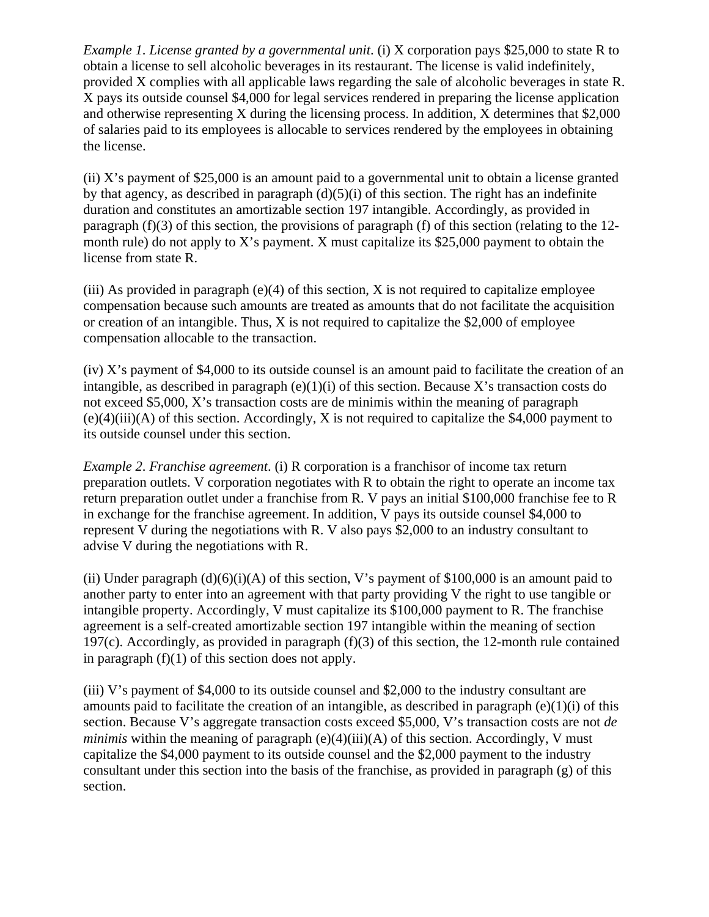*Example 1*. *License granted by a governmental unit*. (i) X corporation pays \$25,000 to state R to obtain a license to sell alcoholic beverages in its restaurant. The license is valid indefinitely, provided X complies with all applicable laws regarding the sale of alcoholic beverages in state R. X pays its outside counsel \$4,000 for legal services rendered in preparing the license application and otherwise representing X during the licensing process. In addition, X determines that \$2,000 of salaries paid to its employees is allocable to services rendered by the employees in obtaining the license.

(ii) X's payment of \$25,000 is an amount paid to a governmental unit to obtain a license granted by that agency, as described in paragraph  $(d)(5)(i)$  of this section. The right has an indefinite duration and constitutes an amortizable section 197 intangible. Accordingly, as provided in paragraph (f)(3) of this section, the provisions of paragraph (f) of this section (relating to the 12 month rule) do not apply to X's payment. X must capitalize its  $$25,000$  payment to obtain the license from state R.

(iii) As provided in paragraph  $(e)(4)$  of this section, X is not required to capitalize employee compensation because such amounts are treated as amounts that do not facilitate the acquisition or creation of an intangible. Thus,  $X$  is not required to capitalize the \$2,000 of employee compensation allocable to the transaction.

(iv) X's payment of \$4,000 to its outside counsel is an amount paid to facilitate the creation of an intangible, as described in paragraph  $(e)(1)(i)$  of this section. Because X's transaction costs do not exceed \$5,000, X's transaction costs are de minimis within the meaning of paragraph (e)(4)(iii)(A) of this section. Accordingly, X is not required to capitalize the \$4,000 payment to its outside counsel under this section.

*Example 2*. *Franchise agreement*. (i) R corporation is a franchisor of income tax return preparation outlets. V corporation negotiates with R to obtain the right to operate an income tax return preparation outlet under a franchise from R. V pays an initial \$100,000 franchise fee to R in exchange for the franchise agreement. In addition, V pays its outside counsel \$4,000 to represent V during the negotiations with R. V also pays \$2,000 to an industry consultant to advise V during the negotiations with R.

(ii) Under paragraph  $(d)(6)(i)(A)$  of this section, V's payment of \$100,000 is an amount paid to another party to enter into an agreement with that party providing V the right to use tangible or intangible property. Accordingly, V must capitalize its \$100,000 payment to R. The franchise agreement is a self-created amortizable section 197 intangible within the meaning of section 197 $(c)$ . Accordingly, as provided in paragraph  $(f)(3)$  of this section, the 12-month rule contained in paragraph  $(f)(1)$  of this section does not apply.

(iii) V's payment of \$4,000 to its outside counsel and \$2,000 to the industry consultant are amounts paid to facilitate the creation of an intangible, as described in paragraph (e)(1)(i) of this section. Because V's aggregate transaction costs exceed \$5,000, V's transaction costs are not *de minimis* within the meaning of paragraph  $(e)(4)(iii)(A)$  of this section. Accordingly, V must capitalize the \$4,000 payment to its outside counsel and the \$2,000 payment to the industry consultant under this section into the basis of the franchise, as provided in paragraph  $(g)$  of this section.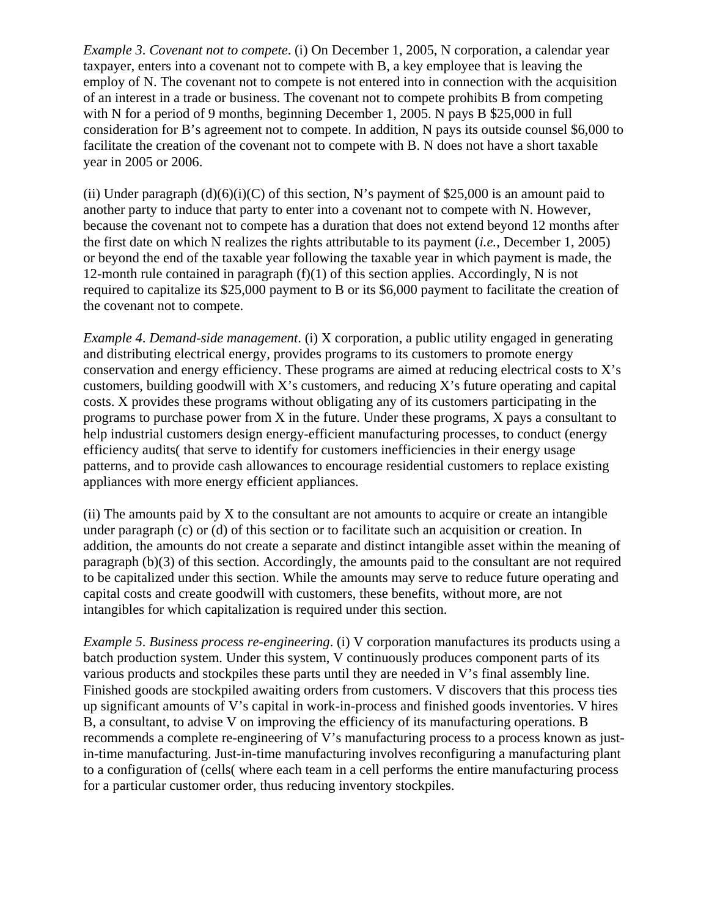*Example 3*. *Covenant not to compete*. (i) On December 1, 2005, N corporation, a calendar year taxpayer, enters into a covenant not to compete with B, a key employee that is leaving the employ of N. The covenant not to compete is not entered into in connection with the acquisition of an interest in a trade or business. The covenant not to compete prohibits B from competing with N for a period of 9 months, beginning December 1, 2005. N pays B \$25,000 in full consideration for B's agreement not to compete. In addition, N pays its outside counsel \$6,000 to facilitate the creation of the covenant not to compete with B. N does not have a short taxable year in 2005 or 2006.

(ii) Under paragraph  $(d)(6)(i)(C)$  of this section, N's payment of \$25,000 is an amount paid to another party to induce that party to enter into a covenant not to compete with N. However, because the covenant not to compete has a duration that does not extend beyond 12 months after the first date on which N realizes the rights attributable to its payment (*i.e.*, December 1, 2005) or beyond the end of the taxable year following the taxable year in which payment is made, the 12-month rule contained in paragraph  $(f)(1)$  of this section applies. Accordingly, N is not required to capitalize its \$25,000 payment to B or its \$6,000 payment to facilitate the creation of the covenant not to compete.

*Example 4*. *Demand-side management*. (i) X corporation, a public utility engaged in generating and distributing electrical energy, provides programs to its customers to promote energy conservation and energy efficiency. These programs are aimed at reducing electrical costs to X's customers, building goodwill with X's customers, and reducing X's future operating and capital costs. X provides these programs without obligating any of its customers participating in the programs to purchase power from X in the future. Under these programs, X pays a consultant to help industrial customers design energy-efficient manufacturing processes, to conduct (energy efficiency audits( that serve to identify for customers inefficiencies in their energy usage patterns, and to provide cash allowances to encourage residential customers to replace existing appliances with more energy efficient appliances.

 $(i)$  The amounts paid by X to the consultant are not amounts to acquire or create an intangible under paragraph (c) or (d) of this section or to facilitate such an acquisition or creation. In addition, the amounts do not create a separate and distinct intangible asset within the meaning of paragraph (b)(3) of this section. Accordingly, the amounts paid to the consultant are not required to be capitalized under this section. While the amounts may serve to reduce future operating and capital costs and create goodwill with customers, these benefits, without more, are not intangibles for which capitalization is required under this section.

*Example 5*. *Business process re-engineering*. (i) V corporation manufactures its products using a batch production system. Under this system, V continuously produces component parts of its various products and stockpiles these parts until they are needed in V's final assembly line. Finished goods are stockpiled awaiting orders from customers. V discovers that this process ties up significant amounts of V's capital in work-in-process and finished goods inventories. V hires B, a consultant, to advise V on improving the efficiency of its manufacturing operations. B recommends a complete re-engineering of V's manufacturing process to a process known as justin-time manufacturing. Just-in-time manufacturing involves reconfiguring a manufacturing plant to a configuration of (cells( where each team in a cell performs the entire manufacturing process for a particular customer order, thus reducing inventory stockpiles.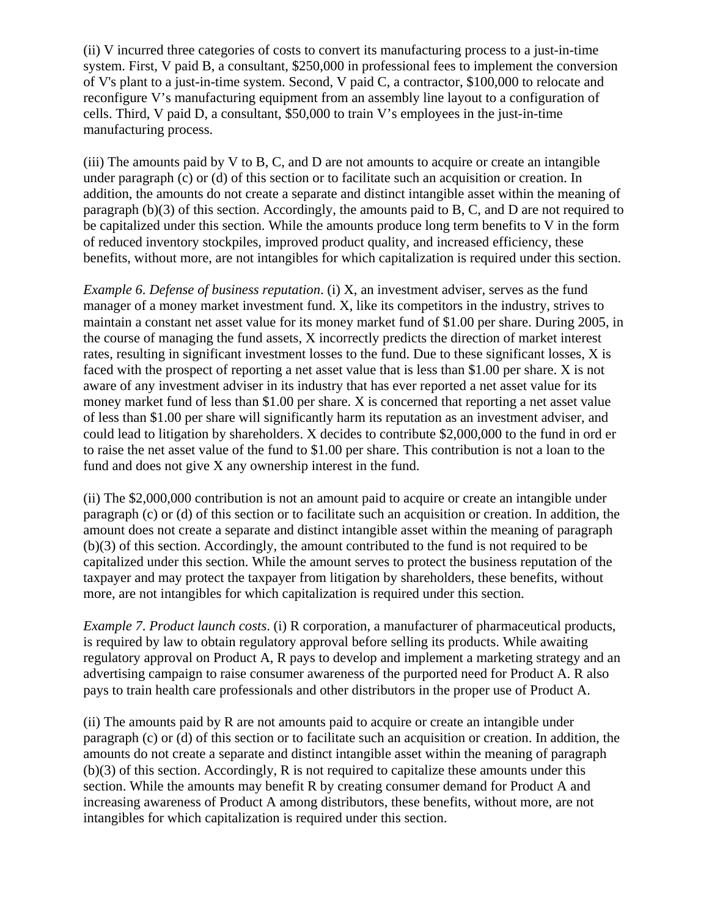(ii) V incurred three categories of costs to convert its manufacturing process to a just-in-time system. First, V paid B, a consultant, \$250,000 in professional fees to implement the conversion of V's plant to a just-in-time system. Second, V paid C, a contractor, \$100,000 to relocate and reconfigure V's manufacturing equipment from an assembly line layout to a configuration of cells. Third, V paid D, a consultant, \$50,000 to train V's employees in the just-in-time manufacturing process.

(iii) The amounts paid by V to B, C, and D are not amounts to acquire or create an intangible under paragraph (c) or (d) of this section or to facilitate such an acquisition or creation. In addition, the amounts do not create a separate and distinct intangible asset within the meaning of paragraph (b)(3) of this section. Accordingly, the amounts paid to B, C, and D are not required to be capitalized under this section. While the amounts produce long term benefits to V in the form of reduced inventory stockpiles, improved product quality, and increased efficiency, these benefits, without more, are not intangibles for which capitalization is required under this section.

*Example 6*. *Defense of business reputation*. (i) X, an investment adviser, serves as the fund manager of a money market investment fund. X, like its competitors in the industry, strives to maintain a constant net asset value for its money market fund of \$1.00 per share. During 2005, in the course of managing the fund assets, X incorrectly predicts the direction of market interest rates, resulting in significant investment losses to the fund. Due to these significant losses, X is faced with the prospect of reporting a net asset value that is less than \$1.00 per share. X is not aware of any investment adviser in its industry that has ever reported a net asset value for its money market fund of less than \$1.00 per share. X is concerned that reporting a net asset value of less than \$1.00 per share will significantly harm its reputation as an investment adviser, and could lead to litigation by shareholders. X decides to contribute \$2,000,000 to the fund in ord er to raise the net asset value of the fund to \$1.00 per share. This contribution is not a loan to the fund and does not give X any ownership interest in the fund.

(ii) The \$2,000,000 contribution is not an amount paid to acquire or create an intangible under paragraph (c) or (d) of this section or to facilitate such an acquisition or creation. In addition, the amount does not create a separate and distinct intangible asset within the meaning of paragraph (b)(3) of this section. Accordingly, the amount contributed to the fund is not required to be capitalized under this section. While the amount serves to protect the business reputation of the taxpayer and may protect the taxpayer from litigation by shareholders, these benefits, without more, are not intangibles for which capitalization is required under this section.

*Example 7*. *Product launch costs*. (i) R corporation, a manufacturer of pharmaceutical products, is required by law to obtain regulatory approval before selling its products. While awaiting regulatory approval on Product A, R pays to develop and implement a marketing strategy and an advertising campaign to raise consumer awareness of the purported need for Product A. R also pays to train health care professionals and other distributors in the proper use of Product A.

(ii) The amounts paid by R are not amounts paid to acquire or create an intangible under paragraph (c) or (d) of this section or to facilitate such an acquisition or creation. In addition, the amounts do not create a separate and distinct intangible asset within the meaning of paragraph (b)(3) of this section. Accordingly, R is not required to capitalize these amounts under this section. While the amounts may benefit R by creating consumer demand for Product A and increasing awareness of Product A among distributors, these benefits, without more, are not intangibles for which capitalization is required under this section.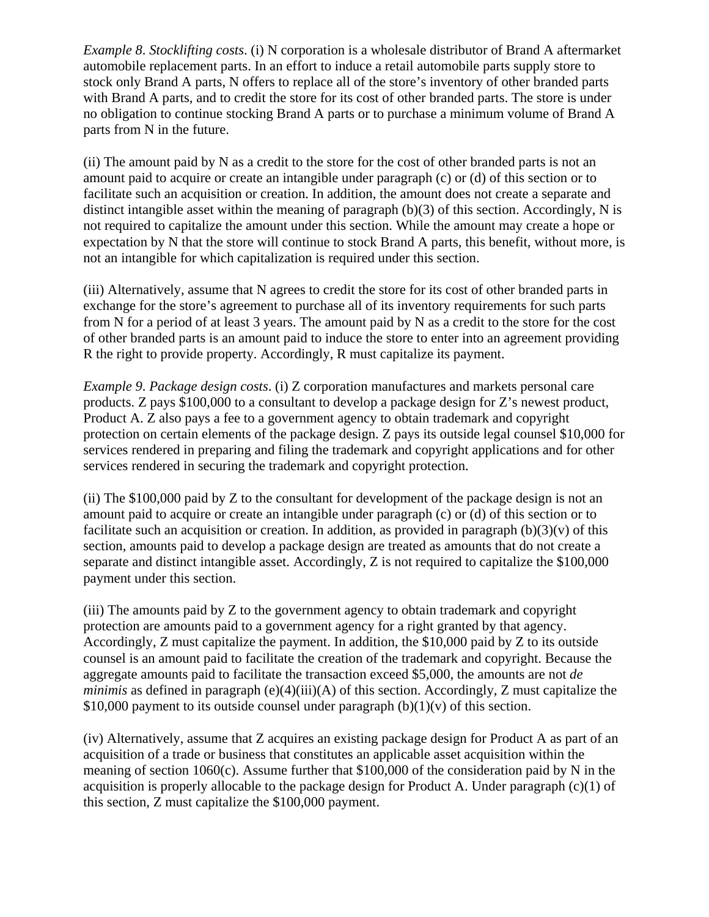*Example 8*. *Stocklifting costs*. (i) N corporation is a wholesale distributor of Brand A aftermarket automobile replacement parts. In an effort to induce a retail automobile parts supply store to stock only Brand A parts, N offers to replace all of the store's inventory of other branded parts with Brand A parts, and to credit the store for its cost of other branded parts. The store is under no obligation to continue stocking Brand A parts or to purchase a minimum volume of Brand A parts from N in the future.

(ii) The amount paid by N as a credit to the store for the cost of other branded parts is not an amount paid to acquire or create an intangible under paragraph (c) or (d) of this section or to facilitate such an acquisition or creation. In addition, the amount does not create a separate and distinct intangible asset within the meaning of paragraph (b)(3) of this section. Accordingly, N is not required to capitalize the amount under this section. While the amount may create a hope or expectation by N that the store will continue to stock Brand A parts, this benefit, without more, is not an intangible for which capitalization is required under this section.

(iii) Alternatively, assume that N agrees to credit the store for its cost of other branded parts in exchange for the store's agreement to purchase all of its inventory requirements for such parts from N for a period of at least 3 years. The amount paid by N as a credit to the store for the cost of other branded parts is an amount paid to induce the store to enter into an agreement providing R the right to provide property. Accordingly, R must capitalize its payment.

*Example 9*. *Package design costs*. (i) Z corporation manufactures and markets personal care products. Z pays \$100,000 to a consultant to develop a package design for Z's newest product, Product A. Z also pays a fee to a government agency to obtain trademark and copyright protection on certain elements of the package design. Z pays its outside legal counsel \$10,000 for services rendered in preparing and filing the trademark and copyright applications and for other services rendered in securing the trademark and copyright protection.

(ii) The \$100,000 paid by Z to the consultant for development of the package design is not an amount paid to acquire or create an intangible under paragraph (c) or (d) of this section or to facilitate such an acquisition or creation. In addition, as provided in paragraph  $(b)(3)(v)$  of this section, amounts paid to develop a package design are treated as amounts that do not create a separate and distinct intangible asset. Accordingly, Z is not required to capitalize the \$100,000 payment under this section.

(iii) The amounts paid by Z to the government agency to obtain trademark and copyright protection are amounts paid to a government agency for a right granted by that agency. Accordingly, Z must capitalize the payment. In addition, the \$10,000 paid by Z to its outside counsel is an amount paid to facilitate the creation of the trademark and copyright. Because the aggregate amounts paid to facilitate the transaction exceed \$5,000, the amounts are not *de minimis* as defined in paragraph (e)(4)(iii)(A) of this section. Accordingly, Z must capitalize the \$10,000 payment to its outside counsel under paragraph  $(b)(1)(v)$  of this section.

(iv) Alternatively, assume that Z acquires an existing package design for Product A as part of an acquisition of a trade or business that constitutes an applicable asset acquisition within the meaning of section 1060(c). Assume further that \$100,000 of the consideration paid by N in the acquisition is properly allocable to the package design for Product A. Under paragraph (c)(1) of this section, Z must capitalize the \$100,000 payment.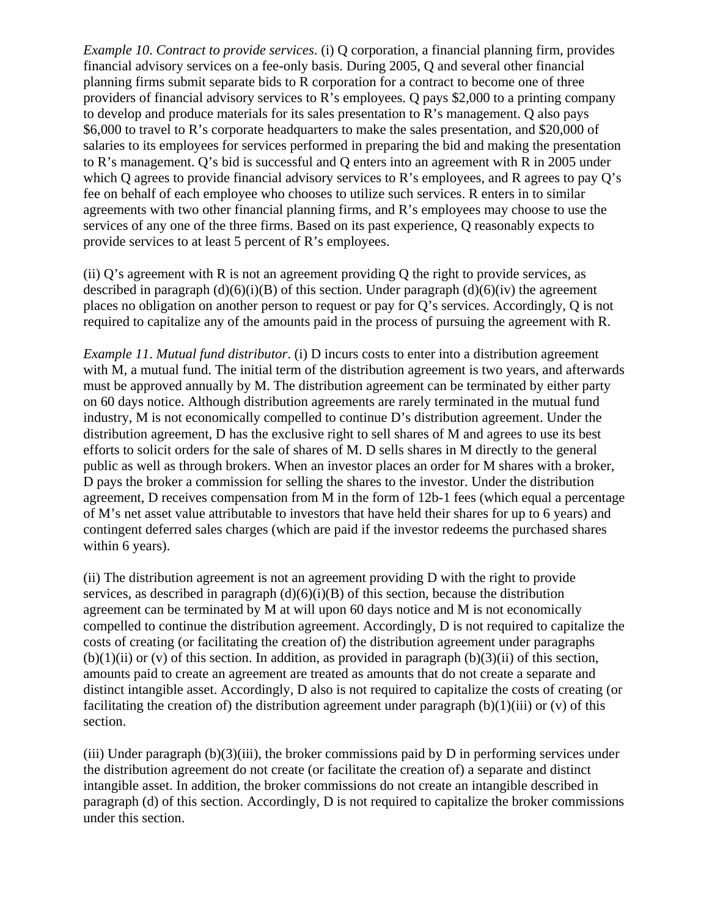*Example 10*. *Contract to provide services*. (i) Q corporation, a financial planning firm, provides financial advisory services on a fee-only basis. During 2005, Q and several other financial planning firms submit separate bids to R corporation for a contract to become one of three providers of financial advisory services to R's employees. Q pays \$2,000 to a printing company to develop and produce materials for its sales presentation to R's management. Q also pays \$6,000 to travel to R's corporate headquarters to make the sales presentation, and \$20,000 of salaries to its employees for services performed in preparing the bid and making the presentation to R's management. Q's bid is successful and Q enters into an agreement with R in 2005 under which Q agrees to provide financial advisory services to R's employees, and R agrees to pay Q's fee on behalf of each employee who chooses to utilize such services. R enters in to similar agreements with two other financial planning firms, and R's employees may choose to use the services of any one of the three firms. Based on its past experience, Q reasonably expects to provide services to at least 5 percent of R's employees.

(ii)  $Q$ 's agreement with R is not an agreement providing Q the right to provide services, as described in paragraph  $(d)(6)(i)(B)$  of this section. Under paragraph  $(d)(6)(iv)$  the agreement places no obligation on another person to request or pay for Q's services. Accordingly, Q is not required to capitalize any of the amounts paid in the process of pursuing the agreement with R.

*Example 11*. *Mutual fund distributor*. (i) D incurs costs to enter into a distribution agreement with M, a mutual fund. The initial term of the distribution agreement is two years, and afterwards must be approved annually by M. The distribution agreement can be terminated by either party on 60 days notice. Although distribution agreements are rarely terminated in the mutual fund industry, M is not economically compelled to continue D's distribution agreement. Under the distribution agreement, D has the exclusive right to sell shares of M and agrees to use its best efforts to solicit orders for the sale of shares of M. D sells shares in M directly to the general public as well as through brokers. When an investor places an order for M shares with a broker, D pays the broker a commission for selling the shares to the investor. Under the distribution agreement, D receives compensation from M in the form of 12b-1 fees (which equal a percentage of M's net asset value attributable to investors that have held their shares for up to 6 years) and contingent deferred sales charges (which are paid if the investor redeems the purchased shares within 6 years).

(ii) The distribution agreement is not an agreement providing D with the right to provide services, as described in paragraph  $(d)(6)(i)(B)$  of this section, because the distribution agreement can be terminated by M at will upon 60 days notice and M is not economically compelled to continue the distribution agreement. Accordingly, D is not required to capitalize the costs of creating (or facilitating the creation of) the distribution agreement under paragraphs  $(b)(1)(ii)$  or  $(v)$  of this section. In addition, as provided in paragraph  $(b)(3)(ii)$  of this section, amounts paid to create an agreement are treated as amounts that do not create a separate and distinct intangible asset. Accordingly, D also is not required to capitalize the costs of creating (or facilitating the creation of) the distribution agreement under paragraph  $(b)(1)(iii)$  or  $(v)$  of this section.

(iii) Under paragraph  $(b)(3)$ (iii), the broker commissions paid by D in performing services under the distribution agreement do not create (or facilitate the creation of) a separate and distinct intangible asset. In addition, the broker commissions do not create an intangible described in paragraph (d) of this section. Accordingly, D is not required to capitalize the broker commissions under this section.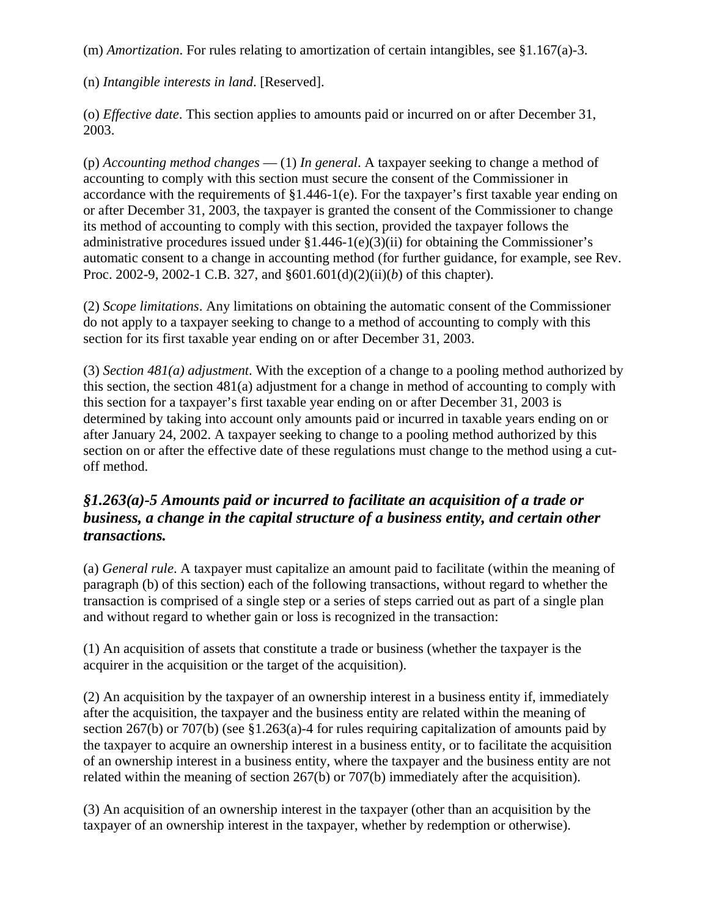(m) *Amortization*. For rules relating to amortization of certain intangibles, see §1.167(a)-3.

(n) *Intangible interests in land*. [Reserved].

(o) *Effective date*. This section applies to amounts paid or incurred on or after December 31, 2003.

(p) *Accounting method changes* — (1) *In general*. A taxpayer seeking to change a method of accounting to comply with this section must secure the consent of the Commissioner in accordance with the requirements of §1.446-1(e). For the taxpayer's first taxable year ending on or after December 31, 2003, the taxpayer is granted the consent of the Commissioner to change its method of accounting to comply with this section, provided the taxpayer follows the administrative procedures issued under  $\S1.446-1(e)(3)(ii)$  for obtaining the Commissioner's automatic consent to a change in accounting method (for further guidance, for example, see Rev. Proc. 2002-9, 2002-1 C.B. 327, and §601.601(d)(2)(ii)(*b*) of this chapter).

(2) *Scope limitations*. Any limitations on obtaining the automatic consent of the Commissioner do not apply to a taxpayer seeking to change to a method of accounting to comply with this section for its first taxable year ending on or after December 31, 2003.

(3) *Section 481(a) adjustment*. With the exception of a change to a pooling method authorized by this section, the section 481(a) adjustment for a change in method of accounting to comply with this section for a taxpayer's first taxable year ending on or after December 31, 2003 is determined by taking into account only amounts paid or incurred in taxable years ending on or after January 24, 2002. A taxpayer seeking to change to a pooling method authorized by this section on or after the effective date of these regulations must change to the method using a cutoff method.

# *§1.263(a)-5 Amounts paid or incurred to facilitate an acquisition of a trade or business, a change in the capital structure of a business entity, and certain other transactions.*

(a) *General rule*. A taxpayer must capitalize an amount paid to facilitate (within the meaning of paragraph (b) of this section) each of the following transactions, without regard to whether the transaction is comprised of a single step or a series of steps carried out as part of a single plan and without regard to whether gain or loss is recognized in the transaction:

(1) An acquisition of assets that constitute a trade or business (whether the taxpayer is the acquirer in the acquisition or the target of the acquisition).

(2) An acquisition by the taxpayer of an ownership interest in a business entity if, immediately after the acquisition, the taxpayer and the business entity are related within the meaning of section 267(b) or 707(b) (see §1.263(a)-4 for rules requiring capitalization of amounts paid by the taxpayer to acquire an ownership interest in a business entity, or to facilitate the acquisition of an ownership interest in a business entity, where the taxpayer and the business entity are not related within the meaning of section 267(b) or 707(b) immediately after the acquisition).

(3) An acquisition of an ownership interest in the taxpayer (other than an acquisition by the taxpayer of an ownership interest in the taxpayer, whether by redemption or otherwise).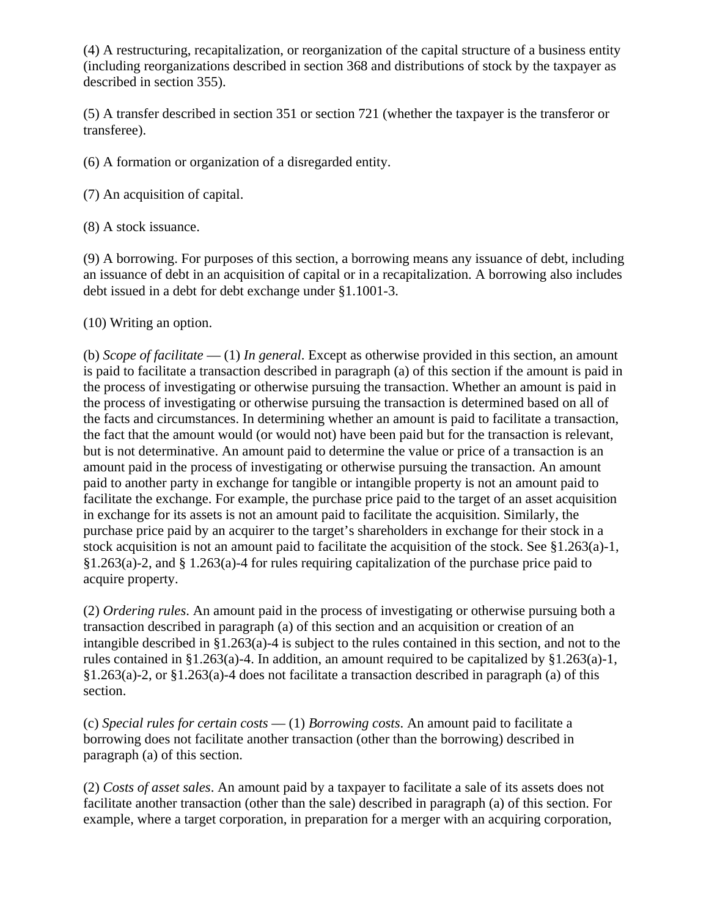(4) A restructuring, recapitalization, or reorganization of the capital structure of a business entity (including reorganizations described in section 368 and distributions of stock by the taxpayer as described in section 355).

(5) A transfer described in section 351 or section 721 (whether the taxpayer is the transferor or transferee).

(6) A formation or organization of a disregarded entity.

(7) An acquisition of capital.

(8) A stock issuance.

(9) A borrowing. For purposes of this section, a borrowing means any issuance of debt, including an issuance of debt in an acquisition of capital or in a recapitalization. A borrowing also includes debt issued in a debt for debt exchange under §1.1001-3.

(10) Writing an option.

(b) *Scope of facilitate* — (1) *In general*. Except as otherwise provided in this section, an amount is paid to facilitate a transaction described in paragraph (a) of this section if the amount is paid in the process of investigating or otherwise pursuing the transaction. Whether an amount is paid in the process of investigating or otherwise pursuing the transaction is determined based on all of the facts and circumstances. In determining whether an amount is paid to facilitate a transaction, the fact that the amount would (or would not) have been paid but for the transaction is relevant, but is not determinative. An amount paid to determine the value or price of a transaction is an amount paid in the process of investigating or otherwise pursuing the transaction. An amount paid to another party in exchange for tangible or intangible property is not an amount paid to facilitate the exchange. For example, the purchase price paid to the target of an asset acquisition in exchange for its assets is not an amount paid to facilitate the acquisition. Similarly, the purchase price paid by an acquirer to the target's shareholders in exchange for their stock in a stock acquisition is not an amount paid to facilitate the acquisition of the stock. See §1.263(a)-1, §1.263(a)-2, and § 1.263(a)-4 for rules requiring capitalization of the purchase price paid to acquire property.

(2) *Ordering rules*. An amount paid in the process of investigating or otherwise pursuing both a transaction described in paragraph (a) of this section and an acquisition or creation of an intangible described in §1.263(a)-4 is subject to the rules contained in this section, and not to the rules contained in §1.263(a)-4. In addition, an amount required to be capitalized by §1.263(a)-1, §1.263(a)-2, or §1.263(a)-4 does not facilitate a transaction described in paragraph (a) of this section.

(c) *Special rules for certain costs* — (1) *Borrowing costs*. An amount paid to facilitate a borrowing does not facilitate another transaction (other than the borrowing) described in paragraph (a) of this section.

(2) *Costs of asset sales*. An amount paid by a taxpayer to facilitate a sale of its assets does not facilitate another transaction (other than the sale) described in paragraph (a) of this section. For example, where a target corporation, in preparation for a merger with an acquiring corporation,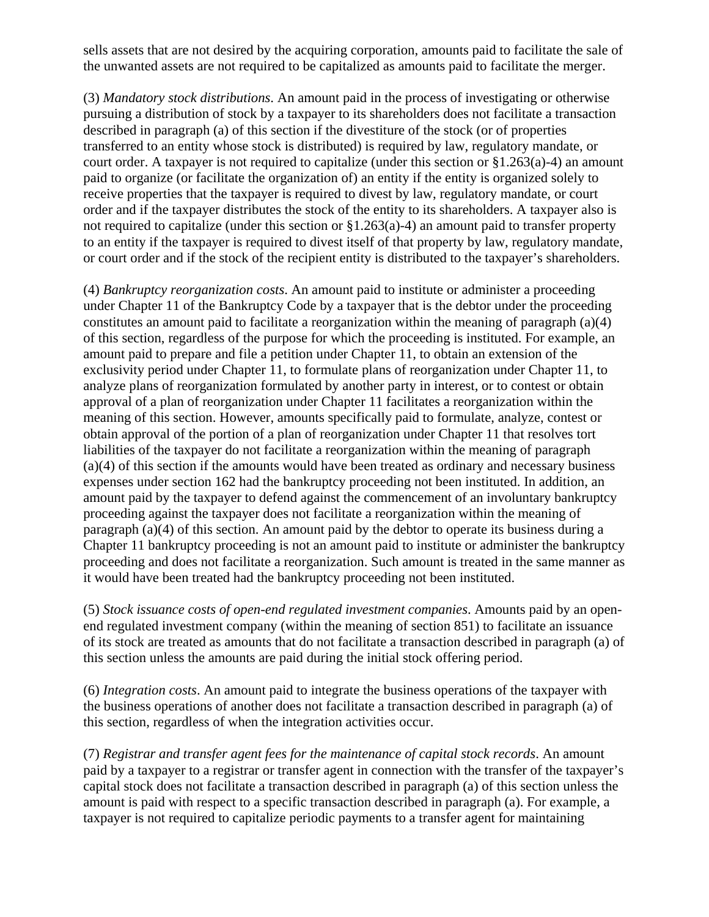sells assets that are not desired by the acquiring corporation, amounts paid to facilitate the sale of the unwanted assets are not required to be capitalized as amounts paid to facilitate the merger.

(3) *Mandatory stock distributions*. An amount paid in the process of investigating or otherwise pursuing a distribution of stock by a taxpayer to its shareholders does not facilitate a transaction described in paragraph (a) of this section if the divestiture of the stock (or of properties transferred to an entity whose stock is distributed) is required by law, regulatory mandate, or court order. A taxpayer is not required to capitalize (under this section or  $\S1.263(a)-4$ ) an amount paid to organize (or facilitate the organization of) an entity if the entity is organized solely to receive properties that the taxpayer is required to divest by law, regulatory mandate, or court order and if the taxpayer distributes the stock of the entity to its shareholders. A taxpayer also is not required to capitalize (under this section or §1.263(a)-4) an amount paid to transfer property to an entity if the taxpayer is required to divest itself of that property by law, regulatory mandate, or court order and if the stock of the recipient entity is distributed to the taxpayer's shareholders.

(4) *Bankruptcy reorganization costs*. An amount paid to institute or administer a proceeding under Chapter 11 of the Bankruptcy Code by a taxpayer that is the debtor under the proceeding constitutes an amount paid to facilitate a reorganization within the meaning of paragraph (a)(4) of this section, regardless of the purpose for which the proceeding is instituted. For example, an amount paid to prepare and file a petition under Chapter 11, to obtain an extension of the exclusivity period under Chapter 11, to formulate plans of reorganization under Chapter 11, to analyze plans of reorganization formulated by another party in interest, or to contest or obtain approval of a plan of reorganization under Chapter 11 facilitates a reorganization within the meaning of this section. However, amounts specifically paid to formulate, analyze, contest or obtain approval of the portion of a plan of reorganization under Chapter 11 that resolves tort liabilities of the taxpayer do not facilitate a reorganization within the meaning of paragraph (a)(4) of this section if the amounts would have been treated as ordinary and necessary business expenses under section 162 had the bankruptcy proceeding not been instituted. In addition, an amount paid by the taxpayer to defend against the commencement of an involuntary bankruptcy proceeding against the taxpayer does not facilitate a reorganization within the meaning of paragraph (a)(4) of this section. An amount paid by the debtor to operate its business during a Chapter 11 bankruptcy proceeding is not an amount paid to institute or administer the bankruptcy proceeding and does not facilitate a reorganization. Such amount is treated in the same manner as it would have been treated had the bankruptcy proceeding not been instituted.

(5) *Stock issuance costs of open-end regulated investment companies*. Amounts paid by an openend regulated investment company (within the meaning of section 851) to facilitate an issuance of its stock are treated as amounts that do not facilitate a transaction described in paragraph (a) of this section unless the amounts are paid during the initial stock offering period.

(6) *Integration costs*. An amount paid to integrate the business operations of the taxpayer with the business operations of another does not facilitate a transaction described in paragraph (a) of this section, regardless of when the integration activities occur.

(7) *Registrar and transfer agent fees for the maintenance of capital stock records*. An amount paid by a taxpayer to a registrar or transfer agent in connection with the transfer of the taxpayer's capital stock does not facilitate a transaction described in paragraph (a) of this section unless the amount is paid with respect to a specific transaction described in paragraph (a). For example, a taxpayer is not required to capitalize periodic payments to a transfer agent for maintaining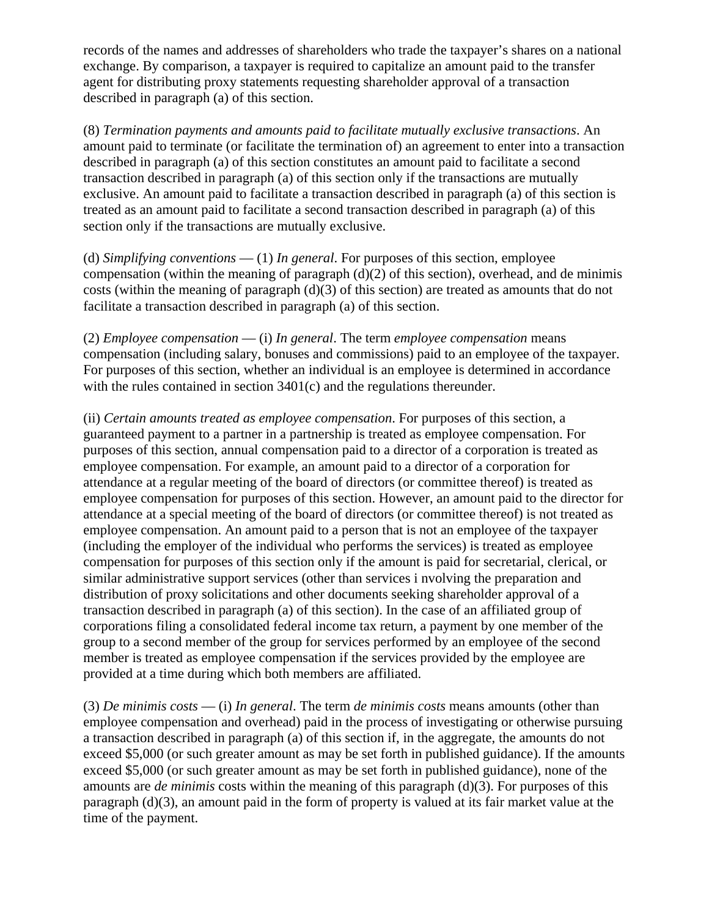records of the names and addresses of shareholders who trade the taxpayer's shares on a national exchange. By comparison, a taxpayer is required to capitalize an amount paid to the transfer agent for distributing proxy statements requesting shareholder approval of a transaction described in paragraph (a) of this section.

(8) *Termination payments and amounts paid to facilitate mutually exclusive transactions*. An amount paid to terminate (or facilitate the termination of) an agreement to enter into a transaction described in paragraph (a) of this section constitutes an amount paid to facilitate a second transaction described in paragraph (a) of this section only if the transactions are mutually exclusive. An amount paid to facilitate a transaction described in paragraph (a) of this section is treated as an amount paid to facilitate a second transaction described in paragraph (a) of this section only if the transactions are mutually exclusive.

(d) *Simplifying conventions* — (1) *In general*. For purposes of this section, employee compensation (within the meaning of paragraph  $(d)(2)$  of this section), overhead, and de minimis costs (within the meaning of paragraph (d)(3) of this section) are treated as amounts that do not facilitate a transaction described in paragraph (a) of this section.

(2) *Employee compensation* — (i) *In general*. The term *employee compensation* means compensation (including salary, bonuses and commissions) paid to an employee of the taxpayer. For purposes of this section, whether an individual is an employee is determined in accordance with the rules contained in section 3401(c) and the regulations thereunder.

(ii) *Certain amounts treated as employee compensation*. For purposes of this section, a guaranteed payment to a partner in a partnership is treated as employee compensation. For purposes of this section, annual compensation paid to a director of a corporation is treated as employee compensation. For example, an amount paid to a director of a corporation for attendance at a regular meeting of the board of directors (or committee thereof) is treated as employee compensation for purposes of this section. However, an amount paid to the director for attendance at a special meeting of the board of directors (or committee thereof) is not treated as employee compensation. An amount paid to a person that is not an employee of the taxpayer (including the employer of the individual who performs the services) is treated as employee compensation for purposes of this section only if the amount is paid for secretarial, clerical, or similar administrative support services (other than services i nvolving the preparation and distribution of proxy solicitations and other documents seeking shareholder approval of a transaction described in paragraph (a) of this section). In the case of an affiliated group of corporations filing a consolidated federal income tax return, a payment by one member of the group to a second member of the group for services performed by an employee of the second member is treated as employee compensation if the services provided by the employee are provided at a time during which both members are affiliated.

(3) *De minimis costs* — (i) *In general*. The term *de minimis costs* means amounts (other than employee compensation and overhead) paid in the process of investigating or otherwise pursuing a transaction described in paragraph (a) of this section if, in the aggregate, the amounts do not exceed \$5,000 (or such greater amount as may be set forth in published guidance). If the amounts exceed \$5,000 (or such greater amount as may be set forth in published guidance), none of the amounts are *de minimis* costs within the meaning of this paragraph (d)(3). For purposes of this paragraph (d)(3), an amount paid in the form of property is valued at its fair market value at the time of the payment.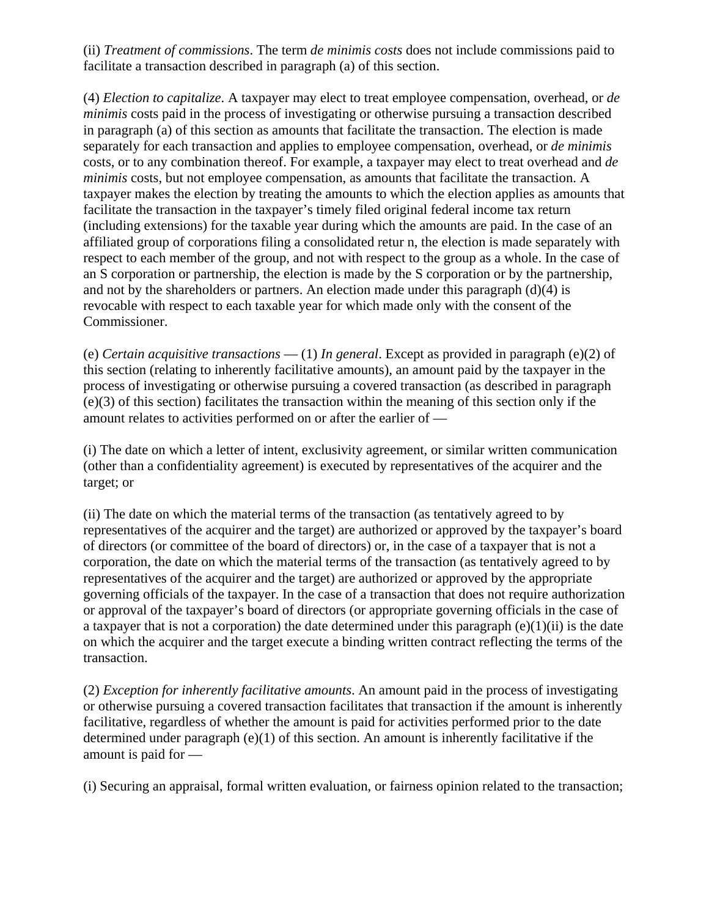(ii) *Treatment of commissions*. The term *de minimis costs* does not include commissions paid to facilitate a transaction described in paragraph (a) of this section.

(4) *Election to capitalize*. A taxpayer may elect to treat employee compensation, overhead, or *de minimis* costs paid in the process of investigating or otherwise pursuing a transaction described in paragraph (a) of this section as amounts that facilitate the transaction. The election is made separately for each transaction and applies to employee compensation, overhead, or *de minimis* costs, or to any combination thereof. For example, a taxpayer may elect to treat overhead and *de minimis* costs, but not employee compensation, as amounts that facilitate the transaction. A taxpayer makes the election by treating the amounts to which the election applies as amounts that facilitate the transaction in the taxpayer's timely filed original federal income tax return (including extensions) for the taxable year during which the amounts are paid. In the case of an affiliated group of corporations filing a consolidated retur n, the election is made separately with respect to each member of the group, and not with respect to the group as a whole. In the case of an S corporation or partnership, the election is made by the S corporation or by the partnership, and not by the shareholders or partners. An election made under this paragraph (d)(4) is revocable with respect to each taxable year for which made only with the consent of the Commissioner.

(e) *Certain acquisitive transactions* — (1) *In general*. Except as provided in paragraph (e)(2) of this section (relating to inherently facilitative amounts), an amount paid by the taxpayer in the process of investigating or otherwise pursuing a covered transaction (as described in paragraph (e)(3) of this section) facilitates the transaction within the meaning of this section only if the amount relates to activities performed on or after the earlier of —

(i) The date on which a letter of intent, exclusivity agreement, or similar written communication (other than a confidentiality agreement) is executed by representatives of the acquirer and the target; or

(ii) The date on which the material terms of the transaction (as tentatively agreed to by representatives of the acquirer and the target) are authorized or approved by the taxpayer's board of directors (or committee of the board of directors) or, in the case of a taxpayer that is not a corporation, the date on which the material terms of the transaction (as tentatively agreed to by representatives of the acquirer and the target) are authorized or approved by the appropriate governing officials of the taxpayer. In the case of a transaction that does not require authorization or approval of the taxpayer's board of directors (or appropriate governing officials in the case of a taxpayer that is not a corporation) the date determined under this paragraph  $(e)(1)(ii)$  is the date on which the acquirer and the target execute a binding written contract reflecting the terms of the transaction.

(2) *Exception for inherently facilitative amounts*. An amount paid in the process of investigating or otherwise pursuing a covered transaction facilitates that transaction if the amount is inherently facilitative, regardless of whether the amount is paid for activities performed prior to the date determined under paragraph (e)(1) of this section. An amount is inherently facilitative if the amount is paid for —

(i) Securing an appraisal, formal written evaluation, or fairness opinion related to the transaction;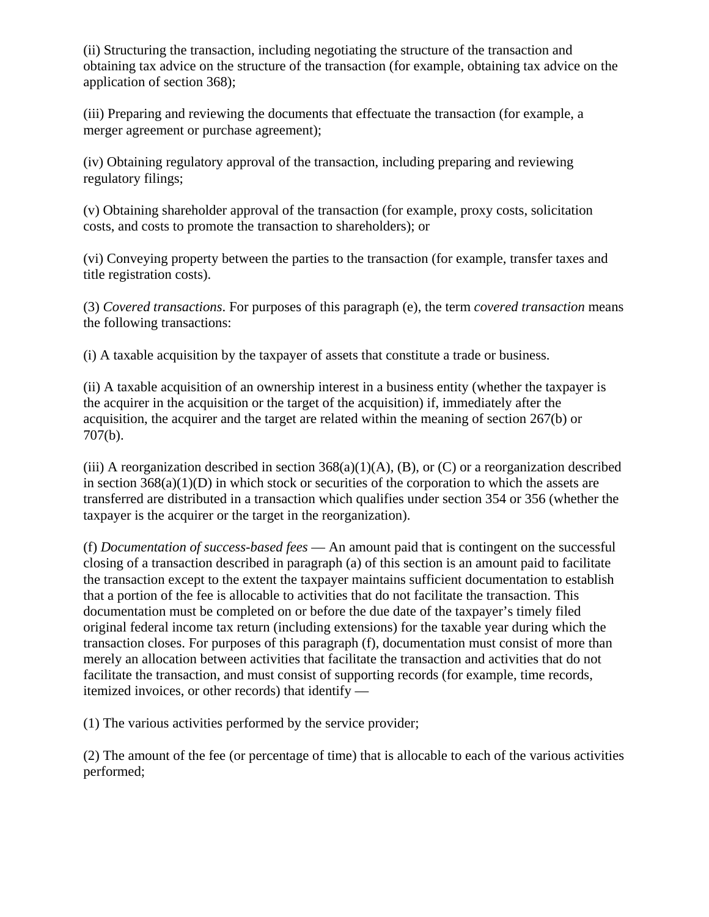(ii) Structuring the transaction, including negotiating the structure of the transaction and obtaining tax advice on the structure of the transaction (for example, obtaining tax advice on the application of section 368);

(iii) Preparing and reviewing the documents that effectuate the transaction (for example, a merger agreement or purchase agreement);

(iv) Obtaining regulatory approval of the transaction, including preparing and reviewing regulatory filings;

(v) Obtaining shareholder approval of the transaction (for example, proxy costs, solicitation costs, and costs to promote the transaction to shareholders); or

(vi) Conveying property between the parties to the transaction (for example, transfer taxes and title registration costs).

(3) *Covered transactions*. For purposes of this paragraph (e), the term *covered transaction* means the following transactions:

(i) A taxable acquisition by the taxpayer of assets that constitute a trade or business.

(ii) A taxable acquisition of an ownership interest in a business entity (whether the taxpayer is the acquirer in the acquisition or the target of the acquisition) if, immediately after the acquisition, the acquirer and the target are related within the meaning of section 267(b) or 707(b).

(iii) A reorganization described in section  $368(a)(1)(A)$ , (B), or (C) or a reorganization described in section  $368(a)(1)(D)$  in which stock or securities of the corporation to which the assets are transferred are distributed in a transaction which qualifies under section 354 or 356 (whether the taxpayer is the acquirer or the target in the reorganization).

(f) *Documentation of success-based fees* — An amount paid that is contingent on the successful closing of a transaction described in paragraph (a) of this section is an amount paid to facilitate the transaction except to the extent the taxpayer maintains sufficient documentation to establish that a portion of the fee is allocable to activities that do not facilitate the transaction. This documentation must be completed on or before the due date of the taxpayer's timely filed original federal income tax return (including extensions) for the taxable year during which the transaction closes. For purposes of this paragraph (f), documentation must consist of more than merely an allocation between activities that facilitate the transaction and activities that do not facilitate the transaction, and must consist of supporting records (for example, time records, itemized invoices, or other records) that identify —

(1) The various activities performed by the service provider;

(2) The amount of the fee (or percentage of time) that is allocable to each of the various activities performed;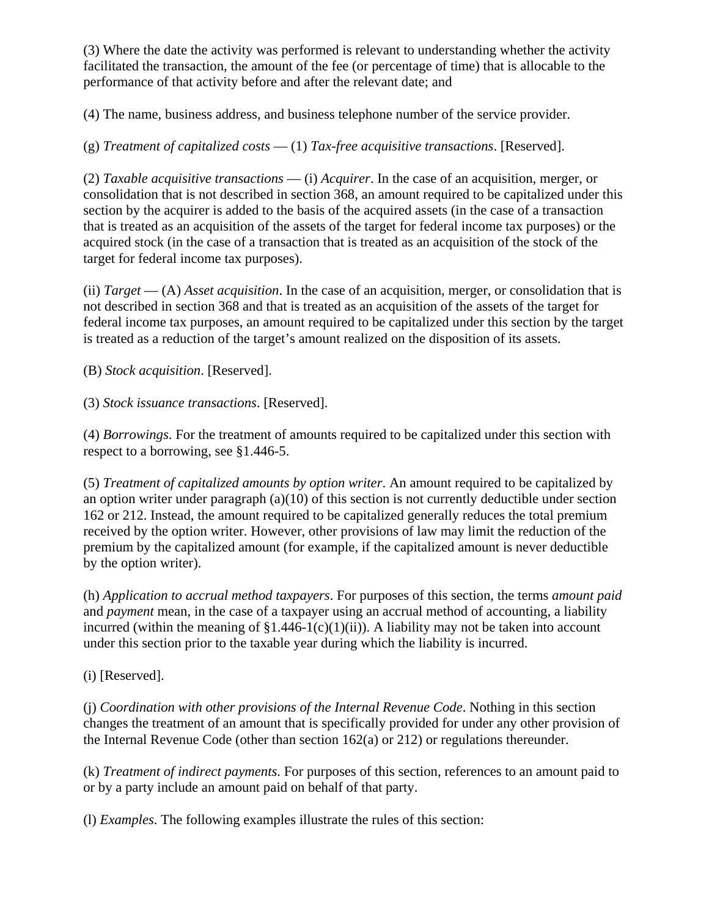(3) Where the date the activity was performed is relevant to understanding whether the activity facilitated the transaction, the amount of the fee (or percentage of time) that is allocable to the performance of that activity before and after the relevant date; and

(4) The name, business address, and business telephone number of the service provider.

(g) *Treatment of capitalized costs* — (1) *Tax-free acquisitive transactions*. [Reserved].

(2) *Taxable acquisitive transactions* — (i) *Acquirer*. In the case of an acquisition, merger, or consolidation that is not described in section 368, an amount required to be capitalized under this section by the acquirer is added to the basis of the acquired assets (in the case of a transaction that is treated as an acquisition of the assets of the target for federal income tax purposes) or the acquired stock (in the case of a transaction that is treated as an acquisition of the stock of the target for federal income tax purposes).

(ii) *Target* — (A) *Asset acquisition*. In the case of an acquisition, merger, or consolidation that is not described in section 368 and that is treated as an acquisition of the assets of the target for federal income tax purposes, an amount required to be capitalized under this section by the target is treated as a reduction of the target's amount realized on the disposition of its assets.

(B) *Stock acquisition*. [Reserved].

(3) *Stock issuance transactions*. [Reserved].

(4) *Borrowings*. For the treatment of amounts required to be capitalized under this section with respect to a borrowing, see §1.446-5.

(5) *Treatment of capitalized amounts by option writer*. An amount required to be capitalized by an option writer under paragraph (a)(10) of this section is not currently deductible under section 162 or 212. Instead, the amount required to be capitalized generally reduces the total premium received by the option writer. However, other provisions of law may limit the reduction of the premium by the capitalized amount (for example, if the capitalized amount is never deductible by the option writer).

(h) *Application to accrual method taxpayers*. For purposes of this section, the terms *amount paid* and *payment* mean, in the case of a taxpayer using an accrual method of accounting, a liability incurred (within the meaning of  $$1.446-1(c)(1)(ii)$ ). A liability may not be taken into account under this section prior to the taxable year during which the liability is incurred.

(i) [Reserved].

(j) *Coordination with other provisions of the Internal Revenue Code*. Nothing in this section changes the treatment of an amount that is specifically provided for under any other provision of the Internal Revenue Code (other than section 162(a) or 212) or regulations thereunder.

(k) *Treatment of indirect payments*. For purposes of this section, references to an amount paid to or by a party include an amount paid on behalf of that party.

(l) *Examples*. The following examples illustrate the rules of this section: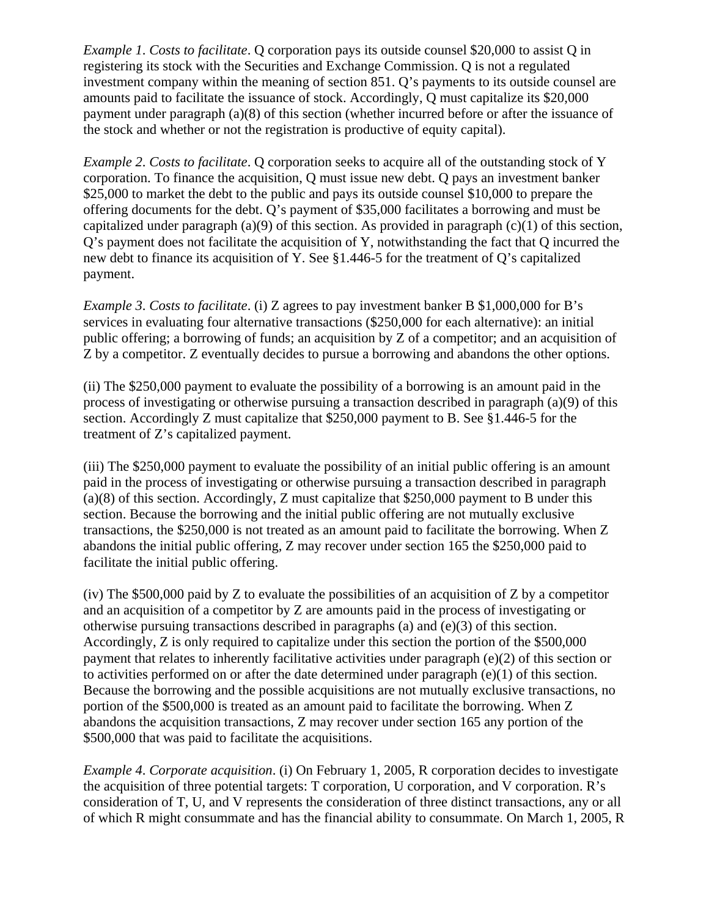*Example 1*. *Costs to facilitate*. Q corporation pays its outside counsel \$20,000 to assist Q in registering its stock with the Securities and Exchange Commission. Q is not a regulated investment company within the meaning of section 851. Q's payments to its outside counsel are amounts paid to facilitate the issuance of stock. Accordingly, Q must capitalize its \$20,000 payment under paragraph (a)(8) of this section (whether incurred before or after the issuance of the stock and whether or not the registration is productive of equity capital).

*Example 2*. *Costs to facilitate*. Q corporation seeks to acquire all of the outstanding stock of Y corporation. To finance the acquisition, Q must issue new debt. Q pays an investment banker \$25,000 to market the debt to the public and pays its outside counsel \$10,000 to prepare the offering documents for the debt. Q's payment of \$35,000 facilitates a borrowing and must be capitalized under paragraph (a)(9) of this section. As provided in paragraph (c)(1) of this section, Q's payment does not facilitate the acquisition of Y, notwithstanding the fact that Q incurred the new debt to finance its acquisition of Y. See §1.446-5 for the treatment of Q's capitalized payment.

*Example 3*. *Costs to facilitate*. (i) Z agrees to pay investment banker B \$1,000,000 for B's services in evaluating four alternative transactions (\$250,000 for each alternative): an initial public offering; a borrowing of funds; an acquisition by Z of a competitor; and an acquisition of Z by a competitor. Z eventually decides to pursue a borrowing and abandons the other options.

(ii) The \$250,000 payment to evaluate the possibility of a borrowing is an amount paid in the process of investigating or otherwise pursuing a transaction described in paragraph (a)(9) of this section. Accordingly Z must capitalize that \$250,000 payment to B. See §1.446-5 for the treatment of Z's capitalized payment.

(iii) The \$250,000 payment to evaluate the possibility of an initial public offering is an amount paid in the process of investigating or otherwise pursuing a transaction described in paragraph (a)(8) of this section. Accordingly, Z must capitalize that \$250,000 payment to B under this section. Because the borrowing and the initial public offering are not mutually exclusive transactions, the \$250,000 is not treated as an amount paid to facilitate the borrowing. When Z abandons the initial public offering, Z may recover under section 165 the \$250,000 paid to facilitate the initial public offering.

(iv) The \$500,000 paid by Z to evaluate the possibilities of an acquisition of Z by a competitor and an acquisition of a competitor by Z are amounts paid in the process of investigating or otherwise pursuing transactions described in paragraphs (a) and (e)(3) of this section. Accordingly, Z is only required to capitalize under this section the portion of the \$500,000 payment that relates to inherently facilitative activities under paragraph (e)(2) of this section or to activities performed on or after the date determined under paragraph  $(e)(1)$  of this section. Because the borrowing and the possible acquisitions are not mutually exclusive transactions, no portion of the \$500,000 is treated as an amount paid to facilitate the borrowing. When Z abandons the acquisition transactions, Z may recover under section 165 any portion of the \$500,000 that was paid to facilitate the acquisitions.

*Example 4*. *Corporate acquisition*. (i) On February 1, 2005, R corporation decides to investigate the acquisition of three potential targets: T corporation, U corporation, and V corporation. R's consideration of T, U, and V represents the consideration of three distinct transactions, any or all of which R might consummate and has the financial ability to consummate. On March 1, 2005, R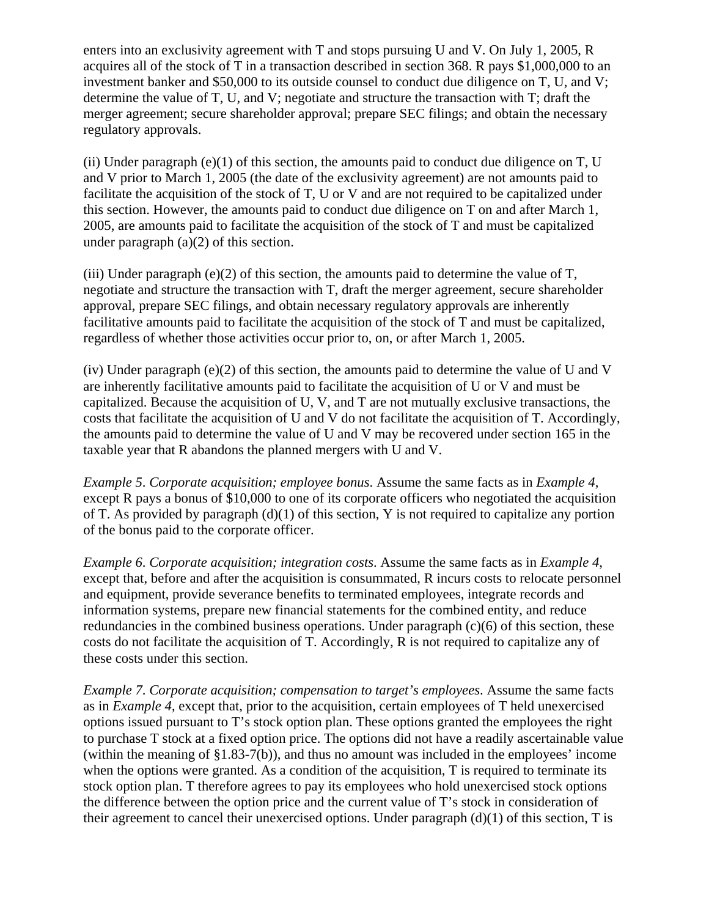enters into an exclusivity agreement with T and stops pursuing U and V. On July 1, 2005, R acquires all of the stock of T in a transaction described in section 368. R pays \$1,000,000 to an investment banker and \$50,000 to its outside counsel to conduct due diligence on T, U, and V; determine the value of T, U, and V; negotiate and structure the transaction with T; draft the merger agreement; secure shareholder approval; prepare SEC filings; and obtain the necessary regulatory approvals.

(ii) Under paragraph  $(e)(1)$  of this section, the amounts paid to conduct due diligence on T, U and V prior to March 1, 2005 (the date of the exclusivity agreement) are not amounts paid to facilitate the acquisition of the stock of T, U or V and are not required to be capitalized under this section. However, the amounts paid to conduct due diligence on T on and after March 1, 2005, are amounts paid to facilitate the acquisition of the stock of T and must be capitalized under paragraph (a)(2) of this section.

(iii) Under paragraph (e)(2) of this section, the amounts paid to determine the value of  $T$ , negotiate and structure the transaction with T, draft the merger agreement, secure shareholder approval, prepare SEC filings, and obtain necessary regulatory approvals are inherently facilitative amounts paid to facilitate the acquisition of the stock of T and must be capitalized, regardless of whether those activities occur prior to, on, or after March 1, 2005.

(iv) Under paragraph (e)(2) of this section, the amounts paid to determine the value of U and V are inherently facilitative amounts paid to facilitate the acquisition of U or V and must be capitalized. Because the acquisition of U, V, and T are not mutually exclusive transactions, the costs that facilitate the acquisition of U and V do not facilitate the acquisition of T. Accordingly, the amounts paid to determine the value of U and V may be recovered under section 165 in the taxable year that R abandons the planned mergers with U and V.

*Example 5*. *Corporate acquisition; employee bonus*. Assume the same facts as in *Example 4*, except R pays a bonus of \$10,000 to one of its corporate officers who negotiated the acquisition of T. As provided by paragraph (d)(1) of this section, Y is not required to capitalize any portion of the bonus paid to the corporate officer.

*Example 6*. *Corporate acquisition; integration costs*. Assume the same facts as in *Example 4*, except that, before and after the acquisition is consummated, R incurs costs to relocate personnel and equipment, provide severance benefits to terminated employees, integrate records and information systems, prepare new financial statements for the combined entity, and reduce redundancies in the combined business operations. Under paragraph  $(c)(6)$  of this section, these costs do not facilitate the acquisition of T. Accordingly, R is not required to capitalize any of these costs under this section.

*Example 7*. *Corporate acquisition; compensation to target's employees*. Assume the same facts as in *Example 4*, except that, prior to the acquisition, certain employees of T held unexercised options issued pursuant to T's stock option plan. These options granted the employees the right to purchase T stock at a fixed option price. The options did not have a readily ascertainable value (within the meaning of §1.83-7(b)), and thus no amount was included in the employees' income when the options were granted. As a condition of the acquisition, T is required to terminate its stock option plan. T therefore agrees to pay its employees who hold unexercised stock options the difference between the option price and the current value of T's stock in consideration of their agreement to cancel their unexercised options. Under paragraph (d)(1) of this section, T is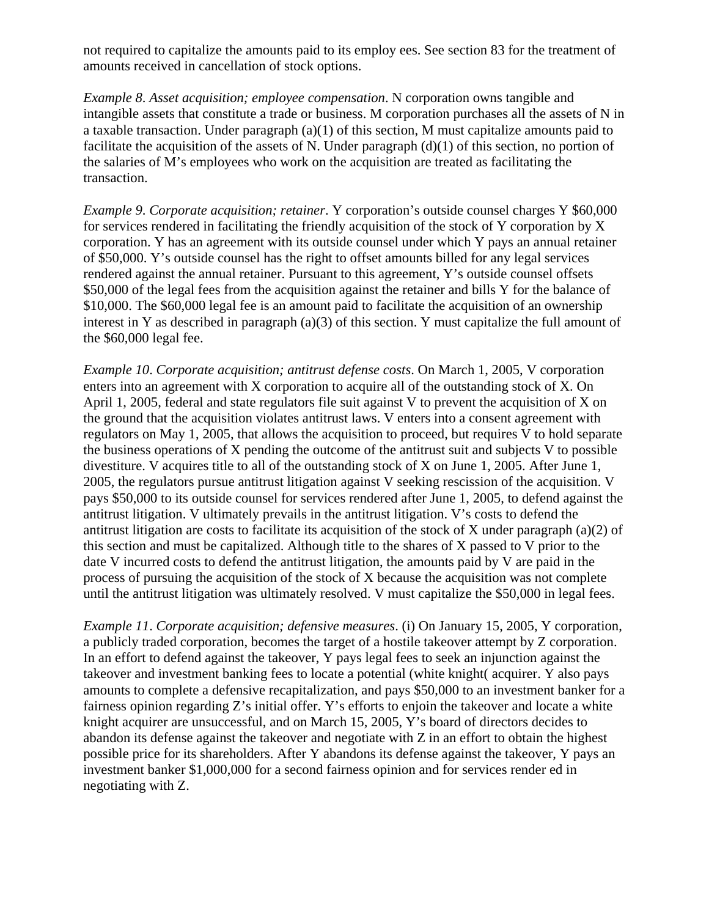not required to capitalize the amounts paid to its employ ees. See section 83 for the treatment of amounts received in cancellation of stock options.

*Example 8*. *Asset acquisition; employee compensation*. N corporation owns tangible and intangible assets that constitute a trade or business. M corporation purchases all the assets of N in a taxable transaction. Under paragraph (a)(1) of this section, M must capitalize amounts paid to facilitate the acquisition of the assets of N. Under paragraph  $(d)(1)$  of this section, no portion of the salaries of M's employees who work on the acquisition are treated as facilitating the transaction.

*Example 9*. *Corporate acquisition; retainer*. Y corporation's outside counsel charges Y \$60,000 for services rendered in facilitating the friendly acquisition of the stock of Y corporation by X corporation. Y has an agreement with its outside counsel under which Y pays an annual retainer of \$50,000. Y's outside counsel has the right to offset amounts billed for any legal services rendered against the annual retainer. Pursuant to this agreement, Y's outside counsel offsets \$50,000 of the legal fees from the acquisition against the retainer and bills Y for the balance of \$10,000. The \$60,000 legal fee is an amount paid to facilitate the acquisition of an ownership interest in Y as described in paragraph (a)(3) of this section. Y must capitalize the full amount of the \$60,000 legal fee.

*Example 10*. *Corporate acquisition; antitrust defense costs*. On March 1, 2005, V corporation enters into an agreement with X corporation to acquire all of the outstanding stock of X. On April 1, 2005, federal and state regulators file suit against V to prevent the acquisition of X on the ground that the acquisition violates antitrust laws. V enters into a consent agreement with regulators on May 1, 2005, that allows the acquisition to proceed, but requires V to hold separate the business operations of X pending the outcome of the antitrust suit and subjects V to possible divestiture. V acquires title to all of the outstanding stock of X on June 1, 2005. After June 1, 2005, the regulators pursue antitrust litigation against V seeking rescission of the acquisition. V pays \$50,000 to its outside counsel for services rendered after June 1, 2005, to defend against the antitrust litigation. V ultimately prevails in the antitrust litigation. V's costs to defend the antitrust litigation are costs to facilitate its acquisition of the stock of X under paragraph (a)(2) of this section and must be capitalized. Although title to the shares of X passed to V prior to the date V incurred costs to defend the antitrust litigation, the amounts paid by V are paid in the process of pursuing the acquisition of the stock of X because the acquisition was not complete until the antitrust litigation was ultimately resolved. V must capitalize the \$50,000 in legal fees.

*Example 11*. *Corporate acquisition; defensive measures*. (i) On January 15, 2005, Y corporation, a publicly traded corporation, becomes the target of a hostile takeover attempt by Z corporation. In an effort to defend against the takeover, Y pays legal fees to seek an injunction against the takeover and investment banking fees to locate a potential (white knight( acquirer. Y also pays amounts to complete a defensive recapitalization, and pays \$50,000 to an investment banker for a fairness opinion regarding Z's initial offer. Y's efforts to enjoin the takeover and locate a white knight acquirer are unsuccessful, and on March 15, 2005, Y's board of directors decides to abandon its defense against the takeover and negotiate with Z in an effort to obtain the highest possible price for its shareholders. After Y abandons its defense against the takeover, Y pays an investment banker \$1,000,000 for a second fairness opinion and for services render ed in negotiating with Z.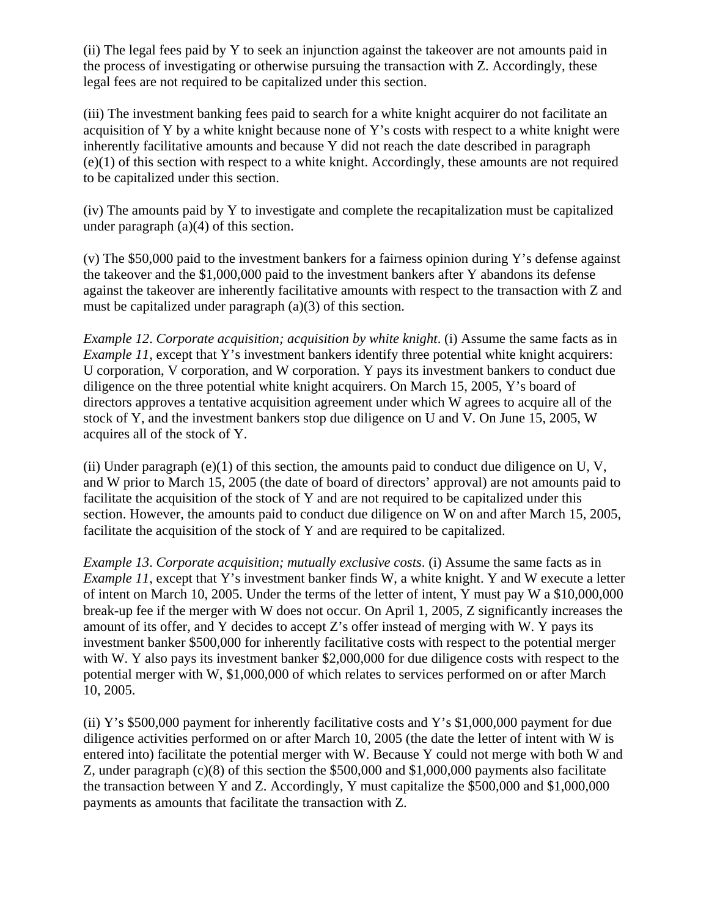(ii) The legal fees paid by Y to seek an injunction against the takeover are not amounts paid in the process of investigating or otherwise pursuing the transaction with Z. Accordingly, these legal fees are not required to be capitalized under this section.

(iii) The investment banking fees paid to search for a white knight acquirer do not facilitate an acquisition of Y by a white knight because none of Y's costs with respect to a white knight were inherently facilitative amounts and because Y did not reach the date described in paragraph (e)(1) of this section with respect to a white knight. Accordingly, these amounts are not required to be capitalized under this section.

(iv) The amounts paid by Y to investigate and complete the recapitalization must be capitalized under paragraph (a)(4) of this section.

(v) The \$50,000 paid to the investment bankers for a fairness opinion during Y's defense against the takeover and the \$1,000,000 paid to the investment bankers after Y abandons its defense against the takeover are inherently facilitative amounts with respect to the transaction with Z and must be capitalized under paragraph (a)(3) of this section.

*Example 12*. *Corporate acquisition; acquisition by white knight*. (i) Assume the same facts as in *Example 11*, except that Y's investment bankers identify three potential white knight acquirers: U corporation, V corporation, and W corporation. Y pays its investment bankers to conduct due diligence on the three potential white knight acquirers. On March 15, 2005, Y's board of directors approves a tentative acquisition agreement under which W agrees to acquire all of the stock of Y, and the investment bankers stop due diligence on U and V. On June 15, 2005, W acquires all of the stock of Y.

(ii) Under paragraph  $(e)(1)$  of this section, the amounts paid to conduct due diligence on U, V, and W prior to March 15, 2005 (the date of board of directors' approval) are not amounts paid to facilitate the acquisition of the stock of Y and are not required to be capitalized under this section. However, the amounts paid to conduct due diligence on W on and after March 15, 2005, facilitate the acquisition of the stock of Y and are required to be capitalized.

*Example 13*. *Corporate acquisition; mutually exclusive costs*. (i) Assume the same facts as in *Example 11*, except that Y's investment banker finds W, a white knight. Y and W execute a letter of intent on March 10, 2005. Under the terms of the letter of intent, Y must pay W a \$10,000,000 break-up fee if the merger with W does not occur. On April 1, 2005, Z significantly increases the amount of its offer, and Y decides to accept Z's offer instead of merging with W. Y pays its investment banker \$500,000 for inherently facilitative costs with respect to the potential merger with W. Y also pays its investment banker \$2,000,000 for due diligence costs with respect to the potential merger with W, \$1,000,000 of which relates to services performed on or after March 10, 2005.

(ii) Y's \$500,000 payment for inherently facilitative costs and Y's \$1,000,000 payment for due diligence activities performed on or after March 10, 2005 (the date the letter of intent with W is entered into) facilitate the potential merger with W. Because Y could not merge with both W and Z, under paragraph (c)(8) of this section the \$500,000 and \$1,000,000 payments also facilitate the transaction between Y and Z. Accordingly, Y must capitalize the \$500,000 and \$1,000,000 payments as amounts that facilitate the transaction with Z.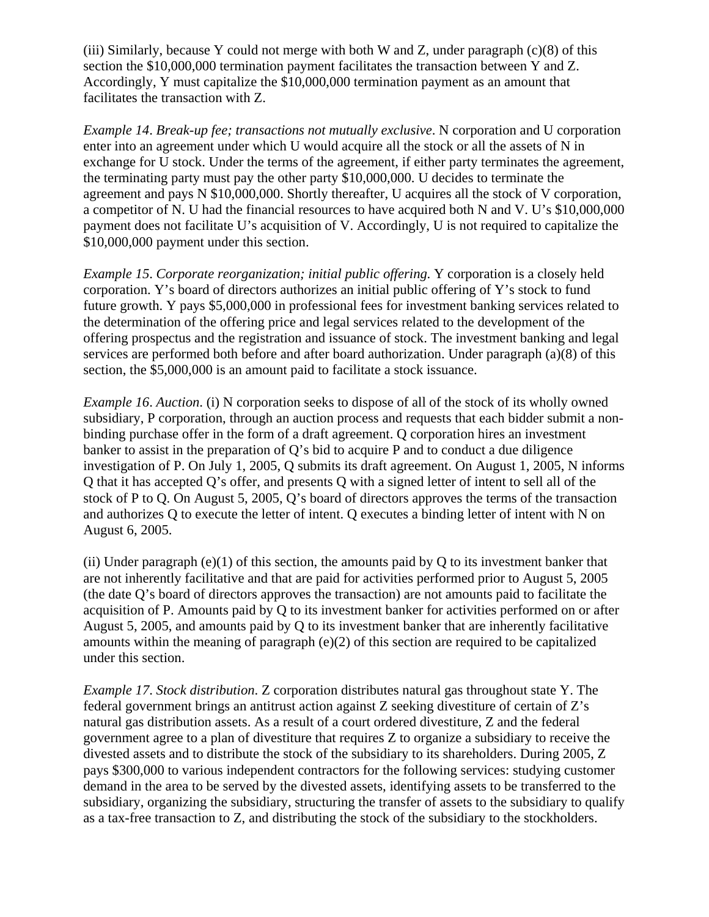(iii) Similarly, because Y could not merge with both W and Z, under paragraph  $(c)(8)$  of this section the \$10,000,000 termination payment facilitates the transaction between Y and Z. Accordingly, Y must capitalize the \$10,000,000 termination payment as an amount that facilitates the transaction with Z.

*Example 14*. *Break-up fee; transactions not mutually exclusive*. N corporation and U corporation enter into an agreement under which U would acquire all the stock or all the assets of N in exchange for U stock. Under the terms of the agreement, if either party terminates the agreement, the terminating party must pay the other party \$10,000,000. U decides to terminate the agreement and pays N \$10,000,000. Shortly thereafter, U acquires all the stock of V corporation, a competitor of N. U had the financial resources to have acquired both N and V. U's \$10,000,000 payment does not facilitate U's acquisition of V. Accordingly, U is not required to capitalize the \$10,000,000 payment under this section.

*Example 15*. *Corporate reorganization; initial public offering*. Y corporation is a closely held corporation. Y's board of directors authorizes an initial public offering of Y's stock to fund future growth. Y pays \$5,000,000 in professional fees for investment banking services related to the determination of the offering price and legal services related to the development of the offering prospectus and the registration and issuance of stock. The investment banking and legal services are performed both before and after board authorization. Under paragraph (a)(8) of this section, the \$5,000,000 is an amount paid to facilitate a stock issuance.

*Example 16*. *Auction*. (i) N corporation seeks to dispose of all of the stock of its wholly owned subsidiary, P corporation, through an auction process and requests that each bidder submit a nonbinding purchase offer in the form of a draft agreement. Q corporation hires an investment banker to assist in the preparation of Q's bid to acquire P and to conduct a due diligence investigation of P. On July 1, 2005, Q submits its draft agreement. On August 1, 2005, N informs Q that it has accepted Q's offer, and presents Q with a signed letter of intent to sell all of the stock of P to Q. On August 5, 2005, Q's board of directors approves the terms of the transaction and authorizes Q to execute the letter of intent. Q executes a binding letter of intent with N on August 6, 2005.

(ii) Under paragraph  $(e)(1)$  of this section, the amounts paid by O to its investment banker that are not inherently facilitative and that are paid for activities performed prior to August 5, 2005 (the date Q's board of directors approves the transaction) are not amounts paid to facilitate the acquisition of P. Amounts paid by Q to its investment banker for activities performed on or after August 5, 2005, and amounts paid by Q to its investment banker that are inherently facilitative amounts within the meaning of paragraph (e)(2) of this section are required to be capitalized under this section.

*Example 17*. *Stock distribution*. Z corporation distributes natural gas throughout state Y. The federal government brings an antitrust action against Z seeking divestiture of certain of Z's natural gas distribution assets. As a result of a court ordered divestiture, Z and the federal government agree to a plan of divestiture that requires Z to organize a subsidiary to receive the divested assets and to distribute the stock of the subsidiary to its shareholders. During 2005, Z pays \$300,000 to various independent contractors for the following services: studying customer demand in the area to be served by the divested assets, identifying assets to be transferred to the subsidiary, organizing the subsidiary, structuring the transfer of assets to the subsidiary to qualify as a tax-free transaction to Z, and distributing the stock of the subsidiary to the stockholders.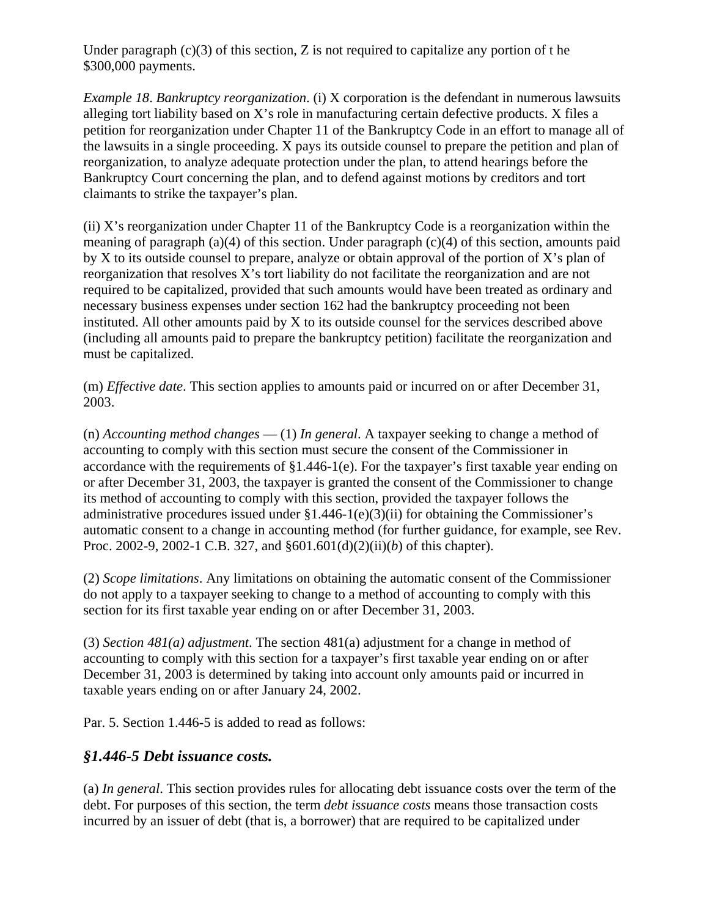Under paragraph  $(c)(3)$  of this section, Z is not required to capitalize any portion of t he \$300,000 payments.

*Example 18*. *Bankruptcy reorganization*. (i) X corporation is the defendant in numerous lawsuits alleging tort liability based on X's role in manufacturing certain defective products. X files a petition for reorganization under Chapter 11 of the Bankruptcy Code in an effort to manage all of the lawsuits in a single proceeding. X pays its outside counsel to prepare the petition and plan of reorganization, to analyze adequate protection under the plan, to attend hearings before the Bankruptcy Court concerning the plan, and to defend against motions by creditors and tort claimants to strike the taxpayer's plan.

(ii) X's reorganization under Chapter 11 of the Bankruptcy Code is a reorganization within the meaning of paragraph (a)(4) of this section. Under paragraph (c)(4) of this section, amounts paid by X to its outside counsel to prepare, analyze or obtain approval of the portion of X's plan of reorganization that resolves X's tort liability do not facilitate the reorganization and are not required to be capitalized, provided that such amounts would have been treated as ordinary and necessary business expenses under section 162 had the bankruptcy proceeding not been instituted. All other amounts paid by X to its outside counsel for the services described above (including all amounts paid to prepare the bankruptcy petition) facilitate the reorganization and must be capitalized.

(m) *Effective date*. This section applies to amounts paid or incurred on or after December 31, 2003.

(n) *Accounting method changes* — (1) *In general*. A taxpayer seeking to change a method of accounting to comply with this section must secure the consent of the Commissioner in accordance with the requirements of §1.446-1(e). For the taxpayer's first taxable year ending on or after December 31, 2003, the taxpayer is granted the consent of the Commissioner to change its method of accounting to comply with this section, provided the taxpayer follows the administrative procedures issued under §1.446-1(e)(3)(ii) for obtaining the Commissioner's automatic consent to a change in accounting method (for further guidance, for example, see Rev. Proc. 2002-9, 2002-1 C.B. 327, and §601.601(d)(2)(ii)(*b*) of this chapter).

(2) *Scope limitations*. Any limitations on obtaining the automatic consent of the Commissioner do not apply to a taxpayer seeking to change to a method of accounting to comply with this section for its first taxable year ending on or after December 31, 2003.

(3) *Section 481(a) adjustment*. The section 481(a) adjustment for a change in method of accounting to comply with this section for a taxpayer's first taxable year ending on or after December 31, 2003 is determined by taking into account only amounts paid or incurred in taxable years ending on or after January 24, 2002.

Par. 5. Section 1.446-5 is added to read as follows:

# *§1.446-5 Debt issuance costs.*

(a) *In general*. This section provides rules for allocating debt issuance costs over the term of the debt. For purposes of this section, the term *debt issuance costs* means those transaction costs incurred by an issuer of debt (that is, a borrower) that are required to be capitalized under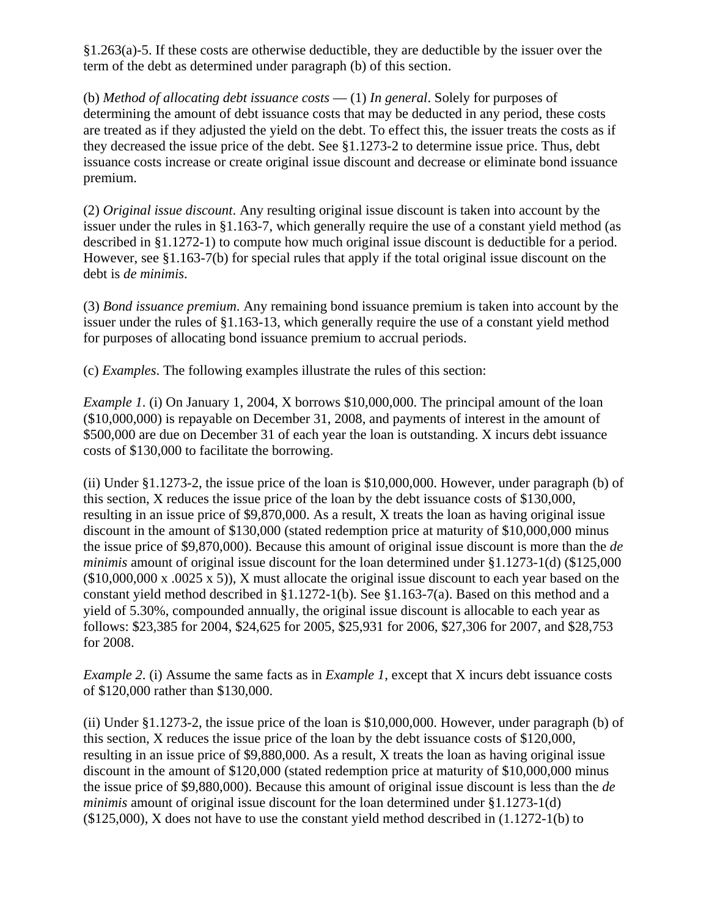$§1.263(a)$ -5. If these costs are otherwise deductible, they are deductible by the issuer over the term of the debt as determined under paragraph (b) of this section.

(b) *Method of allocating debt issuance costs* — (1) *In general*. Solely for purposes of determining the amount of debt issuance costs that may be deducted in any period, these costs are treated as if they adjusted the yield on the debt. To effect this, the issuer treats the costs as if they decreased the issue price of the debt. See §1.1273-2 to determine issue price. Thus, debt issuance costs increase or create original issue discount and decrease or eliminate bond issuance premium.

(2) *Original issue discount*. Any resulting original issue discount is taken into account by the issuer under the rules in §1.163-7, which generally require the use of a constant yield method (as described in §1.1272-1) to compute how much original issue discount is deductible for a period. However, see §1.163-7(b) for special rules that apply if the total original issue discount on the debt is *de minimis*.

(3) *Bond issuance premium*. Any remaining bond issuance premium is taken into account by the issuer under the rules of §1.163-13, which generally require the use of a constant yield method for purposes of allocating bond issuance premium to accrual periods.

(c) *Examples*. The following examples illustrate the rules of this section:

*Example 1*. (i) On January 1, 2004, X borrows \$10,000,000. The principal amount of the loan (\$10,000,000) is repayable on December 31, 2008, and payments of interest in the amount of \$500,000 are due on December 31 of each year the loan is outstanding. X incurs debt issuance costs of \$130,000 to facilitate the borrowing.

(ii) Under §1.1273-2, the issue price of the loan is \$10,000,000. However, under paragraph (b) of this section, X reduces the issue price of the loan by the debt issuance costs of \$130,000, resulting in an issue price of \$9,870,000. As a result, X treats the loan as having original issue discount in the amount of \$130,000 (stated redemption price at maturity of \$10,000,000 minus the issue price of \$9,870,000). Because this amount of original issue discount is more than the *de minimis* amount of original issue discount for the loan determined under §1.1273-1(d) (\$125,000  $(\$10,000,000 \text{ x } .0025 \text{ x } 5)$ , X must allocate the original issue discount to each year based on the constant yield method described in §1.1272-1(b). See §1.163-7(a). Based on this method and a yield of 5.30%, compounded annually, the original issue discount is allocable to each year as follows: \$23,385 for 2004, \$24,625 for 2005, \$25,931 for 2006, \$27,306 for 2007, and \$28,753 for 2008.

*Example 2.* (i) Assume the same facts as in *Example 1*, except that X incurs debt issuance costs of \$120,000 rather than \$130,000.

(ii) Under §1.1273-2, the issue price of the loan is \$10,000,000. However, under paragraph (b) of this section, X reduces the issue price of the loan by the debt issuance costs of \$120,000, resulting in an issue price of \$9,880,000. As a result, X treats the loan as having original issue discount in the amount of \$120,000 (stated redemption price at maturity of \$10,000,000 minus the issue price of \$9,880,000). Because this amount of original issue discount is less than the *de minimis* amount of original issue discount for the loan determined under §1.1273-1(d)  $(125,000)$ , X does not have to use the constant yield method described in  $(1.1272-1(b))$  to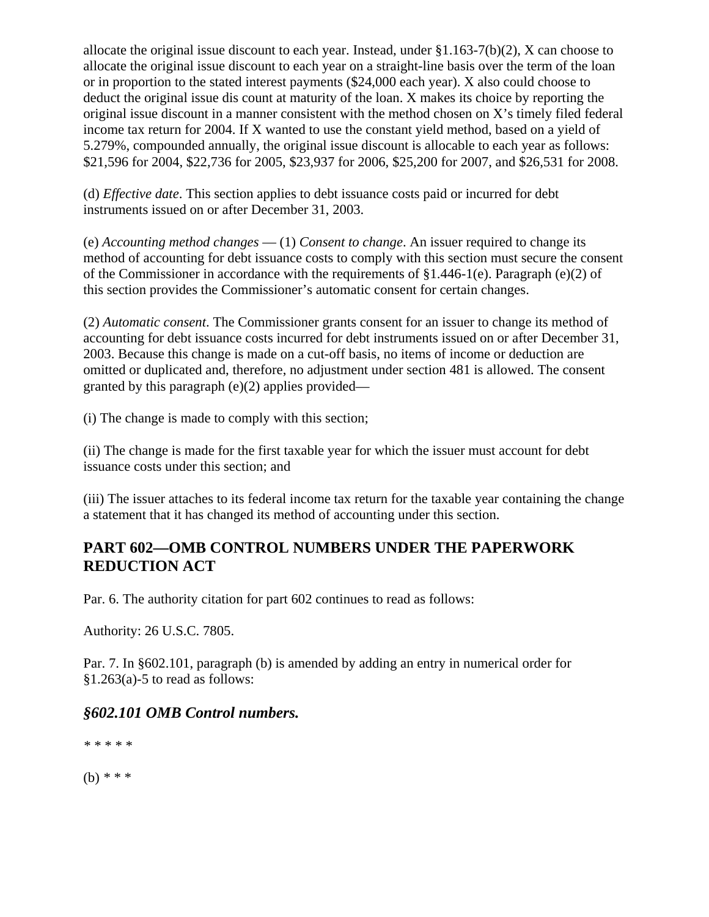allocate the original issue discount to each year. Instead, under §1.163-7(b)(2), X can choose to allocate the original issue discount to each year on a straight-line basis over the term of the loan or in proportion to the stated interest payments (\$24,000 each year). X also could choose to deduct the original issue dis count at maturity of the loan. X makes its choice by reporting the original issue discount in a manner consistent with the method chosen on X's timely filed federal income tax return for 2004. If X wanted to use the constant yield method, based on a yield of 5.279%, compounded annually, the original issue discount is allocable to each year as follows: \$21,596 for 2004, \$22,736 for 2005, \$23,937 for 2006, \$25,200 for 2007, and \$26,531 for 2008.

(d) *Effective date*. This section applies to debt issuance costs paid or incurred for debt instruments issued on or after December 31, 2003.

(e) *Accounting method changes* — (1) *Consent to change*. An issuer required to change its method of accounting for debt issuance costs to comply with this section must secure the consent of the Commissioner in accordance with the requirements of §1.446-1(e). Paragraph (e)(2) of this section provides the Commissioner's automatic consent for certain changes.

(2) *Automatic consent*. The Commissioner grants consent for an issuer to change its method of accounting for debt issuance costs incurred for debt instruments issued on or after December 31, 2003. Because this change is made on a cut-off basis, no items of income or deduction are omitted or duplicated and, therefore, no adjustment under section 481 is allowed. The consent granted by this paragraph  $(e)(2)$  applies provided—

(i) The change is made to comply with this section;

(ii) The change is made for the first taxable year for which the issuer must account for debt issuance costs under this section; and

(iii) The issuer attaches to its federal income tax return for the taxable year containing the change a statement that it has changed its method of accounting under this section.

# **PART 602—OMB CONTROL NUMBERS UNDER THE PAPERWORK REDUCTION ACT**

Par. 6. The authority citation for part 602 continues to read as follows:

Authority: 26 U.S.C. 7805.

Par. 7. In §602.101, paragraph (b) is amended by adding an entry in numerical order for  $§1.263(a) - 5$  to read as follows:

# *§602.101 OMB Control numbers.*

*\* \* \* \* \**

(b) *\* \* \**